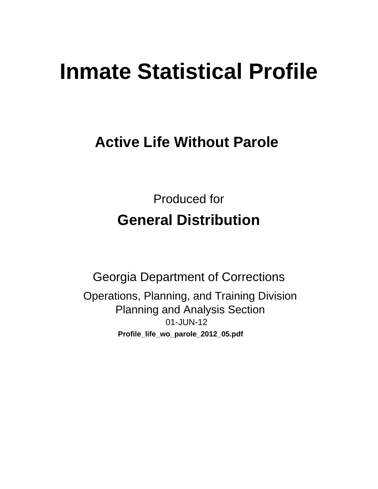# **Inmate Statistical Profile**

# **Active Life Without Parole**

**Produced for General Distribution** 

**Georgia Department of Corrections** Operations, Planning, and Training Division **Planning and Analysis Section** 01-JUN-12 Profile\_life\_wo\_parole\_2012\_05.pdf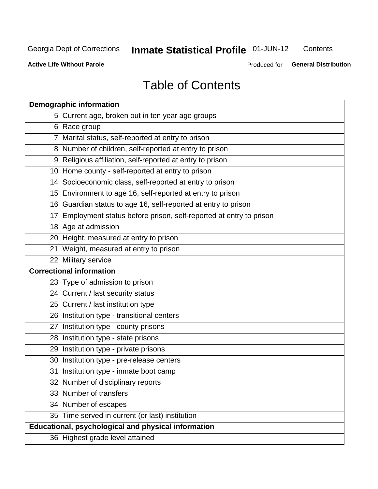# **Inmate Statistical Profile 01-JUN-12**

Contents

**Active Life Without Parole** 

Produced for General Distribution

# **Table of Contents**

| <b>Demographic information</b>                                       |
|----------------------------------------------------------------------|
| 5 Current age, broken out in ten year age groups                     |
| 6 Race group                                                         |
| 7 Marital status, self-reported at entry to prison                   |
| 8 Number of children, self-reported at entry to prison               |
| 9 Religious affiliation, self-reported at entry to prison            |
| 10 Home county - self-reported at entry to prison                    |
| 14 Socioeconomic class, self-reported at entry to prison             |
| 15 Environment to age 16, self-reported at entry to prison           |
| 16 Guardian status to age 16, self-reported at entry to prison       |
| 17 Employment status before prison, self-reported at entry to prison |
| 18 Age at admission                                                  |
| 20 Height, measured at entry to prison                               |
| 21 Weight, measured at entry to prison                               |
| 22 Military service                                                  |
| <b>Correctional information</b>                                      |
| 23 Type of admission to prison                                       |
| 24 Current / last security status                                    |
| 25 Current / last institution type                                   |
| 26 Institution type - transitional centers                           |
| 27 Institution type - county prisons                                 |
| 28 Institution type - state prisons                                  |
| 29 Institution type - private prisons                                |
| 30 Institution type - pre-release centers                            |
| 31 Institution type - inmate boot camp                               |
| 32 Number of disciplinary reports                                    |
| 33 Number of transfers                                               |
| 34 Number of escapes                                                 |
| 35 Time served in current (or last) institution                      |
| <b>Educational, psychological and physical information</b>           |
| 36 Highest grade level attained                                      |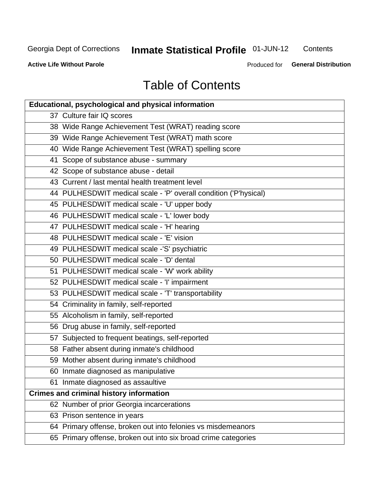# **Inmate Statistical Profile 01-JUN-12**

Contents

**Active Life Without Parole** 

Produced for General Distribution

# **Table of Contents**

| <b>Educational, psychological and physical information</b>       |
|------------------------------------------------------------------|
| 37 Culture fair IQ scores                                        |
| 38 Wide Range Achievement Test (WRAT) reading score              |
| 39 Wide Range Achievement Test (WRAT) math score                 |
| 40 Wide Range Achievement Test (WRAT) spelling score             |
| 41 Scope of substance abuse - summary                            |
| 42 Scope of substance abuse - detail                             |
| 43 Current / last mental health treatment level                  |
| 44 PULHESDWIT medical scale - 'P' overall condition ('P'hysical) |
| 45 PULHESDWIT medical scale - 'U' upper body                     |
| 46 PULHESDWIT medical scale - 'L' lower body                     |
| 47 PULHESDWIT medical scale - 'H' hearing                        |
| 48 PULHESDWIT medical scale - 'E' vision                         |
| 49 PULHESDWIT medical scale -'S' psychiatric                     |
| 50 PULHESDWIT medical scale - 'D' dental                         |
| 51 PULHESDWIT medical scale - 'W' work ability                   |
| 52 PULHESDWIT medical scale - 'I' impairment                     |
| 53 PULHESDWIT medical scale - 'T' transportability               |
| 54 Criminality in family, self-reported                          |
| 55 Alcoholism in family, self-reported                           |
| 56 Drug abuse in family, self-reported                           |
| 57 Subjected to frequent beatings, self-reported                 |
| 58 Father absent during inmate's childhood                       |
| 59 Mother absent during inmate's childhood                       |
| 60 Inmate diagnosed as manipulative                              |
| 61 Inmate diagnosed as assaultive                                |
| <b>Crimes and criminal history information</b>                   |
| 62 Number of prior Georgia incarcerations                        |
| 63 Prison sentence in years                                      |
| 64 Primary offense, broken out into felonies vs misdemeanors     |
| 65 Primary offense, broken out into six broad crime categories   |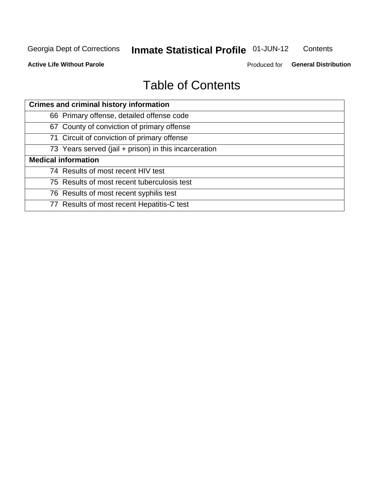# **Inmate Statistical Profile 01-JUN-12**

Contents

**Active Life Without Parole** 

Produced for General Distribution

# **Table of Contents**

| <b>Crimes and criminal history information</b>        |
|-------------------------------------------------------|
| 66 Primary offense, detailed offense code             |
| 67 County of conviction of primary offense            |
| 71 Circuit of conviction of primary offense           |
| 73 Years served (jail + prison) in this incarceration |
| <b>Medical information</b>                            |
| 74 Results of most recent HIV test                    |
| 75 Results of most recent tuberculosis test           |
| 76 Results of most recent syphilis test               |
| 77 Results of most recent Hepatitis-C test            |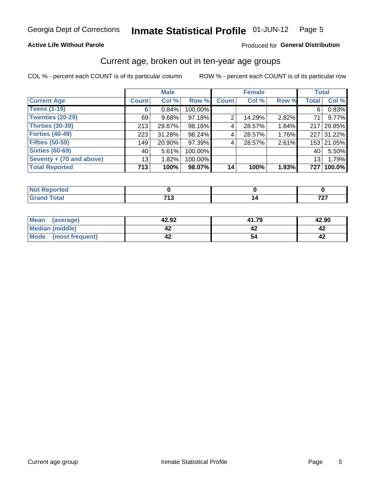#### Inmate Statistical Profile 01-JUN-12 Page 5

### **Active Life Without Parole**

### Produced for General Distribution

### Current age, broken out in ten-year age groups

COL % - percent each COUNT is of its particular column

|                          |                 | <b>Male</b> |         |              | <b>Female</b> |          |                 | <b>Total</b> |
|--------------------------|-----------------|-------------|---------|--------------|---------------|----------|-----------------|--------------|
| <b>Current Age</b>       | <b>Count</b>    | Col %       | Row %   | <b>Count</b> | Col %         | Row %    | <b>Total</b>    | Col %        |
| <b>Teens (1-19)</b>      | 6               | 0.84%       | 100.00% |              |               |          | 6               | 0.83%        |
| <b>Twenties (20-29)</b>  | 69              | 9.68%       | 97.18%  | 2            | 14.29%        | 2.82%    | 71 I            | 9.77%        |
| <b>Thirties (30-39)</b>  | 213             | 29.87%      | 98.16%  | 4            | 28.57%        | 1.84%    |                 | 217 29.85%   |
| <b>Forties (40-49)</b>   | 223             | 31.28%      | 98.24%  | 4            | 28.57%        | $1.76\%$ |                 | 227 31.22%   |
| <b>Fifties (50-59)</b>   | 149             | 20.90%      | 97.39%  | 4            | 28.57%        | 2.61%    |                 | 153 21.05%   |
| <b>Sixties (60-69)</b>   | 40              | 5.61%       | 100.00% |              |               |          | 40              | 5.50%        |
| Seventy + (70 and above) | 13 <sub>1</sub> | 1.82%       | 100.00% |              |               |          | 13 <sub>1</sub> | 1.79%        |
| <b>Total Reported</b>    | 713             | 100%        | 98.07%  | 14           | 100%          | 1.93%    | 727             | 100.0%       |

| التحميل والمسترجين | 742    | 707 |
|--------------------|--------|-----|
| ______             | $\sim$ | .   |

| Mean<br>(average)       | 42.92 | 41.79 | 42.90 |
|-------------------------|-------|-------|-------|
| Median (middle)         |       |       |       |
| Mode<br>(most frequent) |       |       |       |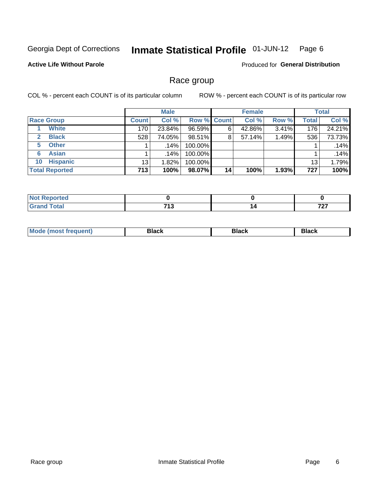#### Inmate Statistical Profile 01-JUN-12 Page 6

### **Active Life Without Parole**

**Produced for General Distribution** 

### Race group

COL % - percent each COUNT is of its particular column

|                              |              | <b>Male</b> |                    |    | <b>Female</b> |       |              | <b>Total</b> |
|------------------------------|--------------|-------------|--------------------|----|---------------|-------|--------------|--------------|
| <b>Race Group</b>            | <b>Count</b> | Col %       | <b>Row % Count</b> |    | Col %         | Row % | <b>Total</b> | Col %        |
| <b>White</b>                 | 170          | 23.84%      | 96.59%             | 6  | 42.86%        | 3.41% | 176          | 24.21%       |
| <b>Black</b><br>$\mathbf{2}$ | 528          | 74.05%      | 98.51%             | 8  | 57.14%        | 1.49% | 536          | 73.73%       |
| <b>Other</b><br>5.           |              | .14%        | 100.00%            |    |               |       |              | .14%         |
| <b>Asian</b><br>6            |              | .14%        | 100.00%            |    |               |       |              | .14%         |
| <b>Hispanic</b><br>10        | 13           | 1.82%       | 100.00%            |    |               |       | 13           | 1.79%        |
| <b>Total Reported</b>        | 713          | 100%        | 98.07%             | 14 | 100%          | 1.93% | 727          | 100%         |

| .<br>тео |                       |          |
|----------|-----------------------|----------|
|          | 74.2<br>. .<br>$\sim$ | 707<br>. |

| M | - - - | Piavn |
|---|-------|-------|
|   |       |       |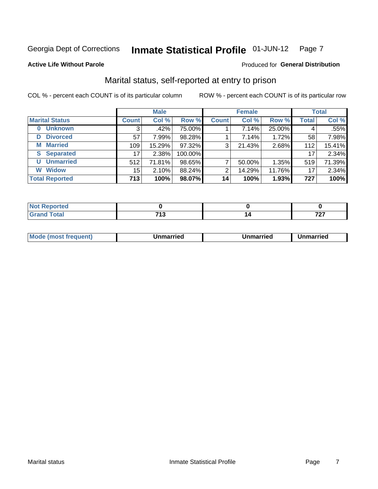#### Inmate Statistical Profile 01-JUN-12 Page 7

### **Active Life Without Parole**

### Produced for General Distribution

### Marital status, self-reported at entry to prison

COL % - percent each COUNT is of its particular column

|                       |              | <b>Male</b> |         |              | <b>Female</b> |        |              | <b>Total</b> |
|-----------------------|--------------|-------------|---------|--------------|---------------|--------|--------------|--------------|
| <b>Marital Status</b> | <b>Count</b> | Col %       | Row %   | <b>Count</b> | Col %         | Row %  | <b>Total</b> | Col %        |
| <b>Unknown</b><br>0   | 3            | .42%        | 75.00%  |              | 7.14%         | 25.00% | 4            | .55%         |
| <b>Divorced</b><br>D  | 57           | 7.99%       | 98.28%  |              | 7.14%         | 1.72%  | 58           | 7.98%        |
| <b>Married</b><br>М   | 109          | 15.29%      | 97.32%  | 3            | 21.43%        | 2.68%  | 112          | 15.41%       |
| <b>Separated</b><br>S | 17           | 2.38%       | 100.00% |              |               |        | 17           | 2.34%        |
| <b>Unmarried</b><br>U | 512          | 71.81%      | 98.65%  | 7            | 50.00%        | 1.35%  | 519          | 71.39%       |
| <b>Widow</b><br>W     | 15           | 2.10%       | 88.24%  | 2            | 14.29%        | 11.76% | 17           | 2.34%        |
| <b>Total Reported</b> | 713          | 100%        | 98.07%  | 14           | 100%          | 1.93%  | 727          | 100%         |

| بالمراجع باللامين<br><b>Not Reported</b><br>. <b>.</b> |          |          |
|--------------------------------------------------------|----------|----------|
| <b>Total</b>                                           | 749<br>. | 707<br>. |

|--|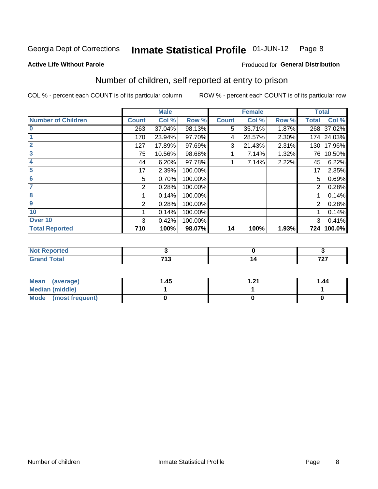#### Inmate Statistical Profile 01-JUN-12 Page 8

### **Active Life Without Parole**

### **Produced for General Distribution**

### Number of children, self reported at entry to prison

COL % - percent each COUNT is of its particular column

|                           |              | <b>Male</b> |         |              | <b>Female</b> |       |              | <b>Total</b> |
|---------------------------|--------------|-------------|---------|--------------|---------------|-------|--------------|--------------|
| <b>Number of Children</b> | <b>Count</b> | Col %       | Row %   | <b>Count</b> | Col %         | Row % | <b>Total</b> | Col %        |
| $\bf{0}$                  | 263          | 37.04%      | 98.13%  | 5            | 35.71%        | 1.87% | 268          | 37.02%       |
|                           | 170          | 23.94%      | 97.70%  | 4            | 28.57%        | 2.30% | 174          | 24.03%       |
| $\overline{2}$            | 127          | 17.89%      | 97.69%  | 3            | 21.43%        | 2.31% | 130          | 17.96%       |
| 3                         | 75           | 10.56%      | 98.68%  |              | 7.14%         | 1.32% | 76           | 10.50%       |
| 4                         | 44           | 6.20%       | 97.78%  |              | 7.14%         | 2.22% | 45           | 6.22%        |
| 5                         | 17           | 2.39%       | 100.00% |              |               |       | 17           | 2.35%        |
| 6                         | 5            | 0.70%       | 100.00% |              |               |       | 5            | 0.69%        |
|                           | 2            | 0.28%       | 100.00% |              |               |       | 2            | 0.28%        |
| 8                         |              | 0.14%       | 100.00% |              |               |       |              | 0.14%        |
| $\boldsymbol{9}$          | 2            | 0.28%       | 100.00% |              |               |       | 2            | 0.28%        |
| 10                        |              | 0.14%       | 100.00% |              |               |       |              | 0.14%        |
| Over 10                   | 3            | 0.42%       | 100.00% |              |               |       | 3            | 0.41%        |
| <b>Total Reported</b>     | 710          | 100%        | 98.07%  | 14           | 100%          | 1.93% | 724          | 100.0%       |

| тето   |       |     |
|--------|-------|-----|
| υιαι   | - - - | 707 |
| $\sim$ | . .   | .   |

| Mean (average)       | 1.45 | - 24<br>. | 1.44 |
|----------------------|------|-----------|------|
| Median (middle)      |      |           |      |
| Mode (most frequent) |      |           |      |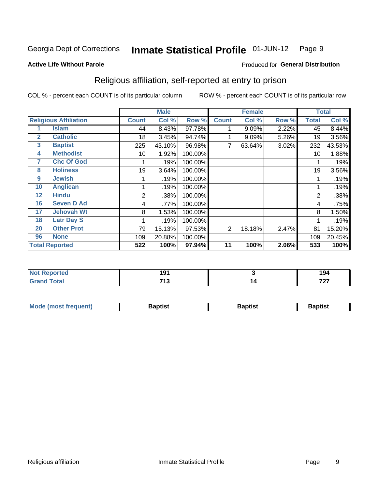#### Inmate Statistical Profile 01-JUN-12 Page 9

Produced for General Distribution

### **Active Life Without Parole**

### Religious affiliation, self-reported at entry to prison

COL % - percent each COUNT is of its particular column

|              |                              |                 | <b>Male</b> |         |                | <b>Female</b> |       |       | <b>Total</b> |
|--------------|------------------------------|-----------------|-------------|---------|----------------|---------------|-------|-------|--------------|
|              | <b>Religious Affiliation</b> | <b>Count</b>    | Col %       | Row %   | <b>Count</b>   | Col %         | Row % | Total | Col %        |
|              | <b>Islam</b>                 | 44              | 8.43%       | 97.78%  |                | 9.09%         | 2.22% | 45    | 8.44%        |
| $\mathbf{2}$ | <b>Catholic</b>              | 18 <sub>1</sub> | 3.45%       | 94.74%  |                | 9.09%         | 5.26% | 19    | 3.56%        |
| 3            | <b>Baptist</b>               | 225             | 43.10%      | 96.98%  |                | 63.64%        | 3.02% | 232   | 43.53%       |
| 4            | <b>Methodist</b>             | 10              | 1.92%       | 100.00% |                |               |       | 10    | 1.88%        |
| 7            | <b>Chc Of God</b>            |                 | .19%        | 100.00% |                |               |       |       | .19%         |
| 8            | <b>Holiness</b>              | 19              | 3.64%       | 100.00% |                |               |       | 19    | 3.56%        |
| 9            | <b>Jewish</b>                |                 | .19%        | 100.00% |                |               |       |       | .19%         |
| 10           | <b>Anglican</b>              |                 | .19%        | 100.00% |                |               |       |       | .19%         |
| 12           | <b>Hindu</b>                 | 2               | .38%        | 100.00% |                |               |       | 2     | .38%         |
| 16           | <b>Seven D Ad</b>            | 4               | .77%        | 100.00% |                |               |       | 4     | .75%         |
| 17           | <b>Jehovah Wt</b>            | 8               | 1.53%       | 100.00% |                |               |       | 8     | 1.50%        |
| 18           | <b>Latr Day S</b>            |                 | .19%        | 100.00% |                |               |       |       | .19%         |
| 20           | <b>Other Prot</b>            | 79              | 15.13%      | 97.53%  | $\overline{2}$ | 18.18%        | 2.47% | 81    | 15.20%       |
| 96           | <b>None</b>                  | 109             | 20.88%      | 100.00% |                |               |       | 109   | 20.45%       |
|              | <b>Total Reported</b>        | 522             | 100%        | 97.94%  | 11             | 100%          | 2.06% | 533   | 100%         |

| rtea  | 1 N 1 |     | .   |
|-------|-------|-----|-----|
| .     | . .   |     | 194 |
| _____ | 740   | . . | 707 |
|       | 7 I J | . . |     |

| <b>Mode (most frequent)</b> | եaptist | 3aptisเ | aptist |
|-----------------------------|---------|---------|--------|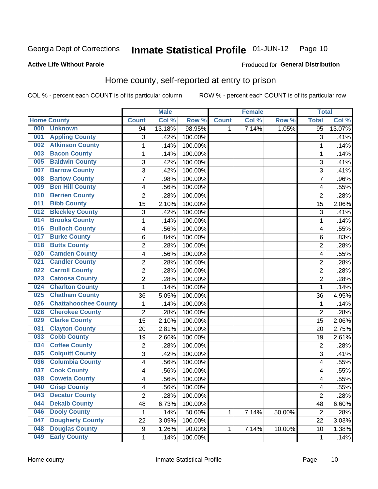#### Inmate Statistical Profile 01-JUN-12 Page 10

**Active Life Without Parole** 

### Produced for General Distribution

### Home county, self-reported at entry to prison

COL % - percent each COUNT is of its particular column

|     |                             |                | <b>Male</b> |         |              | <b>Female</b> |        | <b>Total</b>            |        |
|-----|-----------------------------|----------------|-------------|---------|--------------|---------------|--------|-------------------------|--------|
|     | <b>Home County</b>          | <b>Count</b>   | Col %       | Row %   | <b>Count</b> | Col %         | Row %  | <b>Total</b>            | Col %  |
| 000 | <b>Unknown</b>              | 94             | 13.18%      | 98.95%  | $\mathbf 1$  | 7.14%         | 1.05%  | $\overline{95}$         | 13.07% |
| 001 | <b>Appling County</b>       | 3              | .42%        | 100.00% |              |               |        | 3                       | .41%   |
| 002 | <b>Atkinson County</b>      | $\mathbf 1$    | .14%        | 100.00% |              |               |        | 1                       | .14%   |
| 003 | <b>Bacon County</b>         | $\mathbf 1$    | .14%        | 100.00% |              |               |        | 1                       | .14%   |
| 005 | <b>Baldwin County</b>       | 3              | .42%        | 100.00% |              |               |        | 3                       | .41%   |
| 007 | <b>Barrow County</b>        | 3              | .42%        | 100.00% |              |               |        | 3                       | .41%   |
| 008 | <b>Bartow County</b>        | $\overline{7}$ | .98%        | 100.00% |              |               |        | 7                       | .96%   |
| 009 | <b>Ben Hill County</b>      | 4              | .56%        | 100.00% |              |               |        | 4                       | .55%   |
| 010 | <b>Berrien County</b>       | $\overline{2}$ | .28%        | 100.00% |              |               |        | $\overline{2}$          | .28%   |
| 011 | <b>Bibb County</b>          | 15             | 2.10%       | 100.00% |              |               |        | 15                      | 2.06%  |
| 012 | <b>Bleckley County</b>      | 3              | .42%        | 100.00% |              |               |        | 3                       | .41%   |
| 014 | <b>Brooks County</b>        | $\mathbf 1$    | .14%        | 100.00% |              |               |        | 1                       | .14%   |
| 016 | <b>Bulloch County</b>       | 4              | .56%        | 100.00% |              |               |        | 4                       | .55%   |
| 017 | <b>Burke County</b>         | 6              | .84%        | 100.00% |              |               |        | 6                       | .83%   |
| 018 | <b>Butts County</b>         | $\overline{2}$ | .28%        | 100.00% |              |               |        | $\overline{2}$          | .28%   |
| 020 | <b>Camden County</b>        | 4              | .56%        | 100.00% |              |               |        | 4                       | .55%   |
| 021 | <b>Candler County</b>       | $\overline{2}$ | .28%        | 100.00% |              |               |        | $\overline{2}$          | .28%   |
| 022 | <b>Carroll County</b>       | $\overline{c}$ | .28%        | 100.00% |              |               |        | $\overline{2}$          | .28%   |
| 023 | <b>Catoosa County</b>       | $\overline{c}$ | .28%        | 100.00% |              |               |        | $\overline{2}$          | .28%   |
| 024 | <b>Charlton County</b>      | 1              | .14%        | 100.00% |              |               |        | 1                       | .14%   |
| 025 | <b>Chatham County</b>       | 36             | 5.05%       | 100.00% |              |               |        | 36                      | 4.95%  |
| 026 | <b>Chattahoochee County</b> | $\mathbf{1}$   | .14%        | 100.00% |              |               |        | 1                       | .14%   |
| 028 | <b>Cherokee County</b>      | $\overline{2}$ | .28%        | 100.00% |              |               |        | $\overline{2}$          | .28%   |
| 029 | <b>Clarke County</b>        | 15             | 2.10%       | 100.00% |              |               |        | 15                      | 2.06%  |
| 031 | <b>Clayton County</b>       | 20             | 2.81%       | 100.00% |              |               |        | 20                      | 2.75%  |
| 033 | <b>Cobb County</b>          | 19             | 2.66%       | 100.00% |              |               |        | 19                      | 2.61%  |
| 034 | <b>Coffee County</b>        | $\mathbf 2$    | .28%        | 100.00% |              |               |        | $\overline{2}$          | .28%   |
| 035 | <b>Colquitt County</b>      | 3              | .42%        | 100.00% |              |               |        | 3                       | .41%   |
| 036 | <b>Columbia County</b>      | 4              | .56%        | 100.00% |              |               |        | $\overline{\mathbf{4}}$ | .55%   |
| 037 | <b>Cook County</b>          | 4              | .56%        | 100.00% |              |               |        | 4                       | .55%   |
| 038 | <b>Coweta County</b>        | 4              | .56%        | 100.00% |              |               |        | 4                       | .55%   |
| 040 | <b>Crisp County</b>         | 4              | .56%        | 100.00% |              |               |        | $\overline{\mathbf{4}}$ | .55%   |
| 043 | <b>Decatur County</b>       | $\overline{2}$ | .28%        | 100.00% |              |               |        | $\overline{2}$          | .28%   |
| 044 | <b>Dekalb County</b>        | 48             | 6.73%       | 100.00% |              |               |        | 48                      | 6.60%  |
| 046 | <b>Dooly County</b>         | 1              | .14%        | 50.00%  | 1            | 7.14%         | 50.00% | $\overline{2}$          | .28%   |
| 047 | <b>Dougherty County</b>     | 22             | 3.09%       | 100.00% |              |               |        | 22                      | 3.03%  |
| 048 | <b>Douglas County</b>       | 9              | 1.26%       | 90.00%  | 1            | 7.14%         | 10.00% | 10                      | 1.38%  |
| 049 | <b>Early County</b>         | $\mathbf{1}$   | .14%        | 100.00% |              |               |        | 1                       | .14%   |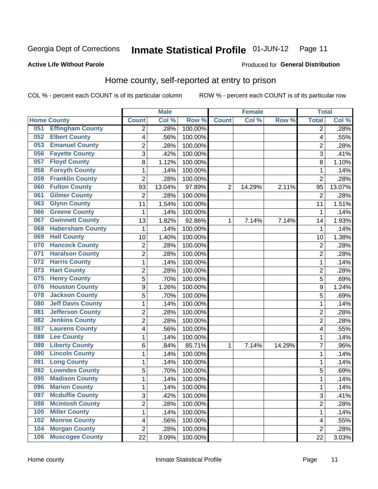#### Inmate Statistical Profile 01-JUN-12 Page 11

### **Active Life Without Parole**

### Produced for General Distribution

### Home county, self-reported at entry to prison

COL % - percent each COUNT is of its particular column

|     |                          |                         | <b>Male</b> |         |                | <b>Female</b> |        | <b>Total</b>   |        |
|-----|--------------------------|-------------------------|-------------|---------|----------------|---------------|--------|----------------|--------|
|     | <b>Home County</b>       | <b>Count</b>            | Col %       | Row %   | <b>Count</b>   | Col %         | Row %  | <b>Total</b>   | Col %  |
| 051 | <b>Effingham County</b>  | 2                       | .28%        | 100.00% |                |               |        | 2              | .28%   |
| 052 | <b>Elbert County</b>     | 4                       | .56%        | 100.00% |                |               |        | 4              | .55%   |
| 053 | <b>Emanuel County</b>    | $\overline{\mathbf{c}}$ | .28%        | 100.00% |                |               |        | $\overline{c}$ | .28%   |
| 056 | <b>Fayette County</b>    | 3                       | .42%        | 100.00% |                |               |        | 3              | .41%   |
| 057 | <b>Floyd County</b>      | 8                       | 1.12%       | 100.00% |                |               |        | 8              | 1.10%  |
| 058 | <b>Forsyth County</b>    | 1                       | .14%        | 100.00% |                |               |        | 1              | .14%   |
| 059 | <b>Franklin County</b>   | $\overline{2}$          | .28%        | 100.00% |                |               |        | $\overline{2}$ | .28%   |
| 060 | <b>Fulton County</b>     | 93                      | 13.04%      | 97.89%  | $\overline{2}$ | 14.29%        | 2.11%  | 95             | 13.07% |
| 061 | <b>Gilmer County</b>     | $\overline{2}$          | .28%        | 100.00% |                |               |        | $\overline{2}$ | .28%   |
| 063 | <b>Glynn County</b>      | 11                      | 1.54%       | 100.00% |                |               |        | 11             | 1.51%  |
| 066 | <b>Greene County</b>     | 1                       | .14%        | 100.00% |                |               |        | 1              | .14%   |
| 067 | <b>Gwinnett County</b>   | 13                      | 1.82%       | 92.86%  | 1              | 7.14%         | 7.14%  | 14             | 1.93%  |
| 068 | <b>Habersham County</b>  | $\mathbf{1}$            | .14%        | 100.00% |                |               |        | 1              | .14%   |
| 069 | <b>Hall County</b>       | 10                      | 1.40%       | 100.00% |                |               |        | 10             | 1.38%  |
| 070 | <b>Hancock County</b>    | $\overline{2}$          | .28%        | 100.00% |                |               |        | $\overline{2}$ | .28%   |
| 071 | <b>Haralson County</b>   | $\overline{2}$          | .28%        | 100.00% |                |               |        | $\overline{2}$ | .28%   |
| 072 | <b>Harris County</b>     | $\mathbf{1}$            | .14%        | 100.00% |                |               |        | 1              | .14%   |
| 073 | <b>Hart County</b>       | $\overline{2}$          | .28%        | 100.00% |                |               |        | $\overline{c}$ | .28%   |
| 075 | <b>Henry County</b>      | 5                       | .70%        | 100.00% |                |               |        | 5              | .69%   |
| 076 | <b>Houston County</b>    | 9                       | 1.26%       | 100.00% |                |               |        | 9              | 1.24%  |
| 078 | <b>Jackson County</b>    | 5                       | .70%        | 100.00% |                |               |        | 5              | .69%   |
| 080 | <b>Jeff Davis County</b> | $\mathbf{1}$            | .14%        | 100.00% |                |               |        | 1              | .14%   |
| 081 | <b>Jefferson County</b>  | $\overline{2}$          | .28%        | 100.00% |                |               |        | $\overline{2}$ | .28%   |
| 082 | <b>Jenkins County</b>    | $\overline{2}$          | .28%        | 100.00% |                |               |        | $\overline{2}$ | .28%   |
| 087 | <b>Laurens County</b>    | 4                       | .56%        | 100.00% |                |               |        | 4              | .55%   |
| 088 | <b>Lee County</b>        | 1                       | .14%        | 100.00% |                |               |        | 1              | .14%   |
| 089 | <b>Liberty County</b>    | 6                       | .84%        | 85.71%  | 1              | 7.14%         | 14.29% | 7              | .96%   |
| 090 | <b>Lincoln County</b>    | 1                       | .14%        | 100.00% |                |               |        | 1              | .14%   |
| 091 | <b>Long County</b>       | $\mathbf{1}$            | .14%        | 100.00% |                |               |        | 1              | .14%   |
| 092 | <b>Lowndes County</b>    | 5                       | .70%        | 100.00% |                |               |        | 5              | .69%   |
| 095 | <b>Madison County</b>    | $\mathbf{1}$            | .14%        | 100.00% |                |               |        | 1              | .14%   |
| 096 | <b>Marion County</b>     | 1                       | .14%        | 100.00% |                |               |        | 1              | .14%   |
| 097 | <b>Mcduffie County</b>   | 3                       | .42%        | 100.00% |                |               |        | 3              | .41%   |
| 098 | <b>Mcintosh County</b>   | $\overline{c}$          | .28%        | 100.00% |                |               |        | 2              | .28%   |
| 100 | <b>Miller County</b>     | $\mathbf{1}$            | .14%        | 100.00% |                |               |        | $\mathbf{1}$   | .14%   |
| 102 | <b>Monroe County</b>     | 4                       | .56%        | 100.00% |                |               |        | 4              | .55%   |
| 104 | <b>Morgan County</b>     | $\overline{2}$          | .28%        | 100.00% |                |               |        | 2              | .28%   |
| 106 | <b>Muscogee County</b>   | 22                      | 3.09%       | 100.00% |                |               |        | 22             | 3.03%  |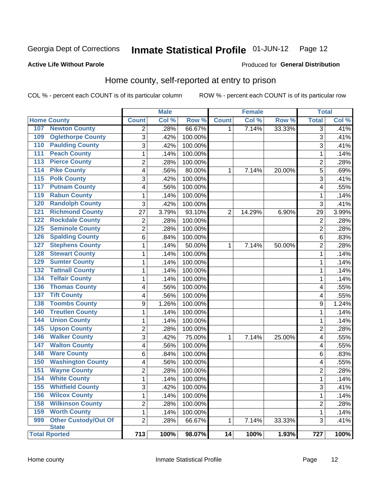#### Inmate Statistical Profile 01-JUN-12 Page 12

### **Active Life Without Parole**

### Produced for General Distribution

### Home county, self-reported at entry to prison

COL % - percent each COUNT is of its particular column

|                  |                                      |                         | <b>Male</b> |         |              | <b>Female</b> |        | <b>Total</b>            |        |
|------------------|--------------------------------------|-------------------------|-------------|---------|--------------|---------------|--------|-------------------------|--------|
|                  | <b>Home County</b>                   | <b>Count</b>            | Col %       | Row %   | <b>Count</b> | Col %         | Row %  | <b>Total</b>            | Col %  |
| 107              | <b>Newton County</b>                 | 2                       | .28%        | 66.67%  | 1            | 7.14%         | 33.33% | $\overline{3}$          | .41%   |
| 109              | <b>Oglethorpe County</b>             | 3                       | .42%        | 100.00% |              |               |        | 3                       | .41%   |
| 110              | <b>Paulding County</b>               | $\overline{3}$          | .42%        | 100.00% |              |               |        | 3                       | $-41%$ |
| 111              | <b>Peach County</b>                  | $\mathbf 1$             | .14%        | 100.00% |              |               |        | 1                       | .14%   |
| $\overline{113}$ | <b>Pierce County</b>                 | $\overline{c}$          | .28%        | 100.00% |              |               |        | $\overline{\mathbf{c}}$ | .28%   |
| 114              | <b>Pike County</b>                   | 4                       | .56%        | 80.00%  | 1            | 7.14%         | 20.00% | 5                       | .69%   |
| $\overline{115}$ | <b>Polk County</b>                   | 3                       | .42%        | 100.00% |              |               |        | 3                       | .41%   |
| 117              | <b>Putnam County</b>                 | 4                       | .56%        | 100.00% |              |               |        | 4                       | .55%   |
| 119              | <b>Rabun County</b>                  | $\mathbf 1$             | .14%        | 100.00% |              |               |        | 1                       | .14%   |
| 120              | <b>Randolph County</b>               | 3                       | .42%        | 100.00% |              |               |        | 3                       | .41%   |
| 121              | <b>Richmond County</b>               | 27                      | 3.79%       | 93.10%  | 2            | 14.29%        | 6.90%  | 29                      | 3.99%  |
| 122              | <b>Rockdale County</b>               | $\overline{\mathbf{c}}$ | .28%        | 100.00% |              |               |        | $\overline{2}$          | .28%   |
| 125              | <b>Seminole County</b>               | $\overline{2}$          | .28%        | 100.00% |              |               |        | $\overline{2}$          | .28%   |
| 126              | <b>Spalding County</b>               | 6                       | .84%        | 100.00% |              |               |        | 6                       | .83%   |
| 127              | <b>Stephens County</b>               | $\mathbf{1}$            | .14%        | 50.00%  | 1            | 7.14%         | 50.00% | $\overline{2}$          | .28%   |
| 128              | <b>Stewart County</b>                | 1                       | .14%        | 100.00% |              |               |        | 1                       | .14%   |
| 129              | <b>Sumter County</b>                 | $\mathbf 1$             | .14%        | 100.00% |              |               |        | 1                       | .14%   |
| 132              | <b>Tattnall County</b>               | $\mathbf 1$             | .14%        | 100.00% |              |               |        | 1                       | .14%   |
| 134              | <b>Telfair County</b>                | $\mathbf 1$             | .14%        | 100.00% |              |               |        | 1                       | .14%   |
| 136              | <b>Thomas County</b>                 | 4                       | .56%        | 100.00% |              |               |        | 4                       | .55%   |
| 137              | <b>Tift County</b>                   | 4                       | .56%        | 100.00% |              |               |        | 4                       | .55%   |
| 138              | <b>Toombs County</b>                 | 9                       | 1.26%       | 100.00% |              |               |        | 9                       | 1.24%  |
| 140              | <b>Treutlen County</b>               | $\mathbf 1$             | .14%        | 100.00% |              |               |        | 1                       | .14%   |
| 144              | <b>Union County</b>                  | 1                       | .14%        | 100.00% |              |               |        | 1                       | .14%   |
| 145              | <b>Upson County</b>                  | $\overline{c}$          | .28%        | 100.00% |              |               |        | $\overline{\mathbf{c}}$ | .28%   |
| 146              | <b>Walker County</b>                 | 3                       | .42%        | 75.00%  | 1            | 7.14%         | 25.00% | 4                       | .55%   |
| 147              | <b>Walton County</b>                 | 4                       | .56%        | 100.00% |              |               |        | 4                       | .55%   |
| 148              | <b>Ware County</b>                   | 6                       | .84%        | 100.00% |              |               |        | 6                       | .83%   |
| 150              | <b>Washington County</b>             | 4                       | .56%        | 100.00% |              |               |        | 4                       | .55%   |
| 151              | <b>Wayne County</b>                  | $\overline{2}$          | .28%        | 100.00% |              |               |        | 2                       | .28%   |
| 154              | <b>White County</b>                  | $\mathbf{1}$            | .14%        | 100.00% |              |               |        | 1                       | .14%   |
| 155              | <b>Whitfield County</b>              | 3                       | .42%        | 100.00% |              |               |        | 3                       | .41%   |
| 156              | <b>Wilcox County</b>                 | $\mathbf{1}$            | .14%        | 100.00% |              |               |        | 1                       | .14%   |
| 158              | <b>Wilkinson County</b>              | $\overline{2}$          | .28%        | 100.00% |              |               |        | $\overline{2}$          | .28%   |
| 159              | <b>Worth County</b>                  | $\mathbf{1}$            | .14%        | 100.00% |              |               |        | 1                       | .14%   |
| 999              | <b>Other Custody/Out Of</b>          | $\overline{2}$          | .28%        | 66.67%  | 1            | 7.14%         | 33.33% | 3                       | .41%   |
|                  | <b>State</b><br><b>Total Rported</b> | 713                     | 100%        | 98.07%  | 14           | 100%          | 1.93%  | 727                     | 100%   |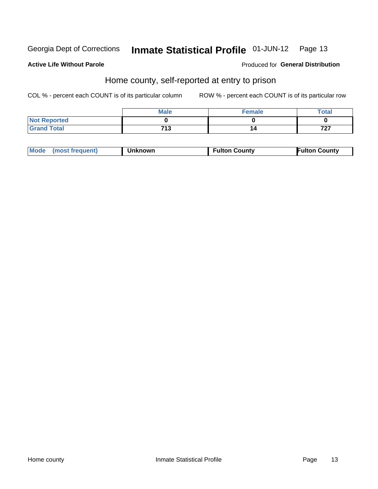#### Inmate Statistical Profile 01-JUN-12 Page 13

### **Active Life Without Parole**

### Produced for General Distribution

### Home county, self-reported at entry to prison

COL % - percent each COUNT is of its particular column

|                     | <b>Male</b>   | <b>Female</b> | Total        |
|---------------------|---------------|---------------|--------------|
| <b>Not Reported</b> |               |               |              |
| <b>Grand Total</b>  | 74 2<br>. . ၁ | 14            | フヘフ<br>1 L I |

| Mode (most frequent)<br><b>Unknown</b> | <b>Fulton County</b> | <b>Fulton County</b> |
|----------------------------------------|----------------------|----------------------|
|----------------------------------------|----------------------|----------------------|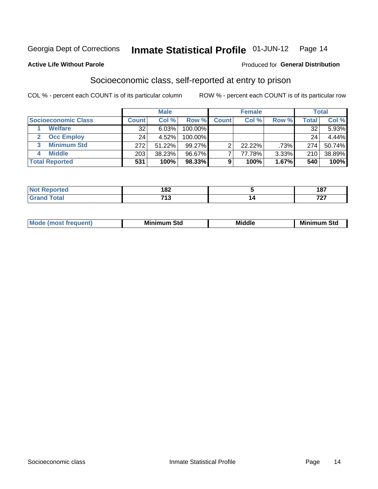#### Inmate Statistical Profile 01-JUN-12 Page 14

### **Active Life Without Parole**

### **Produced for General Distribution**

### Socioeconomic class, self-reported at entry to prison

COL % - percent each COUNT is of its particular column

|                       | <b>Male</b><br><b>Female</b> |        |            | <b>Total</b> |           |       |       |        |
|-----------------------|------------------------------|--------|------------|--------------|-----------|-------|-------|--------|
| Socioeconomic Class   | <b>Count</b>                 | Col %  | Row %      | <b>Count</b> | Col %     | Row % | Total | Col %  |
| <b>Welfare</b>        | 32                           | 6.03%  | 100.00%    |              |           |       | 32    | 5.93%  |
| <b>Occ Employ</b>     | 24                           | 4.52%  | $100.00\%$ |              |           |       | 24    | 4.44%  |
| <b>Minimum Std</b>    | 272                          | 51.22% | $99.27\%$  |              | $22.22\%$ | .73%  | 274   | 50.74% |
| <b>Middle</b>         | 203                          | 38.23% | 96.67%     |              | 77.78%    | 3.33% | 210   | 38.89% |
| <b>Total Reported</b> | 531                          | 100%   | 98.33%     |              | 100%      | 1.67% | 540   | 100%   |

|       | 000<br>.<br>___             | 40T<br>$\cdots$         |
|-------|-----------------------------|-------------------------|
| _____ | <b>749</b><br>. .<br>$\sim$ | $\rightarrow$<br>$\sim$ |

|--|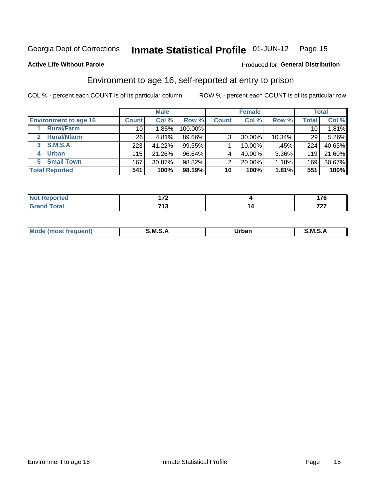#### Inmate Statistical Profile 01-JUN-12 Page 15

### **Active Life Without Parole**

### **Produced for General Distribution**

### Environment to age 16, self-reported at entry to prison

COL % - percent each COUNT is of its particular column

|                                    |                 | <b>Male</b> |           |              | <b>Female</b> |        |                 | <b>Total</b> |
|------------------------------------|-----------------|-------------|-----------|--------------|---------------|--------|-----------------|--------------|
| <b>Environment to age 16</b>       | <b>Count</b>    | Col %       | Row %     | <b>Count</b> | Col %         | Row %  | <b>Total</b>    | Col %        |
| <b>Rural/Farm</b>                  | 10              | 1.85%       | 100.00%   |              |               |        | 10 <sub>1</sub> | 1.81%        |
| <b>Rural/Nfarm</b><br>$\mathbf{2}$ | 26 <sub>1</sub> | 4.81%       | 89.66%    | 3            | 30.00%        | 10.34% | 29              | 5.26%        |
| S.M.S.A<br>3                       | 223             | 41.22%      | 99.55%    |              | 10.00%        | .45%   | 224             | 40.65%       |
| <b>Urban</b><br>4                  | 115             | 21.26%      | $96.64\%$ |              | 40.00%        | 3.36%  | 119             | 21.60%       |
| 5 Small Town                       | 167             | 30.87%      | 98.82%    | っ            | 20.00%        | 1.18%  | 169             | 30.67%       |
| <b>Total Reported</b>              | 541             | 100%        | 98.19%    | 10           | 100%          | 1.81%  | 551             | 100%         |

| Reported<br><b>NOT</b><br>$\sim$ | ---<br>.   |    | ---      |
|----------------------------------|------------|----|----------|
| <b>Total</b>                     | フィヘ<br>. . | 14 | 707<br>. |

| $Mc$ | M | <b>Jrhan</b> | M.     |
|------|---|--------------|--------|
|      |   | _____        | ______ |
|      |   |              |        |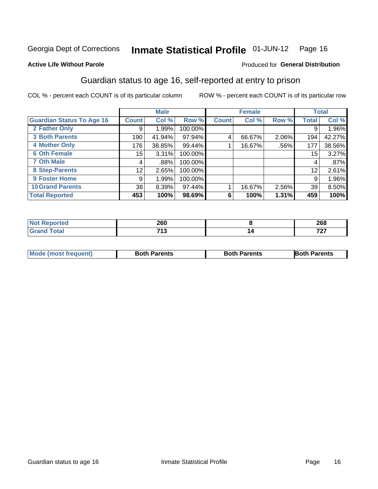#### Inmate Statistical Profile 01-JUN-12 Page 16

### **Active Life Without Parole**

### Produced for General Distribution

### Guardian status to age 16, self-reported at entry to prison

COL % - percent each COUNT is of its particular column

|                                  |              | <b>Male</b> |         |              | <b>Female</b> |         |       | <b>Total</b> |
|----------------------------------|--------------|-------------|---------|--------------|---------------|---------|-------|--------------|
| <b>Guardian Status To Age 16</b> | <b>Count</b> | Col %       | Row %   | <b>Count</b> | Col %         | Row %   | Total | Col %        |
| 2 Father Only                    | 9            | 1.99%       | 100.00% |              |               |         | 9     | 1.96%        |
| <b>3 Both Parents</b>            | 190          | 41.94%      | 97.94%  | 4            | 66.67%        | 2.06%   | 194   | 42.27%       |
| <b>4 Mother Only</b>             | 176          | 38.85%      | 99.44%  |              | 16.67%        | $.56\%$ | 177   | 38.56%       |
| <b>6 Oth Female</b>              | 15           | 3.31%       | 100.00% |              |               |         | 15    | 3.27%        |
| <b>7 Oth Male</b>                | 4            | .88%        | 100.00% |              |               |         | 4     | .87%         |
| 8 Step-Parents                   | 12           | 2.65%       | 100.00% |              |               |         | 12    | 2.61%        |
| 9 Foster Home                    | 9            | 1.99%       | 100.00% |              |               |         | 9     | 1.96%        |
| <b>10 Grand Parents</b>          | 38           | 8.39%       | 97.44%  |              | 16.67%        | 2.56%   | 39    | 8.50%        |
| <b>Total Reported</b>            | 453          | 100%        | 98.69%  | 6            | 100%          | 1.31%   | 459   | 100%         |

| ted   | sco<br>ZOU   | 268      |
|-------|--------------|----------|
| Total | 740<br>. . J | 707<br>. |

| <b>Mode (most frequent)</b> | <b>Both Parents</b> | <b>Both Parents</b> | <b>Both Parents</b> |
|-----------------------------|---------------------|---------------------|---------------------|
|                             |                     |                     |                     |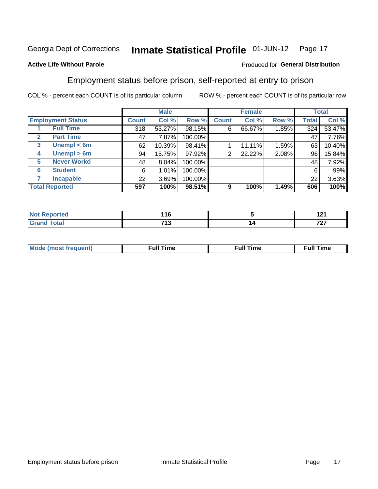#### Inmate Statistical Profile 01-JUN-12 Page 17

### **Active Life Without Parole**

### Produced for General Distribution

### Employment status before prison, self-reported at entry to prison

COL % - percent each COUNT is of its particular column

|                                  |              | <b>Male</b> |         |              | <b>Female</b> |       |              | <b>Total</b> |
|----------------------------------|--------------|-------------|---------|--------------|---------------|-------|--------------|--------------|
| <b>Employment Status</b>         | <b>Count</b> | Col %       | Row %   | <b>Count</b> | Col %         | Row % | <b>Total</b> | Col %        |
| <b>Full Time</b>                 | 318          | 53.27%      | 98.15%  | 6            | 66.67%        | 1.85% | 324          | 53.47%       |
| <b>Part Time</b><br>$\mathbf{2}$ | 47           | 7.87%       | 100.00% |              |               |       | 47           | 7.76%        |
| Unempl $<$ 6m<br>3               | 62           | 10.39%      | 98.41%  |              | 11.11%        | 1.59% | 63           | 10.40%       |
| $U$ nempl > 6m<br>4              | 94           | 15.75%      | 97.92%  | ⌒            | 22.22%        | 2.08% | 96           | 15.84%       |
| <b>Never Workd</b><br>5          | 48           | 8.04%       | 100.00% |              |               |       | 48           | 7.92%        |
| <b>Student</b><br>6              | 6            | 1.01%       | 100.00% |              |               |       | 6            | .99%         |
| <b>Incapable</b><br>7            | 22           | 3.69%       | 100.00% |              |               |       | 22           | 3.63%        |
| <b>Total Reported</b>            | 597          | 100%        | 98.51%  | 9            | 100%          | 1.49% | 606          | 100%         |

| тео.                   | 116        | 121<br>14 L |
|------------------------|------------|-------------|
| $f \wedge f \wedge f'$ | フィク<br>,,, | フヘフ<br>.    |

| M | the contract of the contract of the contract of the contract of the contract of the contract of the contract of | ---<br>mє<br> |
|---|-----------------------------------------------------------------------------------------------------------------|---------------|
|   |                                                                                                                 |               |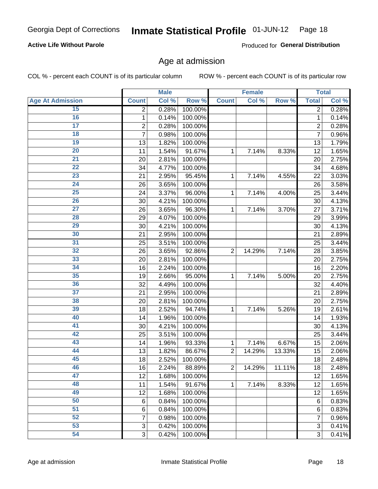#### Inmate Statistical Profile 01-JUN-12 Page 18

### **Active Life Without Parole**

Produced for General Distribution

### Age at admission

COL % - percent each COUNT is of its particular column

|                         |                           | <b>Male</b> |         |                | <b>Female</b> |        |                | <b>Total</b>        |
|-------------------------|---------------------------|-------------|---------|----------------|---------------|--------|----------------|---------------------|
| <b>Age At Admission</b> | <b>Count</b>              | Col %       | Row %   | <b>Count</b>   | Col %         | Row %  | <b>Total</b>   | Col %               |
| 15                      | 2                         | 0.28%       | 100.00% |                |               |        | $\overline{2}$ | 0.28%               |
| 16                      | 1                         | 0.14%       | 100.00% |                |               |        | 1              | 0.14%               |
| $\overline{17}$         | 2                         | 0.28%       | 100.00% |                |               |        | $\overline{2}$ | 0.28%               |
| 18                      | 7                         | 0.98%       | 100.00% |                |               |        | 7              | 0.96%               |
| $\overline{19}$         | 13                        | 1.82%       | 100.00% |                |               |        | 13             | 1.79%               |
| $\overline{20}$         | 11                        | 1.54%       | 91.67%  | 1              | 7.14%         | 8.33%  | 12             | 1.65%               |
| $\overline{21}$         | 20                        | 2.81%       | 100.00% |                |               |        | 20             | 2.75%               |
| $\overline{22}$         | 34                        | 4.77%       | 100.00% |                |               |        | 34             | 4.68%               |
| 23                      | 21                        | 2.95%       | 95.45%  | 1              | 7.14%         | 4.55%  | 22             | 3.03%               |
| $\overline{24}$         | 26                        | 3.65%       | 100.00% |                |               |        | 26             | 3.58%               |
| $\overline{25}$         | 24                        | 3.37%       | 96.00%  | 1              | 7.14%         | 4.00%  | 25             | 3.44%               |
| 26                      | 30                        | 4.21%       | 100.00% |                |               |        | 30             | 4.13%               |
| $\overline{27}$         | 26                        | 3.65%       | 96.30%  | $\mathbf{1}$   | 7.14%         | 3.70%  | 27             | 3.71%               |
| 28                      | 29                        | 4.07%       | 100.00% |                |               |        | 29             | 3.99%               |
| 29                      | 30                        | 4.21%       | 100.00% |                |               |        | 30             | 4.13%               |
| 30                      | 21                        | 2.95%       | 100.00% |                |               |        | 21             | 2.89%               |
| 31                      | 25                        | 3.51%       | 100.00% |                |               |        | 25             | 3.44%               |
| 32                      | 26                        | 3.65%       | 92.86%  | $\overline{2}$ | 14.29%        | 7.14%  | 28             | 3.85%               |
| 33                      | 20                        | 2.81%       | 100.00% |                |               |        | 20             | 2.75%               |
| 34                      | 16                        | 2.24%       | 100.00% |                |               |        | 16             | 2.20%               |
| 35                      | 19                        | 2.66%       | 95.00%  | $\mathbf{1}$   | 7.14%         | 5.00%  | 20             | 2.75%               |
| 36                      | 32                        | 4.49%       | 100.00% |                |               |        | 32             | 4.40%               |
| $\overline{37}$         | 21                        | 2.95%       | 100.00% |                |               |        | 21             | 2.89%               |
| 38                      | 20                        | 2.81%       | 100.00% |                |               |        | 20             | 2.75%               |
| 39                      | 18                        | 2.52%       | 94.74%  | 1              | 7.14%         | 5.26%  | 19             | 2.61%               |
| 40                      | 14                        | 1.96%       | 100.00% |                |               |        | 14             | 1.93%               |
| 41                      | 30                        | 4.21%       | 100.00% |                |               |        | 30             | 4.13%               |
| 42                      | 25                        | 3.51%       | 100.00% |                |               |        | 25             | 3.44%               |
| 43                      | 14                        | 1.96%       | 93.33%  | 1              | 7.14%         | 6.67%  | 15             | 2.06%               |
| 44                      | 13                        | 1.82%       | 86.67%  | $\overline{2}$ | 14.29%        | 13.33% | 15             | 2.06%               |
| 45                      | 18                        | 2.52%       | 100.00% |                |               |        | 18             | 2.48%               |
| 46                      | 16                        | 2.24%       | 88.89%  | 2              | 14.29%        | 11.11% | 18             | 2.48%               |
| 47                      | 12                        | 1.68%       | 100.00% |                |               |        | 12             | $\overline{1.65\%}$ |
| 48                      | 11                        | 1.54%       | 91.67%  | 1              | 7.14%         | 8.33%  | 12             | 1.65%               |
| 49                      | 12                        | 1.68%       | 100.00% |                |               |        | 12             | 1.65%               |
| 50                      | $6\phantom{1}6$           | 0.84%       | 100.00% |                |               |        | 6              | $\overline{0.83\%}$ |
| $\overline{51}$         | 6                         | 0.84%       | 100.00% |                |               |        | 6              | 0.83%               |
| 52                      | 7                         | 0.98%       | 100.00% |                |               |        | 7              | 0.96%               |
| 53                      | $\ensuremath{\mathsf{3}}$ | 0.42%       | 100.00% |                |               |        | 3              | 0.41%               |
| 54                      | $\overline{3}$            | 0.42%       | 100.00% |                |               |        | $\overline{3}$ | 0.41%               |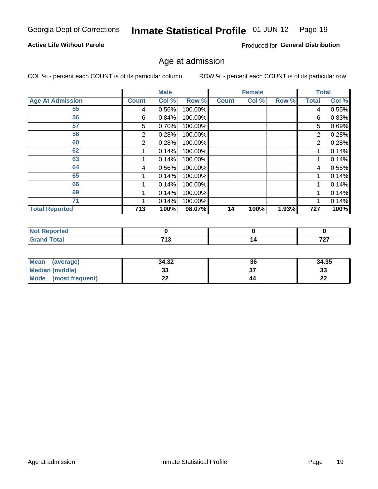#### Inmate Statistical Profile 01-JUN-12 Page 19

### **Active Life Without Parole**

Produced for General Distribution

### Age at admission

COL % - percent each COUNT is of its particular column

|                         |              | <b>Male</b> |         |              | <b>Female</b> |       |              | <b>Total</b> |
|-------------------------|--------------|-------------|---------|--------------|---------------|-------|--------------|--------------|
| <b>Age At Admission</b> | <b>Count</b> | Col %       | Row %   | <b>Count</b> | Col %         | Row % | <b>Total</b> | Col %        |
| 55                      | 4            | 0.56%       | 100.00% |              |               |       | 4            | 0.55%        |
| 56                      | 6            | 0.84%       | 100.00% |              |               |       | 6            | 0.83%        |
| 57                      | 5            | 0.70%       | 100.00% |              |               |       | 5            | 0.69%        |
| 58                      | 2            | 0.28%       | 100.00% |              |               |       | 2            | 0.28%        |
| 60                      | 2            | 0.28%       | 100.00% |              |               |       | 2            | 0.28%        |
| 62                      |              | 0.14%       | 100.00% |              |               |       |              | 0.14%        |
| 63                      |              | 0.14%       | 100.00% |              |               |       |              | 0.14%        |
| 64                      | 4            | 0.56%       | 100.00% |              |               |       | 4            | 0.55%        |
| 65                      |              | 0.14%       | 100.00% |              |               |       |              | 0.14%        |
| 66                      |              | 0.14%       | 100.00% |              |               |       |              | 0.14%        |
| 69                      |              | 0.14%       | 100.00% |              |               |       | 1            | 0.14%        |
| 71                      |              | 0.14%       | 100.00% |              |               |       |              | 0.14%        |
| <b>Total Reported</b>   | 713          | 100%        | 98.07%  | 14           | 100%          | 1.93% | 727          | 100%         |

| тео                |                     |    |          |
|--------------------|---------------------|----|----------|
| $A + A'$<br>______ | <b>749</b><br>7 I J | 14 | 707<br>- |

| Mean<br>(average)              | 34.32 | 36 | 34.35    |
|--------------------------------|-------|----|----------|
| <b>Median (middle)</b>         | ົ     |    | n.<br>ند |
| <b>Mode</b><br>(most frequent) | --    | 44 | n,<br>LL |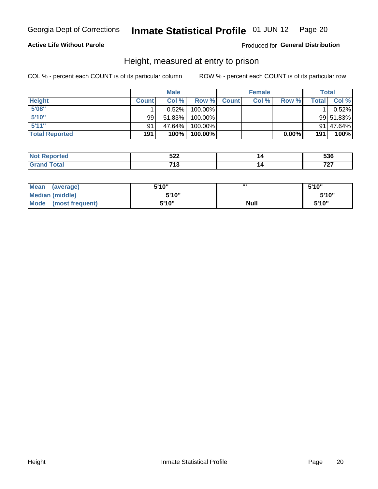#### Inmate Statistical Profile 01-JUN-12 Page 20

### **Active Life Without Parole**

### Produced for General Distribution

### Height, measured at entry to prison

COL % - percent each COUNT is of its particular column

|                       |              | <b>Male</b> |         |              | <b>Female</b> |          |              | Total     |
|-----------------------|--------------|-------------|---------|--------------|---------------|----------|--------------|-----------|
| <b>Height</b>         | <b>Count</b> | Col %       | Row %   | <b>Count</b> | Col %         | Row %    | <b>Total</b> | Col %     |
| 5'08''                |              | $0.52\%$    | 100.00% |              |               |          |              | 0.52%     |
| 5'10''                | 99           | 51.83%      | 100.00% |              |               |          |              | 99 51.83% |
| 5'11''                | 91           | 47.64%      | 100.00% |              |               |          |              | 91 47.64% |
| <b>Total Reported</b> | 191          | 100%        | 100.00% |              |               | $0.00\%$ | 191          | 100%      |

| <b>Not</b><br>∩rted<br>каоо | E00<br>JLL | $-0.0$<br>JJO |
|-----------------------------|------------|---------------|
| <b>Total</b><br>' Grand     | 74 O<br>IJ | 707           |

| <b>Mean</b><br>(average)       | 5'10'' | ш           | 5'10" |
|--------------------------------|--------|-------------|-------|
| <b>Median (middle)</b>         | 5'10"  |             | 5'10" |
| <b>Mode</b><br>(most frequent) | 5'10'' | <b>Null</b> | 5'10" |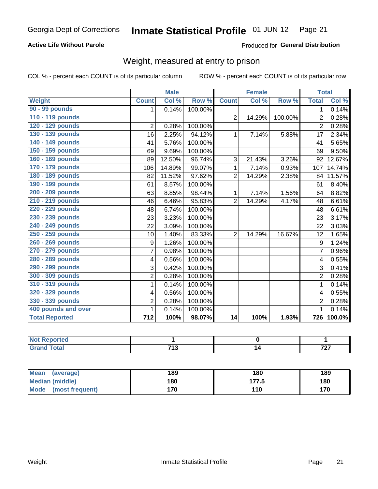#### Inmate Statistical Profile 01-JUN-12 Page 21

### **Active Life Without Parole**

### Produced for General Distribution

### Weight, measured at entry to prison

COL % - percent each COUNT is of its particular column

|                       |                         | <b>Male</b> |         |                | <b>Female</b> |         |                | <b>Total</b> |
|-----------------------|-------------------------|-------------|---------|----------------|---------------|---------|----------------|--------------|
| <b>Weight</b>         | <b>Count</b>            | Col %       | Row %   | <b>Count</b>   | Col %         | Row %   | <b>Total</b>   | Col %        |
| 90 - 99 pounds        | 1.                      | 0.14%       | 100.00% |                |               |         | 1 <sup>1</sup> | 0.14%        |
| 110 - 119 pounds      |                         |             |         | $\overline{2}$ | 14.29%        | 100.00% | $\overline{2}$ | 0.28%        |
| 120 - 129 pounds      | $\overline{2}$          | 0.28%       | 100.00% |                |               |         | $\overline{2}$ | 0.28%        |
| 130 - 139 pounds      | 16                      | 2.25%       | 94.12%  | 1              | 7.14%         | 5.88%   | 17             | 2.34%        |
| 140 - 149 pounds      | 41                      | 5.76%       | 100.00% |                |               |         | 41             | 5.65%        |
| 150 - 159 pounds      | 69                      | 9.69%       | 100.00% |                |               |         | 69             | 9.50%        |
| 160 - 169 pounds      | 89                      | 12.50%      | 96.74%  | 3              | 21.43%        | 3.26%   | 92             | 12.67%       |
| 170 - 179 pounds      | 106                     | 14.89%      | 99.07%  | 1              | 7.14%         | 0.93%   | 107            | 14.74%       |
| 180 - 189 pounds      | 82                      | 11.52%      | 97.62%  | $\overline{2}$ | 14.29%        | 2.38%   | 84             | 11.57%       |
| 190 - 199 pounds      | 61                      | 8.57%       | 100.00% |                |               |         | 61             | 8.40%        |
| 200 - 209 pounds      | 63                      | 8.85%       | 98.44%  | 1              | 7.14%         | 1.56%   | 64             | 8.82%        |
| 210 - 219 pounds      | 46                      | 6.46%       | 95.83%  | $\overline{2}$ | 14.29%        | 4.17%   | 48             | 6.61%        |
| 220 - 229 pounds      | 48                      | 6.74%       | 100.00% |                |               |         | 48             | 6.61%        |
| 230 - 239 pounds      | 23                      | 3.23%       | 100.00% |                |               |         | 23             | 3.17%        |
| 240 - 249 pounds      | 22                      | 3.09%       | 100.00% |                |               |         | 22             | 3.03%        |
| 250 - 259 pounds      | 10                      | 1.40%       | 83.33%  | $\overline{2}$ | 14.29%        | 16.67%  | 12             | 1.65%        |
| 260 - 269 pounds      | 9                       | 1.26%       | 100.00% |                |               |         | 9              | 1.24%        |
| 270 - 279 pounds      | 7                       | 0.98%       | 100.00% |                |               |         | $\overline{7}$ | 0.96%        |
| 280 - 289 pounds      | $\overline{\mathbf{4}}$ | 0.56%       | 100.00% |                |               |         | 4              | 0.55%        |
| 290 - 299 pounds      | 3                       | 0.42%       | 100.00% |                |               |         | 3              | 0.41%        |
| 300 - 309 pounds      | $\overline{2}$          | 0.28%       | 100.00% |                |               |         | $\overline{2}$ | 0.28%        |
| 310 - 319 pounds      | 1                       | 0.14%       | 100.00% |                |               |         | $\mathbf{1}$   | 0.14%        |
| 320 - 329 pounds      | 4                       | 0.56%       | 100.00% |                |               |         | 4              | 0.55%        |
| 330 - 339 pounds      | $\overline{2}$          | 0.28%       | 100.00% |                |               |         | $\overline{2}$ | 0.28%        |
| 400 pounds and over   | 1                       | 0.14%       | 100.00% |                |               |         | $\mathbf 1$    | 0.14%        |
| <b>Total Reported</b> | 712                     | 100%        | 98.07%  | 14             | 100%          | 1.93%   | 726            | 100.0%       |

| <b>Not Reported</b>     |          |              |
|-------------------------|----------|--------------|
| <b>c</b> otal<br>$\sim$ | 742<br>י | ラヘラ<br>1 Ł I |

| <b>Mean</b><br>(average)       | 189 | 180   | 189 |
|--------------------------------|-----|-------|-----|
| <b>Median (middle)</b>         | 180 | 177.5 | 180 |
| <b>Mode</b><br>(most frequent) | 170 | 110   | 170 |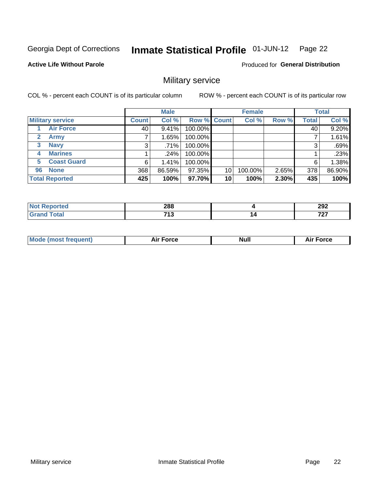#### Inmate Statistical Profile 01-JUN-12 Page 22

**Active Life Without Parole** 

**Produced for General Distribution** 

### Military service

COL % - percent each COUNT is of its particular column

|                             |              | <b>Male</b> |             |    | <b>Female</b> |       |              | <b>Total</b> |
|-----------------------------|--------------|-------------|-------------|----|---------------|-------|--------------|--------------|
| <b>Military service</b>     | <b>Count</b> | Col %       | Row % Count |    | Col %         | Row % | <b>Total</b> | Col %        |
| <b>Air Force</b>            | 40           | 9.41%       | 100.00%     |    |               |       | 40           | 9.20%        |
| $\mathbf{2}$<br><b>Army</b> |              | 1.65%       | 100.00%     |    |               |       |              | 1.61%        |
| <b>Navy</b><br>3            | 3            | .71%        | 100.00%     |    |               |       | 3            | .69%         |
| <b>Marines</b><br>4         |              | $.24\%$     | 100.00%     |    |               |       |              | .23%         |
| <b>Coast Guard</b><br>5     | 6            | 1.41%       | 100.00%     |    |               |       | 6            | 1.38%        |
| <b>None</b><br>96           | 368          | 86.59%      | 97.35%      | 10 | 100.00%       | 2.65% | 378          | 86.90%       |
| <b>Total Reported</b>       | 425          | 100%        | 97.70%      | 10 | 100%          | 2.30% | 435          | 100%         |

| <b>rted</b>            | 288<br>__ |    | 292 |
|------------------------|-----------|----|-----|
| $f \wedge f \wedge f'$ | 742       | 14 | $-$ |
| υιαι                   | - 19      |    | .   |

|  |  | <b>Mode</b><br>uent)<br>most tren | Force<br>Aır | <b>Null</b> | orce |
|--|--|-----------------------------------|--------------|-------------|------|
|--|--|-----------------------------------|--------------|-------------|------|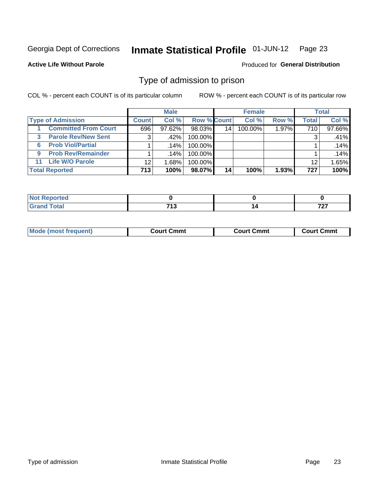#### Inmate Statistical Profile 01-JUN-12 Page 23

**Active Life Without Parole** 

**Produced for General Distribution** 

### Type of admission to prison

COL % - percent each COUNT is of its particular column

|                                 |              | <b>Male</b> |                    |    | <b>Female</b> |       |              | <b>Total</b> |
|---------------------------------|--------------|-------------|--------------------|----|---------------|-------|--------------|--------------|
| <b>Type of Admission</b>        | <b>Count</b> | Col %       | <b>Row % Count</b> |    | Col %         | Row % | <b>Total</b> | Col %        |
| <b>Committed From Court</b>     | 696          | $97.62\%$   | 98.03%             | 14 | 100.00%       | 1.97% | 710          | 97.66%       |
| <b>Parole Rev/New Sent</b><br>3 | 3            | $.42\%$     | 100.00%            |    |               |       | 3            | .41%         |
| <b>Prob Viol/Partial</b><br>6.  |              | .14%        | 100.00%            |    |               |       |              | .14%         |
| <b>Prob Rev/Remainder</b><br>9  |              | $.14\%$     | 100.00%            |    |               |       |              | .14%         |
| <b>Life W/O Parole</b><br>11    | 12           | 1.68%       | 100.00%            |    |               |       | 12           | 1.65%        |
| <b>Total Reported</b>           | 713          | 100%        | 98.07%             | 14 | 100%          | 1.93% | 727          | 100%         |

| <b>Anted</b><br><b>NOT</b> |            |        |
|----------------------------|------------|--------|
| Total                      | <b>749</b> | ラヘラ    |
| <b>C</b> roy               | . .        | $\sim$ |

| Mod<br>frequent)<br><b>TA IMOST 1.</b> | Court Cmmt<br>$\sim$ $\sim$ | วmmt<br>∴ourt | ∶ Cmmt<br>∴∩⊔rt∴ |
|----------------------------------------|-----------------------------|---------------|------------------|
|                                        |                             |               |                  |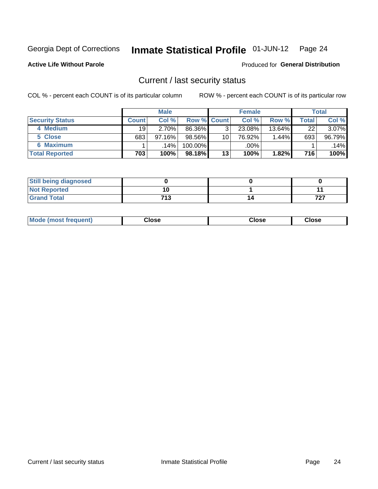#### Inmate Statistical Profile 01-JUN-12 Page 24

**Active Life Without Parole** 

**Produced for General Distribution** 

### Current / last security status

COL % - percent each COUNT is of its particular column

|                        |                 | <b>Male</b> |                    |    | <b>Female</b> |           |       | <b>Total</b> |
|------------------------|-----------------|-------------|--------------------|----|---------------|-----------|-------|--------------|
| <b>Security Status</b> | <b>Count</b>    | Col %       | <b>Row % Count</b> |    | Col %         | Row %     | Total | Col %        |
| 4 Medium               | 19 <sup>1</sup> | 2.70%       | 86.36%             | 3  | 23.08%        | $13.64\%$ | 22    | 3.07%        |
| 5 Close                | 683             | 97.16%      | 98.56%             | 10 | 76.92%        | 1.44%     | 693   | 96.79%       |
| 6 Maximum              |                 | .14%        | 100.00%            |    | .00%          |           |       | .14%         |
| <b>Total Reported</b>  | 703             | 100%        | $98.18\%$          | 13 | 100%          | 1.82%     | 716   | 100%         |

| <b>Still being diagnosed</b> |      |     |
|------------------------------|------|-----|
| <b>Not Reported</b>          |      |     |
| <b>Grand Total</b>           | 71 2 | 707 |

| <b>Mode (most frequent)</b> | Jlose | Close | Close |
|-----------------------------|-------|-------|-------|
|                             |       |       |       |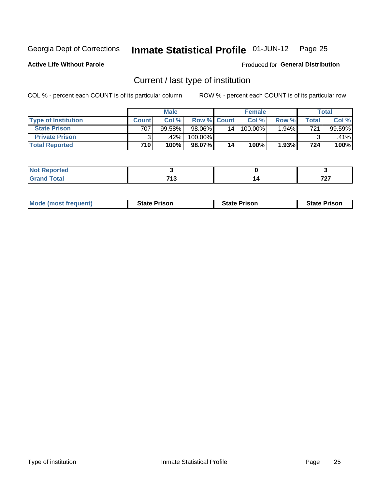#### Inmate Statistical Profile 01-JUN-12 Page 25

**Active Life Without Parole** 

Produced for General Distribution

### Current / last type of institution

COL % - percent each COUNT is of its particular column

|                            |       | <b>Male</b> |                    |    | <b>Female</b> |       |                          | <b>Total</b> |
|----------------------------|-------|-------------|--------------------|----|---------------|-------|--------------------------|--------------|
| <b>Type of Institution</b> | Count | Col %       | <b>Row % Count</b> |    | Col %         | Row % | $\mathsf{Total}_{\perp}$ | Col %        |
| <b>State Prison</b>        | 707   | 99.58%      | 98.06%             | 14 | $100.00\%$    | 1.94% | 721                      | 99.59%       |
| <b>Private Prison</b>      |       | .42%        | 100.00%            |    |               |       |                          | .41%         |
| <b>Total Reported</b>      | 710   | 100%        | 98.07%             | 14 | 100%          | 1.93% | 724                      | 100%         |

| τeα                         |                 |   |             |
|-----------------------------|-----------------|---|-------------|
| $\sim$ $\sim$ $\sim$ $\sim$ | 742<br>. .<br>. | ı | $\sim$<br>. |

| <b>Mode (most frequent)</b> | <b>State Prison</b> | <b>State Prison</b> | <b>State Prison</b> |
|-----------------------------|---------------------|---------------------|---------------------|
|                             |                     |                     |                     |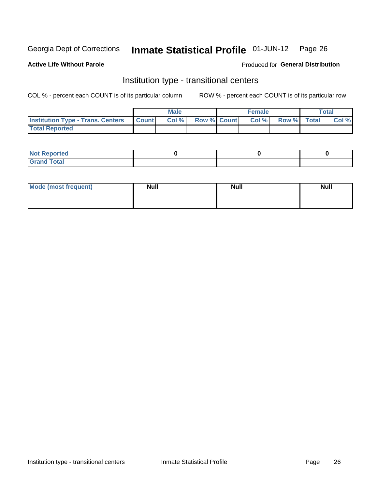#### Inmate Statistical Profile 01-JUN-12 Page 26

### **Active Life Without Parole**

### Produced for General Distribution

### Institution type - transitional centers

COL % - percent each COUNT is of its particular column

|                                                | Male  |                    | <b>Female</b> |                   | Total |
|------------------------------------------------|-------|--------------------|---------------|-------------------|-------|
| <b>Institution Type - Trans. Centers Count</b> | Col % | <b>Row % Count</b> |               | Col % Row % Total | Col % |
| <b>Total Reported</b>                          |       |                    |               |                   |       |

| <b>Reported</b><br><b>NOT</b><br>$\sim$            |  |  |
|----------------------------------------------------|--|--|
| $f$ $f \circ f \circ f$<br>$C = 1$<br><b>TULAI</b> |  |  |

| Mode (most frequent) | <b>Null</b> | <b>Null</b> | <b>Null</b> |
|----------------------|-------------|-------------|-------------|
|                      |             |             |             |
|                      |             |             |             |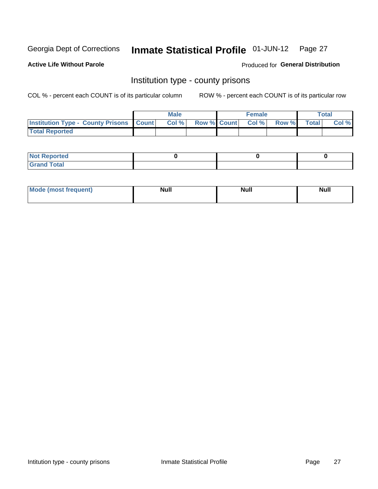#### Inmate Statistical Profile 01-JUN-12 Page 27

**Active Life Without Parole** 

**Produced for General Distribution** 

### Institution type - county prisons

COL % - percent each COUNT is of its particular column

|                                                    | <b>Male</b> |  | <b>Female</b>     |             | Total |
|----------------------------------------------------|-------------|--|-------------------|-------------|-------|
| <b>Institution Type - County Prisons   Count  </b> | Col %       |  | Row % Count Col % | Row % Total | Col % |
| <b>Total Reported</b>                              |             |  |                   |             |       |

| <b>Not</b><br>: Reported<br> |  |  |
|------------------------------|--|--|
| <b>Total</b><br>---          |  |  |

| <b>Mode</b>      | <b>Null</b> | <b>Null</b> | <b>Null</b> |
|------------------|-------------|-------------|-------------|
| (most freauent). |             |             |             |
|                  |             |             |             |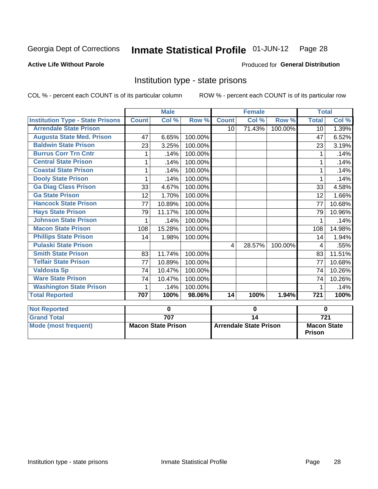# Inmate Statistical Profile 01-JUN-12 Page 28

### **Active Life Without Parole**

### **Produced for General Distribution**

### Institution type - state prisons

COL % - percent each COUNT is of its particular column ROW % - percent each COUNT is of its particular row

|                                         |              | <b>Male</b>               |         |                 | <b>Female</b>                 |                  | <b>Total</b>                        |        |
|-----------------------------------------|--------------|---------------------------|---------|-----------------|-------------------------------|------------------|-------------------------------------|--------|
| <b>Institution Type - State Prisons</b> | <b>Count</b> | Col %                     | Row %   | <b>Count</b>    | Col%                          | Row <sup>%</sup> | <b>Total</b>                        | Col %  |
| <b>Arrendale State Prison</b>           |              |                           |         | 10 <sup>°</sup> | 71.43%                        | 100.00%          | 10                                  | 1.39%  |
| <b>Augusta State Med. Prison</b>        | 47           | 6.65%                     | 100.00% |                 |                               |                  | 47                                  | 6.52%  |
| <b>Baldwin State Prison</b>             | 23           | 3.25%                     | 100.00% |                 |                               |                  | 23                                  | 3.19%  |
| <b>Burrus Corr Trn Cntr</b>             | 1            | .14%                      | 100.00% |                 |                               |                  | 1                                   | .14%   |
| <b>Central State Prison</b>             | 1            | .14%                      | 100.00% |                 |                               |                  |                                     | .14%   |
| <b>Coastal State Prison</b>             | 1            | .14%                      | 100.00% |                 |                               |                  |                                     | .14%   |
| <b>Dooly State Prison</b>               | 1            | .14%                      | 100.00% |                 |                               |                  | 1                                   | .14%   |
| <b>Ga Diag Class Prison</b>             | 33           | 4.67%                     | 100.00% |                 |                               |                  | 33                                  | 4.58%  |
| <b>Ga State Prison</b>                  | 12           | 1.70%                     | 100.00% |                 |                               |                  | 12                                  | 1.66%  |
| <b>Hancock State Prison</b>             | 77           | 10.89%                    | 100.00% |                 |                               |                  | 77                                  | 10.68% |
| <b>Hays State Prison</b>                | 79           | 11.17%                    | 100.00% |                 |                               |                  | 79                                  | 10.96% |
| <b>Johnson State Prison</b>             | 1            | .14%                      | 100.00% |                 |                               |                  | 1                                   | .14%   |
| <b>Macon State Prison</b>               | 108          | 15.28%                    | 100.00% |                 |                               |                  | 108                                 | 14.98% |
| <b>Phillips State Prison</b>            | 14           | 1.98%                     | 100.00% |                 |                               |                  | 14                                  | 1.94%  |
| <b>Pulaski State Prison</b>             |              |                           |         | $\overline{4}$  | 28.57%                        | 100.00%          | 4                                   | .55%   |
| <b>Smith State Prison</b>               | 83           | 11.74%                    | 100.00% |                 |                               |                  | 83                                  | 11.51% |
| <b>Telfair State Prison</b>             | 77           | 10.89%                    | 100.00% |                 |                               |                  | 77                                  | 10.68% |
| <b>Valdosta Sp</b>                      | 74           | 10.47%                    | 100.00% |                 |                               |                  | 74                                  | 10.26% |
| <b>Ware State Prison</b>                | 74           | 10.47%                    | 100.00% |                 |                               |                  | 74                                  | 10.26% |
| <b>Washington State Prison</b>          | 1            | .14%                      | 100.00% |                 |                               |                  | 1                                   | .14%   |
| <b>Total Reported</b>                   | 707          | 100%                      | 98.06%  | 14              | 100%                          | 1.94%            | $\overline{721}$                    | 100%   |
| <b>Not Reported</b>                     |              | 0                         |         | 0               |                               |                  | $\bf{0}$                            |        |
| <b>Grand Total</b>                      |              | 707                       |         | $\overline{14}$ |                               |                  | $\overline{721}$                    |        |
| <b>Mode (most frequent)</b>             |              | <b>Macon State Prison</b> |         |                 | <b>Arrendale State Prison</b> |                  | <b>Macon State</b><br><b>Prison</b> |        |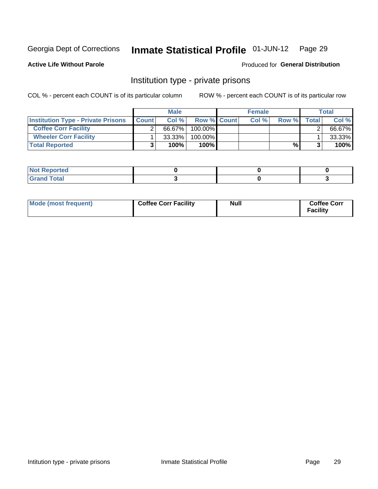#### Inmate Statistical Profile 01-JUN-12 Page 29

**Active Life Without Parole** 

Produced for General Distribution

### Institution type - private prisons

COL % - percent each COUNT is of its particular column

|                                           |              | <b>Male</b> |                    | <b>Female</b> |       |              | <b>Total</b> |
|-------------------------------------------|--------------|-------------|--------------------|---------------|-------|--------------|--------------|
| <b>Institution Type - Private Prisons</b> | <b>Count</b> | Col %       | <b>Row % Count</b> | Col%          | Row % | <b>Total</b> | Col %        |
| <b>Coffee Corr Facility</b>               |              | 66.67%      | $100.00\%$         |               |       |              | 66.67%       |
| <b>Wheeler Corr Facility</b>              |              | $33.33\%$   | 100.00%            |               |       |              | 33.33%       |
| <b>Total Reported</b>                     |              | 100%        | 100%               |               | %     |              | 100%         |

| orted<br>110110 |  |  |
|-----------------|--|--|
| <b>Total</b>    |  |  |

| Mode (most frequent) | <b>Coffee Corr Facility</b> | <b>Null</b> | <b>Coffee Corr</b><br><b>Facility</b> |
|----------------------|-----------------------------|-------------|---------------------------------------|
|----------------------|-----------------------------|-------------|---------------------------------------|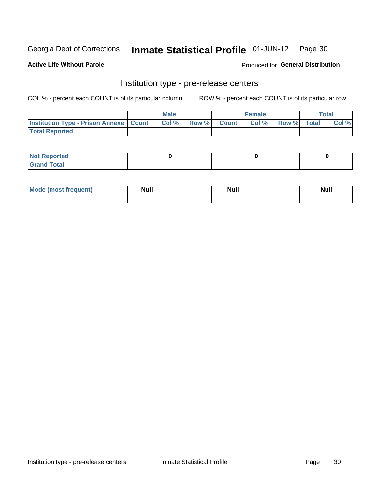## Inmate Statistical Profile 01-JUN-12 Page 30

**Active Life Without Parole** 

Produced for General Distribution

# Institution type - pre-release centers

COL % - percent each COUNT is of its particular column

|                                                   | <b>Male</b> |              |       | <b>Female</b> |                    | <b>Total</b> |
|---------------------------------------------------|-------------|--------------|-------|---------------|--------------------|--------------|
| <b>Institution Type - Prison Annexe   Count  </b> | Col %       | <b>Row %</b> | Count | Col %         | <b>Row %</b> Total | Col %        |
| <b>Total Reported</b>                             |             |              |       |               |                    |              |

| <b>Reported</b><br>I NOT |  |  |
|--------------------------|--|--|
| <b>Total</b><br>$C$ ren  |  |  |

| $^{\circ}$ Mo<br>frequent)<br>⊥(most | <b>Null</b> | Noll<br><b>vull</b> | <b>Null</b> |
|--------------------------------------|-------------|---------------------|-------------|
|                                      |             |                     |             |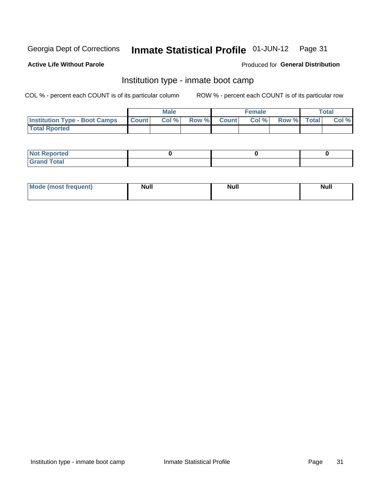#### Inmate Statistical Profile 01-JUN-12 Page 31

### **Active Life Without Parole**

### Produced for General Distribution

### Institution type - inmate boot camp

COL % - percent each COUNT is of its particular column

|                                      |              | <b>Male</b> |               |              | <b>Female</b> |             | <b>Total</b> |
|--------------------------------------|--------------|-------------|---------------|--------------|---------------|-------------|--------------|
| <b>Institution Type - Boot Camps</b> | <b>Count</b> | Col %       | <b>Row %I</b> | <b>Count</b> | Col %         | Row % Total | Col %        |
| <b>Total Rported</b>                 |              |             |               |              |               |             |              |

| <b>Not Reported</b> |  |  |
|---------------------|--|--|
| <b>Total</b><br>Cro |  |  |

| <b>I Mode (most frequent)</b> | <b>Null</b> | <b>Null</b> | <b>Null</b> |
|-------------------------------|-------------|-------------|-------------|
|                               |             |             |             |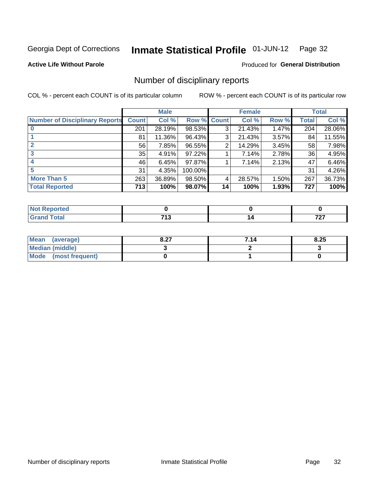#### Inmate Statistical Profile 01-JUN-12 Page 32

**Active Life Without Parole** 

Produced for General Distribution

### Number of disciplinary reports

COL % - percent each COUNT is of its particular column

|                                       |              | <b>Male</b> |                    |                 | <b>Female</b> |       |       | <b>Total</b> |
|---------------------------------------|--------------|-------------|--------------------|-----------------|---------------|-------|-------|--------------|
| <b>Number of Disciplinary Reports</b> | <b>Count</b> | Col %       | <b>Row % Count</b> |                 | Col %         | Row % | Total | Col %        |
|                                       | 201          | 28.19%      | 98.53%             | 3               | 21.43%        | 1.47% | 204   | 28.06%       |
|                                       | 81           | 11.36%      | 96.43%             | 3               | 21.43%        | 3.57% | 84    | 11.55%       |
| $\mathbf{2}$                          | 56           | 7.85%       | 96.55%             | 2               | 14.29%        | 3.45% | 58    | 7.98%        |
| 3                                     | 35           | 4.91%       | 97.22%             |                 | 7.14%         | 2.78% | 36    | 4.95%        |
|                                       | 46           | 6.45%       | 97.87%             |                 | 7.14%         | 2.13% | 47    | 6.46%        |
| 5                                     | 31           | 4.35%       | 100.00%            |                 |               |       | 31    | 4.26%        |
| More Than 5                           | 263          | 36.89%      | 98.50%             | 4               | 28.57%        | 1.50% | 267   | 36.73%       |
| <b>Total Reported</b>                 | 713'         | 100%        | 98.07%             | 14 <sub>1</sub> | 100%          | 1.93% | 727   | 100%         |

| N<br>ueo     |              |                     |
|--------------|--------------|---------------------|
| <b>Total</b> | 741<br>7 I J | 707<br>$\mathbf{r}$ |

| Mean (average)       | ר ס<br>o.z1 | 7.14 | 8.25 |
|----------------------|-------------|------|------|
| Median (middle)      |             |      |      |
| Mode (most frequent) |             |      |      |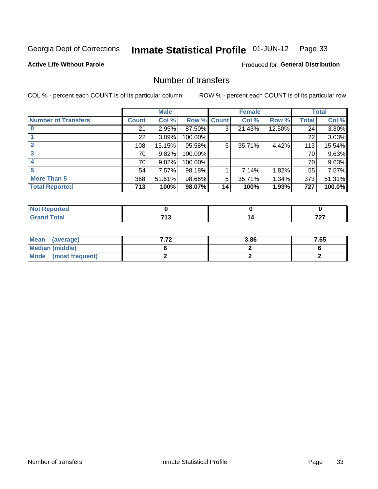#### Inmate Statistical Profile 01-JUN-12 Page 33

**Active Life Without Parole** 

**Produced for General Distribution** 

### Number of transfers

COL % - percent each COUNT is of its particular column

|                            |                 | <b>Male</b> |                    |    | <b>Female</b> |        |              | <b>Total</b> |
|----------------------------|-----------------|-------------|--------------------|----|---------------|--------|--------------|--------------|
| <b>Number of Transfers</b> | <b>Count</b>    | Col %       | <b>Row % Count</b> |    | Col %         | Row %  | <b>Total</b> | Col %        |
|                            | 21              | 2.95%       | 87.50%             | 3  | 21.43%        | 12.50% | 24           | 3.30%        |
|                            | 22 <sub>1</sub> | 3.09%       | 100.00%            |    |               |        | 22           | 3.03%        |
| $\mathbf{2}$               | 108             | 15.15%      | 95.58%             | 5  | 35.71%        | 4.42%  | 113          | 15.54%       |
| 3                          | 70              | 9.82%       | 100.00%            |    |               |        | 70 I         | 9.63%        |
|                            | 70              | 9.82%       | 100.00%            |    |               |        | 70           | 9.63%        |
| 5                          | 54              | 7.57%       | 98.18%             |    | 7.14%         | 1.82%  | 55           | 7.57%        |
| <b>More Than 5</b>         | 368             | 51.61%      | 98.66%             | 5  | 35.71%        | 1.34%  | 373          | 51.31%       |
| <b>Total Reported</b>      | 713             | 100%        | 98.07%             | 14 | 100%          | 1.93%  | 727          | 100.0%       |

| <b>orted</b><br>NOT I<br>. <b>.</b> <u>.</u> |             |          |
|----------------------------------------------|-------------|----------|
| <b>f</b> otal                                | 74 C<br>. . | 707<br>. |

| Mean (average)       | 3.86 | 7.65 |
|----------------------|------|------|
| Median (middle)      |      |      |
| Mode (most frequent) |      |      |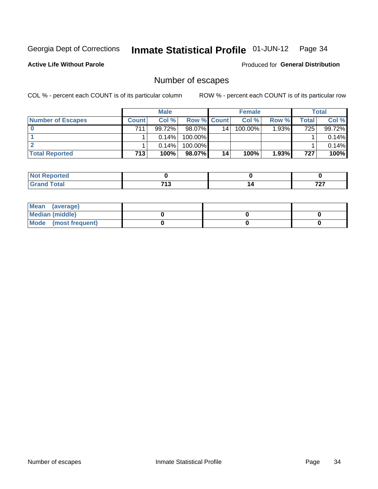#### Inmate Statistical Profile 01-JUN-12 Page 34

**Active Life Without Parole** 

**Produced for General Distribution** 

### Number of escapes

COL % - percent each COUNT is of its particular column

|                          |              | <b>Male</b> |                    |    | <b>Female</b> |       |       | <b>Total</b> |
|--------------------------|--------------|-------------|--------------------|----|---------------|-------|-------|--------------|
| <b>Number of Escapes</b> | <b>Count</b> | Col%        | <b>Row % Count</b> |    | Col %         | Row % | Total | Col %        |
|                          | 711          | 99.72%      | 98.07%             | 14 | $100.00\%$    | 1.93% | 725   | 99.72%       |
|                          |              | $0.14\%$    | 100.00%            |    |               |       |       | 0.14%        |
|                          |              | $0.14\%$    | 100.00%            |    |               |       |       | 0.14%        |
| <b>Total Reported</b>    | 713          | 100%        | 98.07%             | 14 | 100%          | 1.93% | 727   | 100%         |

| orted<br><b>AND REPORT</b> |      |     |
|----------------------------|------|-----|
| <b>fotal</b>               | 74.2 | 707 |
| Grand                      | . .  |     |

| Mean (average)       |  |  |
|----------------------|--|--|
| Median (middle)      |  |  |
| Mode (most frequent) |  |  |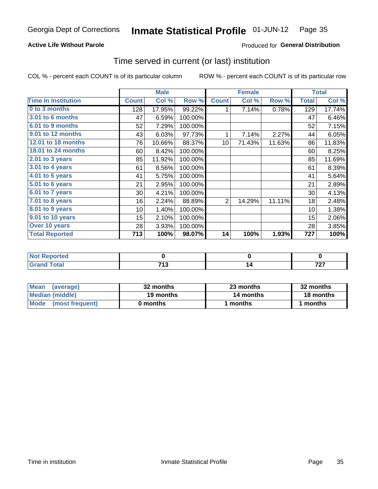#### Inmate Statistical Profile 01-JUN-12 Page 35

### **Active Life Without Parole**

### **Produced for General Distribution**

### Time served in current (or last) institution

COL % - percent each COUNT is of its particular column

|                            |              | <b>Male</b> |         |                 | <b>Female</b> |        |              | <b>Total</b> |
|----------------------------|--------------|-------------|---------|-----------------|---------------|--------|--------------|--------------|
| <b>Time In Institution</b> | <b>Count</b> | Col %       | Row %   | <b>Count</b>    | Col %         | Row %  | <b>Total</b> | Col %        |
| 0 to 3 months              | 128          | 17.95%      | 99.22%  | 1               | 7.14%         | 0.78%  | 129          | 17.74%       |
| <b>3.01 to 6 months</b>    | 47           | 6.59%       | 100.00% |                 |               |        | 47           | 6.46%        |
| 6.01 to 9 months           | 52           | 7.29%       | 100.00% |                 |               |        | 52           | 7.15%        |
| 9.01 to 12 months          | 43           | 6.03%       | 97.73%  | 1               | 7.14%         | 2.27%  | 44           | 6.05%        |
| 12.01 to 18 months         | 76           | 10.66%      | 88.37%  | 10 <sup>1</sup> | 71.43%        | 11.63% | 86           | 11.83%       |
| 18.01 to 24 months         | 60           | 8.42%       | 100.00% |                 |               |        | 60           | 8.25%        |
| $2.01$ to 3 years          | 85           | 11.92%      | 100.00% |                 |               |        | 85           | 11.69%       |
| 3.01 to 4 years            | 61           | 8.56%       | 100.00% |                 |               |        | 61           | 8.39%        |
| 4.01 to 5 years            | 41           | 5.75%       | 100.00% |                 |               |        | 41           | 5.64%        |
| 5.01 to 6 years            | 21           | 2.95%       | 100.00% |                 |               |        | 21           | 2.89%        |
| 6.01 to 7 years            | 30           | 4.21%       | 100.00% |                 |               |        | 30           | 4.13%        |
| 7.01 to 8 years            | 16           | 2.24%       | 88.89%  | $\overline{2}$  | 14.29%        | 11.11% | 18           | 2.48%        |
| $8.01$ to 9 years          | 10           | 1.40%       | 100.00% |                 |               |        | 10           | 1.38%        |
| 9.01 to 10 years           | 15           | 2.10%       | 100.00% |                 |               |        | 15           | 2.06%        |
| Over 10 years              | 28           | 3.93%       | 100.00% |                 |               |        | 28           | 3.85%        |
| <b>Total Reported</b>      | 713          | 100%        | 98.07%  | 14              | 100%          | 1.93%  | 727          | 100%         |

| <b>Not Reported</b> |                     |               |
|---------------------|---------------------|---------------|
| <b>Total</b>        | <b>740</b><br>7 I J | 707<br>$\sim$ |

| <b>Mean</b><br>(average) | 32 months | 23 months | 32 months |  |
|--------------------------|-----------|-----------|-----------|--|
| Median (middle)          | 19 months | 14 months | 18 months |  |
| Mode (most frequent)     | 0 months  | 1 months  | 1 months  |  |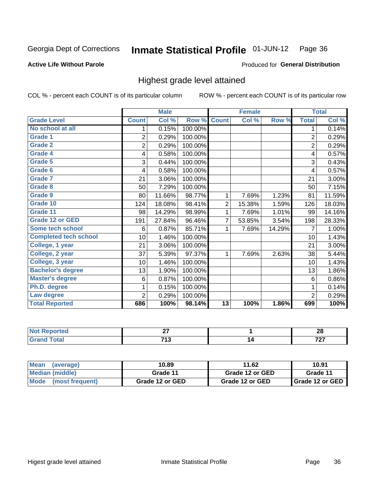#### Inmate Statistical Profile 01-JUN-12 Page 36

### **Active Life Without Parole**

### Produced for General Distribution

### Highest grade level attained

COL % - percent each COUNT is of its particular column

|                              |                 | <b>Male</b> |         |                 | <b>Female</b> |        |                | <b>Total</b> |
|------------------------------|-----------------|-------------|---------|-----------------|---------------|--------|----------------|--------------|
| <b>Grade Level</b>           | <b>Count</b>    | Col %       | Row %   | <b>Count</b>    | Col %         | Row %  | <b>Total</b>   | Col %        |
| No school at all             | 1               | 0.15%       | 100.00% |                 |               |        | 1              | 0.14%        |
| <b>Grade 1</b>               | $\overline{c}$  | 0.29%       | 100.00% |                 |               |        | $\overline{2}$ | 0.29%        |
| <b>Grade 2</b>               | $\overline{2}$  | 0.29%       | 100.00% |                 |               |        | $\overline{c}$ | 0.29%        |
| <b>Grade 4</b>               | 4               | 0.58%       | 100.00% |                 |               |        | 4              | 0.57%        |
| Grade 5                      | 3               | 0.44%       | 100.00% |                 |               |        | 3              | 0.43%        |
| Grade 6                      | 4               | 0.58%       | 100.00% |                 |               |        | 4              | 0.57%        |
| <b>Grade 7</b>               | 21              | 3.06%       | 100.00% |                 |               |        | 21             | 3.00%        |
| <b>Grade 8</b>               | 50              | 7.29%       | 100.00% |                 |               |        | 50             | 7.15%        |
| <b>Grade 9</b>               | 80              | 11.66%      | 98.77%  | 1               | 7.69%         | 1.23%  | 81             | 11.59%       |
| Grade 10                     | 124             | 18.08%      | 98.41%  | $\overline{c}$  | 15.38%        | 1.59%  | 126            | 18.03%       |
| Grade 11                     | 98              | 14.29%      | 98.99%  | 1               | 7.69%         | 1.01%  | 99             | 14.16%       |
| <b>Grade 12 or GED</b>       | 191             | 27.84%      | 96.46%  | 7               | 53.85%        | 3.54%  | 198            | 28.33%       |
| <b>Some tech school</b>      | 6               | 0.87%       | 85.71%  | 1               | 7.69%         | 14.29% | 7              | 1.00%        |
| <b>Completed tech school</b> | 10 <sup>1</sup> | 1.46%       | 100.00% |                 |               |        | 10             | 1.43%        |
| College, 1 year              | 21              | 3.06%       | 100.00% |                 |               |        | 21             | 3.00%        |
| College, 2 year              | 37              | 5.39%       | 97.37%  | 1               | 7.69%         | 2.63%  | 38             | 5.44%        |
| College, 3 year              | 10              | 1.46%       | 100.00% |                 |               |        | 10             | 1.43%        |
| <b>Bachelor's degree</b>     | 13              | 1.90%       | 100.00% |                 |               |        | 13             | 1.86%        |
| <b>Master's degree</b>       | 6               | 0.87%       | 100.00% |                 |               |        | 6              | 0.86%        |
| Ph.D. degree                 | 1               | 0.15%       | 100.00% |                 |               |        | 1              | 0.14%        |
| Law degree                   | 2               | 0.29%       | 100.00% |                 |               |        | $\overline{2}$ | 0.29%        |
| <b>Total Reported</b>        | 686             | 100%        | 98.14%  | $\overline{13}$ | 100%          | 1.86%  | 699            | 100%         |

| orted      | ~-<br>$ -$    | ົ<br>ŽΌ           |
|------------|---------------|-------------------|
| <b>ota</b> | 74 º<br>- 1 + | $\mathbf{z}$<br>. |

| <b>Mean</b><br>(average) | 10.89           | 11.62           | 10.91             |
|--------------------------|-----------------|-----------------|-------------------|
| <b>Median (middle)</b>   | Grade 11        | Grade 12 or GED | Grade 11          |
| Mode (most frequent)     | Grade 12 or GED | Grade 12 or GED | I Grade 12 or GED |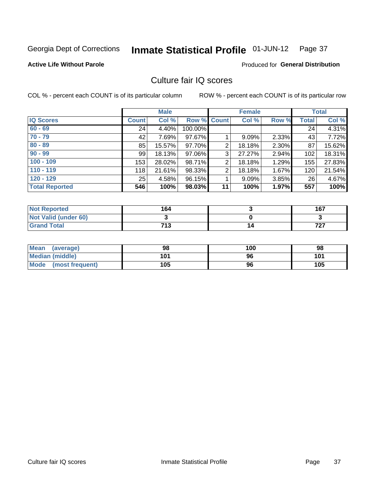#### Inmate Statistical Profile 01-JUN-12 Page 37

### **Active Life Without Parole**

#### Produced for General Distribution

# Culture fair IQ scores

COL % - percent each COUNT is of its particular column

|                       |              | <b>Male</b> |                    |                | <b>Female</b> |       |              | <b>Total</b> |
|-----------------------|--------------|-------------|--------------------|----------------|---------------|-------|--------------|--------------|
| <b>IQ Scores</b>      | <b>Count</b> | Col %       | <b>Row % Count</b> |                | Col %         | Row % | <b>Total</b> | Col %        |
| $60 - 69$             | 24           | 4.40%       | 100.00%            |                |               |       | 24           | 4.31%        |
| $70 - 79$             | 42           | 7.69%       | 97.67%             |                | 9.09%         | 2.33% | 43           | 7.72%        |
| $80 - 89$             | 85           | 15.57%      | 97.70%             | $\overline{2}$ | 18.18%        | 2.30% | 87           | 15.62%       |
| $90 - 99$             | 99           | 18.13%      | 97.06%             | 3              | 27.27%        | 2.94% | 102          | 18.31%       |
| $100 - 109$           | 153          | 28.02%      | 98.71%             | 2              | 18.18%        | 1.29% | 155          | 27.83%       |
| $110 - 119$           | 118          | 21.61%      | 98.33%             | $\overline{2}$ | 18.18%        | 1.67% | 120          | 21.54%       |
| $120 - 129$           | 25           | 4.58%       | 96.15%             |                | 9.09%         | 3.85% | 26           | 4.67%        |
| <b>Total Reported</b> | 546          | 100%        | 98.03%             | 11             | 100%          | 1.97% | 557          | 100%         |

| <b>Not Reported</b>         | 164 | 167          |
|-----------------------------|-----|--------------|
| <b>Not Valid (under 60)</b> |     |              |
| <b>Grand Total</b>          | 713 | フヘフ<br>1 Z I |

| Mean (average)       | 98  | 100 | 98  |
|----------------------|-----|-----|-----|
| Median (middle)      | 101 | 96  | 101 |
| Mode (most frequent) | 105 | 96  | 105 |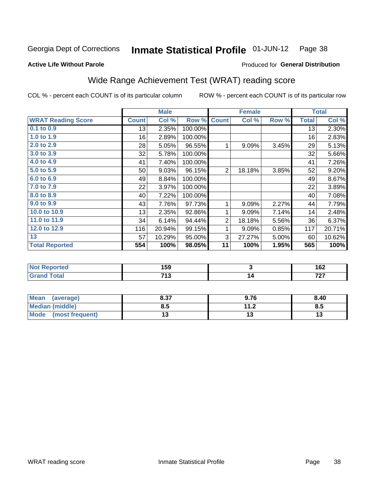#### Inmate Statistical Profile 01-JUN-12 Page 38

#### **Active Life Without Parole**

## Produced for General Distribution

# Wide Range Achievement Test (WRAT) reading score

COL % - percent each COUNT is of its particular column

|                           |              | <b>Male</b> |         |                | <b>Female</b>           |       |              | <b>Total</b> |
|---------------------------|--------------|-------------|---------|----------------|-------------------------|-------|--------------|--------------|
| <b>WRAT Reading Score</b> | <b>Count</b> | Col %       | Row %   | <b>Count</b>   | Col %                   | Row % | <b>Total</b> | Col %        |
| $0.1$ to $0.9$            | 13           | 2.35%       | 100.00% |                |                         |       | 13           | 2.30%        |
| 1.0 to 1.9                | 16           | 2.89%       | 100.00% |                |                         |       | 16           | 2.83%        |
| 2.0 to 2.9                | 28           | 5.05%       | 96.55%  | 1              | 9.09%                   | 3.45% | 29           | 5.13%        |
| 3.0 to 3.9                | 32           | 5.78%       | 100.00% |                |                         |       | 32           | 5.66%        |
| 4.0 to 4.9                | 41           | 7.40%       | 100.00% |                |                         |       | 41           | 7.26%        |
| 5.0 to 5.9                | 50           | 9.03%       | 96.15%  | $\overline{2}$ | 18.18%                  | 3.85% | 52           | 9.20%        |
| 6.0 to 6.9                | 49           | 8.84%       | 100.00% |                |                         |       | 49           | 8.67%        |
| 7.0 to 7.9                | 22           | 3.97%       | 100.00% |                |                         |       | 22           | 3.89%        |
| 8.0 to 8.9                | 40           | 7.22%       | 100.00% |                |                         |       | 40           | 7.08%        |
| 9.0 to 9.9                | 43           | 7.76%       | 97.73%  | 1              | 9.09%                   | 2.27% | 44           | 7.79%        |
| 10.0 to 10.9              | 13           | 2.35%       | 92.86%  | 1              | 9.09%                   | 7.14% | 14           | 2.48%        |
| 11.0 to 11.9              | 34           | 6.14%       | 94.44%  | 2              | 18.18%                  | 5.56% | 36           | 6.37%        |
| 12.0 to 12.9              | 116          | 20.94%      | 99.15%  | 1              | 9.09%                   | 0.85% | 117          | 20.71%       |
| 13                        | 57           | 10.29%      | 95.00%  | 3              | 27.27%                  | 5.00% | 60           | 10.62%       |
| <b>Total Reported</b>     | 554          | 100%        | 98.05%  | 11             | 100%                    | 1.95% | 565          | 100%         |
|                           |              |             |         |                |                         |       |              |              |
| <b>Not Reported</b>       |              | 159         |         |                | $\overline{\mathbf{3}}$ |       |              | 162          |
| <b>Grand Total</b>        |              | 713         |         |                | 14                      |       |              | 727          |

| <b>Mean</b><br>(average) | 0.27<br>0.0. | 9.76 | 8.40 |
|--------------------------|--------------|------|------|
| <b>Median (middle)</b>   | 8.5          | 11.2 | Ծ.J  |
| Mode<br>(most frequent)  |              | ıw   | טו   |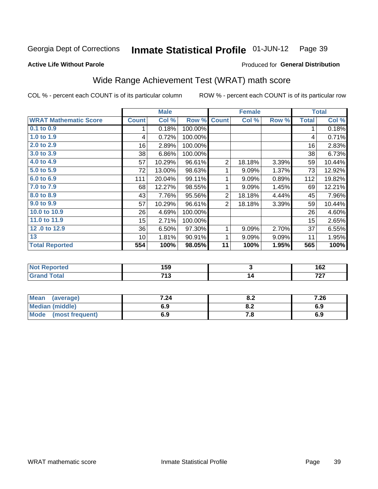#### Inmate Statistical Profile 01-JUN-12 Page 39

### **Active Life Without Parole**

## Produced for General Distribution

# Wide Range Achievement Test (WRAT) math score

COL % - percent each COUNT is of its particular column

|                              |              | <b>Male</b> |         |                | <b>Female</b> |       |              | <b>Total</b> |
|------------------------------|--------------|-------------|---------|----------------|---------------|-------|--------------|--------------|
| <b>WRAT Mathematic Score</b> | <b>Count</b> | Col %       | Row %   | <b>Count</b>   | Col %         | Row % | <b>Total</b> | Col %        |
| 0.1 to 0.9                   | 1.           | 0.18%       | 100.00% |                |               |       | 1            | 0.18%        |
| 1.0 to 1.9                   | 4            | 0.72%       | 100.00% |                |               |       | 4            | 0.71%        |
| 2.0 to 2.9                   | 16           | 2.89%       | 100.00% |                |               |       | 16           | 2.83%        |
| 3.0 to 3.9                   | 38           | 6.86%       | 100.00% |                |               |       | 38           | 6.73%        |
| 4.0 to 4.9                   | 57           | 10.29%      | 96.61%  | $\overline{2}$ | 18.18%        | 3.39% | 59           | 10.44%       |
| 5.0 to 5.9                   | 72           | 13.00%      | 98.63%  | 1              | 9.09%         | 1.37% | 73           | 12.92%       |
| 6.0 to 6.9                   | 111          | 20.04%      | 99.11%  | 1              | 9.09%         | 0.89% | 112          | 19.82%       |
| 7.0 to 7.9                   | 68           | 12.27%      | 98.55%  | 1              | 9.09%         | 1.45% | 69           | 12.21%       |
| 8.0 to 8.9                   | 43           | 7.76%       | 95.56%  | $\overline{2}$ | 18.18%        | 4.44% | 45           | 7.96%        |
| 9.0 to 9.9                   | 57           | 10.29%      | 96.61%  | $\overline{2}$ | 18.18%        | 3.39% | 59           | 10.44%       |
| 10.0 to 10.9                 | 26           | 4.69%       | 100.00% |                |               |       | 26           | 4.60%        |
| 11.0 to 11.9                 | 15           | 2.71%       | 100.00% |                |               |       | 15           | 2.65%        |
| 12.0 to 12.9                 | 36           | 6.50%       | 97.30%  | 1              | 9.09%         | 2.70% | 37           | 6.55%        |
| 13                           | 10           | 1.81%       | 90.91%  | 1              | 9.09%         | 9.09% | 11           | 1.95%        |
| <b>Total Reported</b>        | 554          | 100%        | 98.05%  | 11             | 100%          | 1.95% | 565          | 100%         |
|                              |              |             |         |                |               |       |              |              |
| <b>Not Reported</b>          |              | 159         |         |                | 3             |       |              | 162          |
| <b>Grand Total</b>           |              | 713         |         |                | 14            |       |              | 727          |
|                              |              |             |         |                |               |       |              |              |

| <b>Mean</b><br>(average)       | 7.24 | 0.Z                           | 7.26 |
|--------------------------------|------|-------------------------------|------|
| <b>Median (middle)</b>         | 6.9  | $\mathbf{0} \cdot \mathbf{L}$ | 6.9  |
| <b>Mode</b><br>(most frequent) | 6.9  | 7.O                           | 6.9  |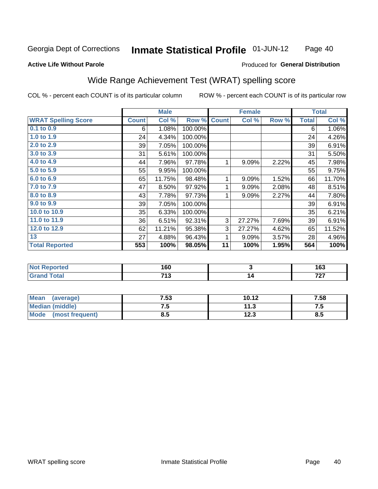#### **Inmate Statistical Profile 01-JUN-12** Page 40

#### **Active Life Without Parole**

### Produced for General Distribution

# Wide Range Achievement Test (WRAT) spelling score

COL % - percent each COUNT is of its particular column

|                            |              | <b>Male</b> |         |              | <b>Female</b>           |       |              | <b>Total</b> |
|----------------------------|--------------|-------------|---------|--------------|-------------------------|-------|--------------|--------------|
| <b>WRAT Spelling Score</b> | <b>Count</b> | Col %       | Row %   | <b>Count</b> | Col %                   | Row % | <b>Total</b> | Col %        |
| 0.1 to 0.9                 | 6            | 1.08%       | 100.00% |              |                         |       | 6            | 1.06%        |
| 1.0 to 1.9                 | 24           | 4.34%       | 100.00% |              |                         |       | 24           | 4.26%        |
| 2.0 to 2.9                 | 39           | 7.05%       | 100.00% |              |                         |       | 39           | 6.91%        |
| 3.0 to 3.9                 | 31           | 5.61%       | 100.00% |              |                         |       | 31           | 5.50%        |
| 4.0 to 4.9                 | 44           | 7.96%       | 97.78%  | 1            | 9.09%                   | 2.22% | 45           | 7.98%        |
| 5.0 to 5.9                 | 55           | 9.95%       | 100.00% |              |                         |       | 55           | 9.75%        |
| 6.0 to 6.9                 | 65           | 11.75%      | 98.48%  | 1            | 9.09%                   | 1.52% | 66           | 11.70%       |
| 7.0 to 7.9                 | 47           | 8.50%       | 97.92%  | 1            | 9.09%                   | 2.08% | 48           | 8.51%        |
| 8.0 to 8.9                 | 43           | 7.78%       | 97.73%  | 1            | 9.09%                   | 2.27% | 44           | 7.80%        |
| 9.0 to 9.9                 | 39           | 7.05%       | 100.00% |              |                         |       | 39           | 6.91%        |
| 10.0 to 10.9               | 35           | 6.33%       | 100.00% |              |                         |       | 35           | 6.21%        |
| 11.0 to 11.9               | 36           | 6.51%       | 92.31%  | 3            | 27.27%                  | 7.69% | 39           | 6.91%        |
| 12.0 to 12.9               | 62           | 11.21%      | 95.38%  | 3            | 27.27%                  | 4.62% | 65           | 11.52%       |
| 13                         | 27           | 4.88%       | 96.43%  | 1            | 9.09%                   | 3.57% | 28           | 4.96%        |
| <b>Total Reported</b>      | 553          | 100%        | 98.05%  | 11           | 100%                    | 1.95% | 564          | 100%         |
|                            |              |             |         |              |                         |       |              |              |
| <b>Not Reported</b>        |              | 160         |         |              | $\overline{\mathbf{3}}$ |       |              | 163          |
| <b>Grand Total</b>         |              | 713         |         |              | 14                      |       |              | 727          |

| Mean<br>(average)       | 7.53 | 10.12 | 7.58 |
|-------------------------|------|-------|------|
| <b>Median (middle)</b>  | ں.   | 11.3  | ن. ا |
| Mode<br>(most frequent) | 8.5  | 12.3  | 8.5  |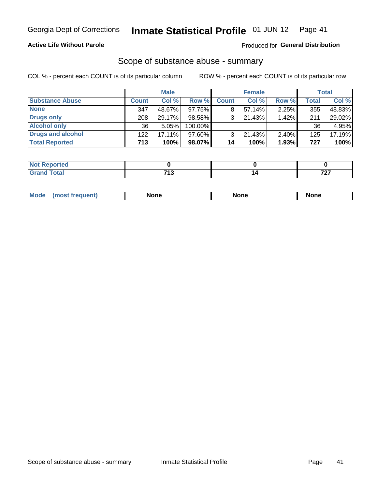### **Active Life Without Parole**

### Produced for General Distribution

## Scope of substance abuse - summary

COL % - percent each COUNT is of its particular column

|                        |              | <b>Male</b> |         |              | <b>Female</b> |          |              | <b>Total</b> |
|------------------------|--------------|-------------|---------|--------------|---------------|----------|--------------|--------------|
| <b>Substance Abuse</b> | <b>Count</b> | Col %       | Row %   | <b>Count</b> | Col %         | Row %    | <b>Total</b> | Col %        |
| <b>None</b>            | 347          | 48.67%      | 97.75%I |              | $57.14\%$     | $2.25\%$ | 355          | 48.83%       |
| <b>Drugs only</b>      | 208          | 29.17%      | 98.58%  |              | 21.43%        | 1.42%    | 211          | 29.02%       |
| <b>Alcohol only</b>    | 36           | 5.05%       | 100.00% |              |               |          | 36           | 4.95%        |
| Drugs and alcohol      | 122          | 17.11%      | 97.60%  |              | $21.43\%$     | $2.40\%$ | 125          | 17.19%       |
| <b>Total Reported</b>  | 713          | 100%        | 98.07%  | 14           | 100%          | 1.93%    | 727          | 100%         |

| Reported |            |           |
|----------|------------|-----------|
| Total    | <b>749</b> | -~        |
| $\sim$   | .          | $\cdot$ . |

| Mode<br>None<br>None<br>None<br>quenu |
|---------------------------------------|
|---------------------------------------|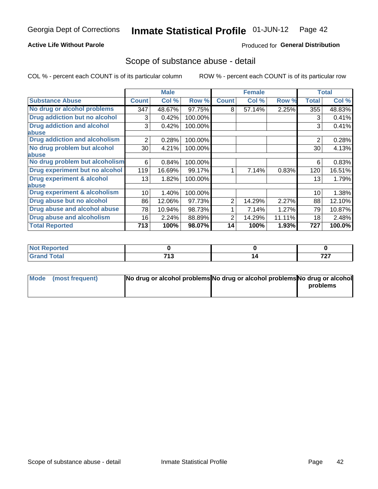### **Active Life Without Parole**

### Produced for General Distribution

## Scope of substance abuse - detail

COL % - percent each COUNT is of its particular column

|                                      |                 | <b>Male</b> |         |              | <b>Female</b> |        |                | <b>Total</b> |
|--------------------------------------|-----------------|-------------|---------|--------------|---------------|--------|----------------|--------------|
| <b>Substance Abuse</b>               | <b>Count</b>    | Col %       | Row %   | <b>Count</b> | Col %         | Row %  | Total          | Col %        |
| No drug or alcohol problems          | 347             | 48.67%      | 97.75%  | 8            | 57.14%        | 2.25%  | 355            | 48.83%       |
| Drug addiction but no alcohol        | 3               | 0.42%       | 100.00% |              |               |        | 3              | 0.41%        |
| <b>Drug addiction and alcohol</b>    | 3               | 0.42%       | 100.00% |              |               |        | 3              | 0.41%        |
| abuse                                |                 |             |         |              |               |        |                |              |
| <b>Drug addiction and alcoholism</b> | $\overline{2}$  | 0.28%       | 100.00% |              |               |        | $\overline{2}$ | 0.28%        |
| No drug problem but alcohol          | 30              | 4.21%       | 100.00% |              |               |        | 30             | 4.13%        |
| abuse                                |                 |             |         |              |               |        |                |              |
| No drug problem but alcoholism       | 6               | 0.84%       | 100.00% |              |               |        | 6              | 0.83%        |
| Drug experiment but no alcohol       | 119             | 16.69%      | 99.17%  |              | 7.14%         | 0.83%  | 120            | 16.51%       |
| <b>Drug experiment &amp; alcohol</b> | 13 <sup>1</sup> | 1.82%       | 100.00% |              |               |        | 13             | 1.79%        |
| abuse                                |                 |             |         |              |               |        |                |              |
| Drug experiment & alcoholism         | 10              | 1.40%       | 100.00% |              |               |        | 10             | 1.38%        |
| Drug abuse but no alcohol            | 86              | 12.06%      | 97.73%  | 2            | 14.29%        | 2.27%  | 88             | 12.10%       |
| Drug abuse and alcohol abuse         | 78              | 10.94%      | 98.73%  |              | 7.14%         | 1.27%  | 79             | 10.87%       |
| <b>Drug abuse and alcoholism</b>     | 16              | 2.24%       | 88.89%  | 2            | 14.29%        | 11.11% | 18             | 2.48%        |
| <b>Total Reported</b>                | 713             | 100%        | 98.07%  | 14           | 100%          | 1.93%  | 727            | 100.0%       |

| portea        |          |              |
|---------------|----------|--------------|
| $\sim$ $\sim$ | フィヘ      | $-0$         |
| _____         | <i>.</i> | $\mathbf{r}$ |

| Mode (most frequent) | No drug or alcohol problems No drug or alcohol problems No drug or alcohol |          |
|----------------------|----------------------------------------------------------------------------|----------|
|                      |                                                                            | problems |
|                      |                                                                            |          |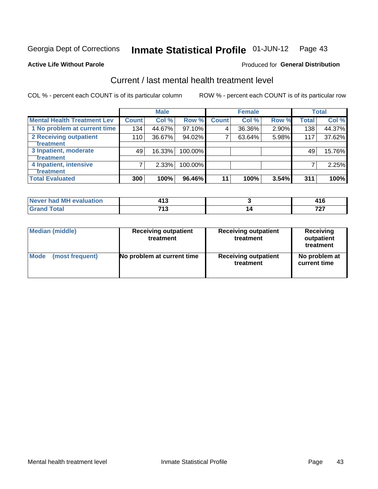#### Inmate Statistical Profile 01-JUN-12 Page 43

#### **Active Life Without Parole**

### **Produced for General Distribution**

# Current / last mental health treatment level

COL % - percent each COUNT is of its particular column

|                                    |              | <b>Male</b> |         |              | <b>Female</b> |       |              | <b>Total</b> |
|------------------------------------|--------------|-------------|---------|--------------|---------------|-------|--------------|--------------|
| <b>Mental Health Treatment Lev</b> | <b>Count</b> | Col %       | Row %   | <b>Count</b> | Col %         | Row % | <b>Total</b> | Col %        |
| 1 No problem at current time       | 134          | 44.67%      | 97.10%  | 4            | 36.36%        | 2.90% | 138          | 44.37%       |
| 2 Receiving outpatient             | 110          | 36.67%      | 94.02%  | 7            | 63.64%        | 5.98% | 117          | 37.62%       |
| <b>Treatment</b>                   |              |             |         |              |               |       |              |              |
| 3 Inpatient, moderate              | 49           | 16.33%      | 100.00% |              |               |       | 49           | 15.76%       |
| <b>Treatment</b>                   |              |             |         |              |               |       |              |              |
| 4 Inpatient, intensive             | 7            | 2.33%       | 100.00% |              |               |       |              | 2.25%        |
| <b>Treatment</b>                   |              |             |         |              |               |       |              |              |
| <b>Total Evaluated</b>             | 300          | 100%        | 96.46%  | 11           | 100%          | 3.54% | 311          | 100%         |

| Never had MH evaluation |           |          |
|-------------------------|-----------|----------|
|                         | 742<br>יי | 707<br>. |

| <b>Median (middle)</b> | <b>Receiving outpatient</b><br>treatment | <b>Receiving outpatient</b><br>treatment | <b>Receiving</b><br>outpatient<br>treatment |
|------------------------|------------------------------------------|------------------------------------------|---------------------------------------------|
| <b>Mode</b>            | No problem at current time               | <b>Receiving outpatient</b>              | No problem at                               |
| (most frequent)        |                                          | treatment                                | current time                                |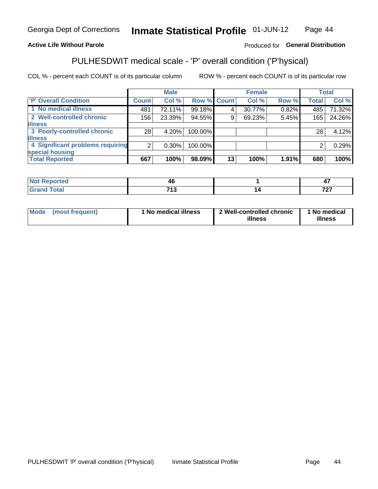#### Inmate Statistical Profile 01-JUN-12 Page 44

### **Active Life Without Parole**

### Produced for General Distribution

# PULHESDWIT medical scale - 'P' overall condition ('P'hysical)

COL % - percent each COUNT is of its particular column

|                                  |                | <b>Male</b> |                    |    | <b>Female</b> |       |              | <b>Total</b> |
|----------------------------------|----------------|-------------|--------------------|----|---------------|-------|--------------|--------------|
| 'P' Overall Condition            | Count l        | Col %       | <b>Row % Count</b> |    | Col %         | Row % | <b>Total</b> | Col %        |
| 1 No medical illness             | 481            | 72.11%      | 99.18%             |    | 30.77%        | 0.82% | 485          | 71.32%       |
| 2 Well-controlled chronic        | 156            | 23.39%      | 94.55%             | 9  | 69.23%        | 5.45% | 165          | 24.26%       |
| <b>illness</b>                   |                |             |                    |    |               |       |              |              |
| 3 Poorly-controlled chronic      | 28             | 4.20%       | 100.00%            |    |               |       | 28           | 4.12%        |
| <b>illness</b>                   |                |             |                    |    |               |       |              |              |
| 4 Significant problems requiring | 2 <sub>1</sub> | $0.30\%$    | 100.00%            |    |               |       | 2            | 0.29%        |
| special housing                  |                |             |                    |    |               |       |              |              |
| <b>Total Reported</b>            | 667            | 100%        | 98.09%             | 13 | 100%          | 1.91% | 680          | 100%         |

|        | 711          | $\mathbf{r}$<br>т. |
|--------|--------------|--------------------|
| ______ | 74<br>$\sim$ | $- - -$            |

| Mode | (most frequent) | No medical illness | 2 Well-controlled chronic<br>illness | 1 No medical<br>illness |
|------|-----------------|--------------------|--------------------------------------|-------------------------|
|------|-----------------|--------------------|--------------------------------------|-------------------------|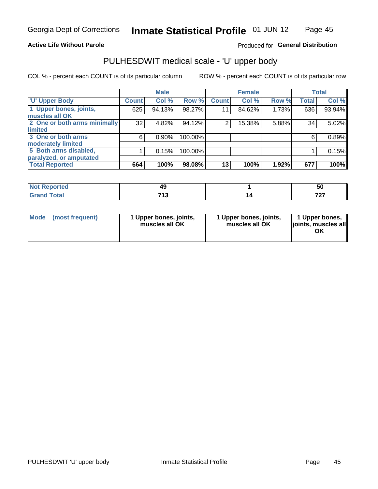### **Active Life Without Parole**

## Produced for General Distribution

# PULHESDWIT medical scale - 'U' upper body

COL % - percent each COUNT is of its particular column

|                              |                 | <b>Male</b> |         |              | <b>Female</b> |       |              | <b>Total</b> |
|------------------------------|-----------------|-------------|---------|--------------|---------------|-------|--------------|--------------|
| <b>U' Upper Body</b>         | <b>Count</b>    | Col %       | Row %   | <b>Count</b> | Col %         | Row % | <b>Total</b> | Col %        |
| 1 Upper bones, joints,       | 625             | 94.13%      | 98.27%  | 11           | 84.62%        | 1.73% | 636          | 93.94%       |
| muscles all OK               |                 |             |         |              |               |       |              |              |
| 2 One or both arms minimally | 32 <sub>1</sub> | 4.82%       | 94.12%  | 2            | 15.38%        | 5.88% | 34           | 5.02%        |
| limited                      |                 |             |         |              |               |       |              |              |
| 3 One or both arms           | 6               | $0.90\%$    | 100.00% |              |               |       | 6            | 0.89%        |
| moderately limited           |                 |             |         |              |               |       |              |              |
| 5 Both arms disabled,        |                 | 0.15%       | 100.00% |              |               |       |              | 0.15%        |
| paralyzed, or amputated      |                 |             |         |              |               |       |              |              |
| <b>Total Reported</b>        | 664             | 100%        | 98.08%  | 13           | 100%          | 1.92% | 677          | 100%         |

| <b>prted</b><br>NOT<br>$\cdots$ |            | ้วเ      |
|---------------------------------|------------|----------|
| <b>Total</b><br>______          | 744<br>- 1 | 707<br>. |

| Mode | (most frequent) | 1 Upper bones, joints,<br>muscles all OK | 1 Upper bones, joints,<br>muscles all OK | 1 Upper bones,<br>ljoints, muscles all<br>OK |
|------|-----------------|------------------------------------------|------------------------------------------|----------------------------------------------|
|------|-----------------|------------------------------------------|------------------------------------------|----------------------------------------------|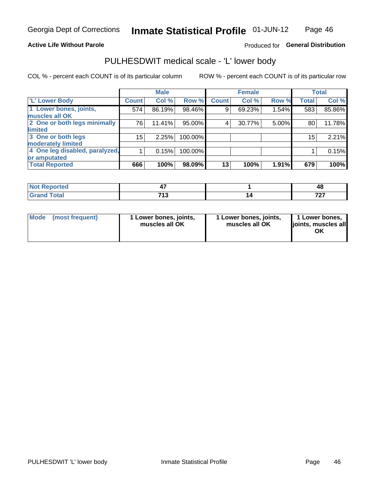### **Active Life Without Parole**

### Produced for General Distribution

# PULHESDWIT medical scale - 'L' lower body

COL % - percent each COUNT is of its particular column

|                                |                 | <b>Male</b> |         |              | <b>Female</b> |       |                 | <b>Total</b> |
|--------------------------------|-----------------|-------------|---------|--------------|---------------|-------|-----------------|--------------|
| 'L' Lower Body                 | <b>Count</b>    | Col %       | Row %   | <b>Count</b> | Col %         | Row % | <b>Total</b>    | Col %        |
| 1 Lower bones, joints,         | 574             | 86.19%      | 98.46%  | 9            | 69.23%        | 1.54% | 583             | 85.86%       |
| muscles all OK                 |                 |             |         |              |               |       |                 |              |
| 2 One or both legs minimally   | 76              | 11.41%      | 95.00%  | 4            | 30.77%        | 5.00% | 80              | 11.78%       |
| limited                        |                 |             |         |              |               |       |                 |              |
| 3 One or both legs             | 15 <sub>1</sub> | 2.25%       | 100.00% |              |               |       | 15 <sub>1</sub> | 2.21%        |
| moderately limited             |                 |             |         |              |               |       |                 |              |
| 4 One leg disabled, paralyzed, |                 | 0.15%       | 100.00% |              |               |       |                 | 0.15%        |
| or amputated                   |                 |             |         |              |               |       |                 |              |
| <b>Total Reported</b>          | 666             | 100%        | 98.09%  | 13           | 100%          | 1.91% | 679             | 100%         |

| prted<br>NOT RADO<br>. <b>.</b> |      | 46  |
|---------------------------------|------|-----|
| <b>Total</b>                    | 74.3 | 707 |
| ______                          | - 1  |     |

| Mode | (most frequent) | 1 Lower bones, joints,<br>muscles all OK | 1 Lower bones, joints,<br>muscles all OK | 1 Lower bones,<br>ljoints, muscles all<br>OK |
|------|-----------------|------------------------------------------|------------------------------------------|----------------------------------------------|
|------|-----------------|------------------------------------------|------------------------------------------|----------------------------------------------|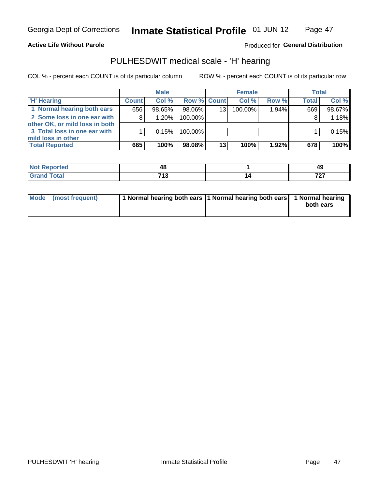#### **Active Life Without Parole**

## Produced for General Distribution

## PULHESDWIT medical scale - 'H' hearing

COL % - percent each COUNT is of its particular column

|                                                               |              | <b>Male</b> |                    |    | <b>Female</b> |       | <b>Total</b> |          |
|---------------------------------------------------------------|--------------|-------------|--------------------|----|---------------|-------|--------------|----------|
| <b>H' Hearing</b>                                             | <b>Count</b> | Col %       | <b>Row % Count</b> |    | Col %         | Row % | <b>Total</b> | Col %    |
| 1 Normal hearing both ears                                    | 656          | 98.65%      | 98.06%             | 13 | 100.00%       | 1.94% | 669          | 98.67%   |
| 2 Some loss in one ear with<br>other OK, or mild loss in both | 8            | 1.20%       | 100.00%            |    |               |       | 8            | 1.18%    |
| 3 Total loss in one ear with<br>mild loss in other            |              | 0.15%       | 100.00%            |    |               |       |              | $0.15\%$ |
| <b>Total Reported</b>                                         | 665          | 100%        | 98.08%             | 13 | 100%          | 1.92% | 678          | 100%     |

| <b>rted</b><br>N               | . .        | лс<br>∼  |
|--------------------------------|------------|----------|
| $^{\circ}$ ntal<br>υιαι<br>--- | 740<br>. . | 707<br>. |

| Mode (most frequent) | 1 Normal hearing both ears 1 Normal hearing both ears 1 Normal hearing | both ears |
|----------------------|------------------------------------------------------------------------|-----------|
|----------------------|------------------------------------------------------------------------|-----------|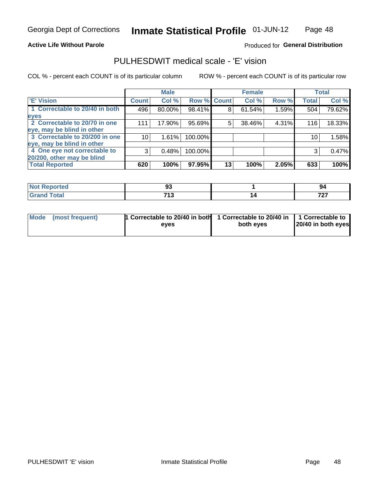#### **Active Life Without Parole**

### Produced for General Distribution

# PULHESDWIT medical scale - 'E' vision

COL % - percent each COUNT is of its particular column

|                                |              | <b>Male</b> |             |    | <b>Female</b> |       |              | <b>Total</b> |
|--------------------------------|--------------|-------------|-------------|----|---------------|-------|--------------|--------------|
| <b>E' Vision</b>               | <b>Count</b> | Col %       | Row % Count |    | Col %         | Row % | <b>Total</b> | Col %        |
| 1 Correctable to 20/40 in both | 496          | 80.00%      | 98.41%      | 8  | 61.54%        | 1.59% | 504          | 79.62%       |
| eyes                           |              |             |             |    |               |       |              |              |
| 2 Correctable to 20/70 in one  | 111          | 17.90%      | 95.69%      | 5  | 38.46%        | 4.31% | 116          | 18.33%       |
| eye, may be blind in other     |              |             |             |    |               |       |              |              |
| 3 Correctable to 20/200 in one | 10           | 1.61%       | 100.00%     |    |               |       | 10           | 1.58%        |
| eye, may be blind in other     |              |             |             |    |               |       |              |              |
| 4 One eye not correctable to   | 3            | 0.48%       | 100.00%     |    |               |       | 3            | 0.47%        |
| 20/200, other may be blind     |              |             |             |    |               |       |              |              |
| <b>Total Reported</b>          | 620          | 100%        | 97.95%      | 13 | 100%          | 2.05% | 633          | 100%         |

| <b>Not Reported</b> | $\mathbf{A}$<br>◡  | -94      |
|---------------------|--------------------|----------|
| <b>Total</b>        | 74.3<br>. <u>.</u> | 707<br>. |

| Mode (most frequent) | 1 Correctable to 20/40 in both<br>eves | 1 Correctable to 20/40 in   1 Correctable to<br>both eyes | 20/40 in both eyes |
|----------------------|----------------------------------------|-----------------------------------------------------------|--------------------|
|                      |                                        |                                                           |                    |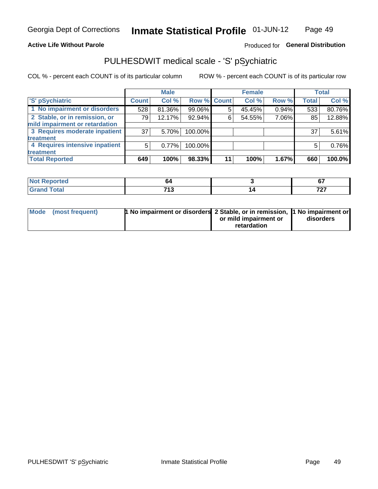### **Active Life Without Parole**

### Produced for General Distribution

# PULHESDWIT medical scale - 'S' pSychiatric

COL % - percent each COUNT is of its particular column

|                                |              | <b>Male</b> |         |             | <b>Female</b> |       |              | <b>Total</b> |
|--------------------------------|--------------|-------------|---------|-------------|---------------|-------|--------------|--------------|
| 'S' pSychiatric                | <b>Count</b> | Col %       |         | Row % Count | Col %         | Row % | <b>Total</b> | Col %        |
| 1 No impairment or disorders   | 528          | 81.36%      | 99.06%  |             | 45.45%        | 0.94% | 533          | 80.76%       |
| 2 Stable, or in remission, or  | 79           | 12.17%      | 92.94%  | 6           | 54.55%        | 7.06% | 85           | 12.88%       |
| mild impairment or retardation |              |             |         |             |               |       |              |              |
| 3 Requires moderate inpatient  | 37           | 5.70%       | 100.00% |             |               |       | 37           | 5.61%        |
| treatment                      |              |             |         |             |               |       |              |              |
| 4 Requires intensive inpatient | 5            | 0.77%       | 100.00% |             |               |       | 5            | 0.76%        |
| treatment                      |              |             |         |             |               |       |              |              |
| <b>Total Reported</b>          | 649          | 100%        | 98.33%  | 11          | 100%          | 1.67% | 660          | 100.0%       |

| тео |                       | $\sim$<br>v. |
|-----|-----------------------|--------------|
|     | 74.3<br>. .<br>$\sim$ | 707<br>. .   |

| Mode (most frequent) | <sup>1</sup> No impairment or disorders 2 Stable, or in remission, <sup>1</sup> No impairment or |                       |           |
|----------------------|--------------------------------------------------------------------------------------------------|-----------------------|-----------|
|                      |                                                                                                  | or mild impairment or | disorders |
|                      |                                                                                                  | retardation           |           |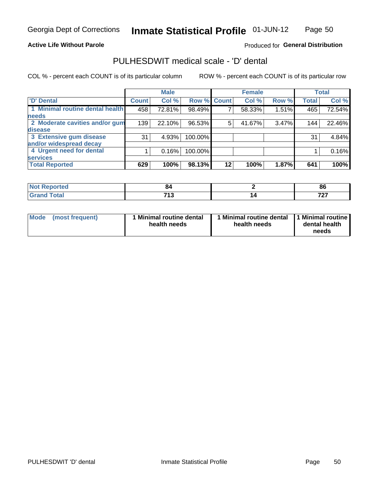#### **Active Life Without Parole**

### Produced for General Distribution

# PULHESDWIT medical scale - 'D' dental

COL % - percent each COUNT is of its particular column

|                                 |              | <b>Male</b> |             |    | <b>Female</b> |       |              | <b>Total</b> |
|---------------------------------|--------------|-------------|-------------|----|---------------|-------|--------------|--------------|
| 'D' Dental                      | <b>Count</b> | Col %       | Row % Count |    | Col %         | Row % | <b>Total</b> | Col %        |
| 1 Minimal routine dental health | 458          | 72.81%      | 98.49%      |    | 58.33%        | 1.51% | 465          | 72.54%       |
| <b>needs</b>                    |              |             |             |    |               |       |              |              |
| 2 Moderate cavities and/or gum  | 139          | 22.10%      | 96.53%      | 5  | 41.67%        | 3.47% | 144          | 22.46%       |
| disease                         |              |             |             |    |               |       |              |              |
| 3 Extensive gum disease         | 31           | 4.93%       | 100.00%     |    |               |       | 31           | 4.84%        |
| and/or widespread decay         |              |             |             |    |               |       |              |              |
| 4 Urgent need for dental        |              | 0.16%       | 100.00%     |    |               |       |              | 0.16%        |
| <b>services</b>                 |              |             |             |    |               |       |              |              |
| <b>Total Reported</b>           | 629          | 100%        | 98.13%      | 12 | 100%          | 1.87% | 641          | 100%         |

| rtea<br>.               | œ                     | 86  |
|-------------------------|-----------------------|-----|
| $f = f$<br><b>TULAI</b> | 74.3<br>. .<br>$\sim$ | 707 |

| <b>Mode</b> | (most frequent) | <b>Minimal routine dental</b><br>health needs | 1 Minimal routine dental<br>health needs | <b>11 Minimal routine I</b><br>dental health<br>needs |
|-------------|-----------------|-----------------------------------------------|------------------------------------------|-------------------------------------------------------|
|-------------|-----------------|-----------------------------------------------|------------------------------------------|-------------------------------------------------------|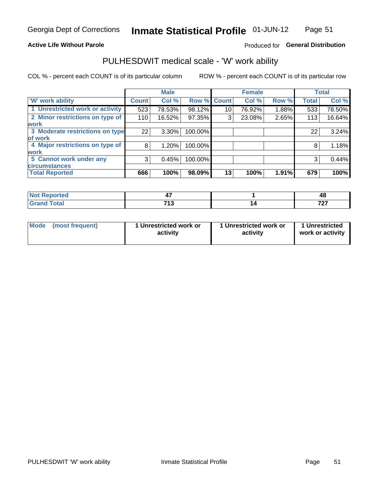#### **Active Life Without Parole**

### Produced for General Distribution

# PULHESDWIT medical scale - 'W' work ability

COL % - percent each COUNT is of its particular column

|                                 |              | <b>Male</b> |         |             | <b>Female</b> |       |              | <b>Total</b> |
|---------------------------------|--------------|-------------|---------|-------------|---------------|-------|--------------|--------------|
| <b>W' work ability</b>          | <b>Count</b> | Col %       |         | Row % Count | Col %         | Row % | <b>Total</b> | Col %        |
| 1 Unrestricted work or activity | 523          | 78.53%      | 98.12%  | 10          | 76.92%        | 1.88% | 533          | 78.50%       |
| 2 Minor restrictions on type of | 110          | 16.52%      | 97.35%  | 3           | 23.08%        | 2.65% | 113          | 16.64%       |
| <b>work</b>                     |              |             |         |             |               |       |              |              |
| 3 Moderate restrictions on type | 22           | $3.30\%$    | 100.00% |             |               |       | 22           | 3.24%        |
| lof work                        |              |             |         |             |               |       |              |              |
| 4 Major restrictions on type of | 8            | 1.20%       | 100.00% |             |               |       | 8            | 1.18%        |
| <b>work</b>                     |              |             |         |             |               |       |              |              |
| 5 Cannot work under any         | 3            | 0.45%       | 100.00% |             |               |       | 3            | 0.44%        |
| <b>circumstances</b>            |              |             |         |             |               |       |              |              |
| <b>Total Reported</b>           | 666          | 100%        | 98.09%  | 13          | 100%          | 1.91% | 679          | 100%         |

| <b>Not Reported</b> |               | ΔS<br>᠇៶ |
|---------------------|---------------|----------|
| <b>Grand Total</b>  | 74.2<br>- 1 2 | 707      |

| Mode            | 1 Unrestricted work or | 1 Unrestricted work or | 1 Unrestricted   |
|-----------------|------------------------|------------------------|------------------|
| (most frequent) | activity               | activity               | work or activity |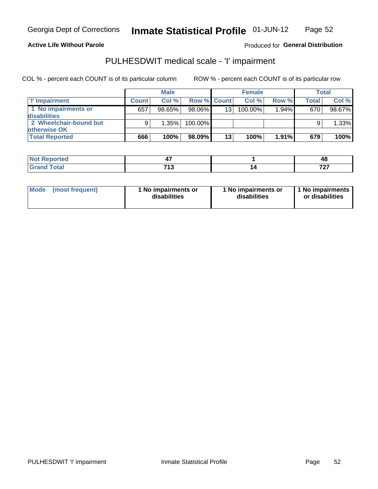#### **Active Life Without Parole**

### Produced for General Distribution

# PULHESDWIT medical scale - 'I' impairment

COL % - percent each COUNT is of its particular column

|                        |              | <b>Male</b> |                    |                 | <b>Female</b> |       |              | Total  |
|------------------------|--------------|-------------|--------------------|-----------------|---------------|-------|--------------|--------|
| I' Impairment          | <b>Count</b> | Col%        | <b>Row % Count</b> |                 | Col %         | Row % | <b>Total</b> | Col %  |
| 1 No impairments or    | 657          | 98.65%      | 98.06%             | 13 <sup>1</sup> | 100.00%       | 1.94% | 670          | 98.67% |
| <b>disabilities</b>    |              |             |                    |                 |               |       |              |        |
| 2 Wheelchair-bound but |              | 1.35%       | 100.00%            |                 |               |       |              | 1.33%  |
| otherwise OK           |              |             |                    |                 |               |       |              |        |
| <b>Total Reported</b>  | 666          | 100%        | 98.09%             | 13              | 100%          | 1.91% | 679          | 100%   |

| Reported | --<br>., | 48               |
|----------|----------|------------------|
| 'otal    | 74.3     | 707<br>$\cdot$ . |

| Mode            | 1 No impairments or | 1 No impairments or | 11 No impairments |
|-----------------|---------------------|---------------------|-------------------|
| (most frequent) | disabilities        | disabilities        | or disabilities   |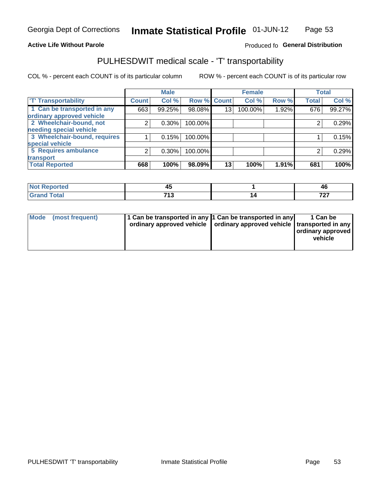### **Active Life Without Parole**

### Produced fo General Distribution

# PULHESDWIT medical scale - 'T' transportability

COL % - percent each COUNT is of its particular column

|                              |              | <b>Male</b> |             |    | <b>Female</b> |       |              | <b>Total</b> |
|------------------------------|--------------|-------------|-------------|----|---------------|-------|--------------|--------------|
| <b>T' Transportability</b>   | <b>Count</b> | Col %       | Row % Count |    | Col %         | Row % | <b>Total</b> | Col %        |
| 1 Can be transported in any  | 663          | 99.25%      | 98.08%      | 13 | 100.00%       | 1.92% | 676          | 99.27%       |
| ordinary approved vehicle    |              |             |             |    |               |       |              |              |
| 2 Wheelchair-bound, not      | 2            | 0.30%       | 100.00%     |    |               |       |              | 0.29%        |
| needing special vehicle      |              |             |             |    |               |       |              |              |
| 3 Wheelchair-bound, requires |              | 0.15%       | 100.00%     |    |               |       |              | 0.15%        |
| special vehicle              |              |             |             |    |               |       |              |              |
| 5 Requires ambulance         | 2            | 0.30%       | 100.00%     |    |               |       |              | 0.29%        |
| transport                    |              |             |             |    |               |       |              |              |
| <b>Total Reported</b>        | 668          | 100%        | 98.09%      | 13 | 100%          | 1.91% | 681          | 100%         |

| N      | - -  | лı       |
|--------|------|----------|
| portea | ┱┙   | 44       |
| υιαι   | 74.9 | 707      |
| ---    | . .  | <u>.</u> |

| Mode | (most frequent) | 11 Can be transported in any 1 Can be transported in any<br>ordinary approved vehicle   ordinary approved vehicle   transported in any |  | 1 Can be<br>ordinary approved<br>vehicle |
|------|-----------------|----------------------------------------------------------------------------------------------------------------------------------------|--|------------------------------------------|
|------|-----------------|----------------------------------------------------------------------------------------------------------------------------------------|--|------------------------------------------|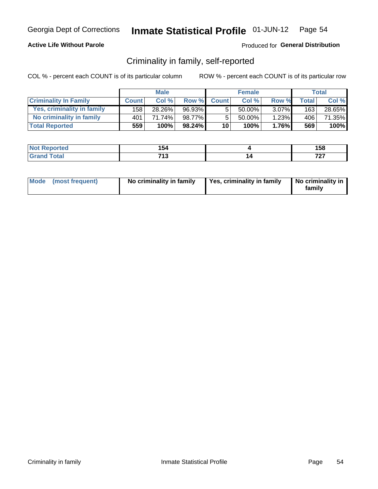### **Active Life Without Parole**

### Produced for General Distribution

## Criminality in family, self-reported

COL % - percent each COUNT is of its particular column

|                              |              | <b>Male</b> |        |                 | <b>Female</b> |          |       | Total  |
|------------------------------|--------------|-------------|--------|-----------------|---------------|----------|-------|--------|
| <b>Criminality In Family</b> | <b>Count</b> | Col%        | Row %  | <b>Count</b>    | Col %         | Row %    | Total | Col %  |
| Yes, criminality in family   | 158          | 28.26%      | 96.93% | 5               | $50.00\%$ ,   | $3.07\%$ | 163   | 28.65% |
| No criminality in family     | 401          | 71.74%      | 98.77% | 5               | 50.00%        | 1.23%    | 406   | 71.35% |
| <b>Total Reported</b>        | 559          | 100%        | 98.24% | 10 <sup>1</sup> | 100%          | $1.76\%$ | 569   | 100%   |

| Reported<br>NOT | 154       | 158      |
|-----------------|-----------|----------|
| <b>otal</b>     | 742<br>טו | 707<br>. |

|  | Mode (most frequent) | No criminality in family | Yes, criminality in family | No criminality in<br>family |
|--|----------------------|--------------------------|----------------------------|-----------------------------|
|--|----------------------|--------------------------|----------------------------|-----------------------------|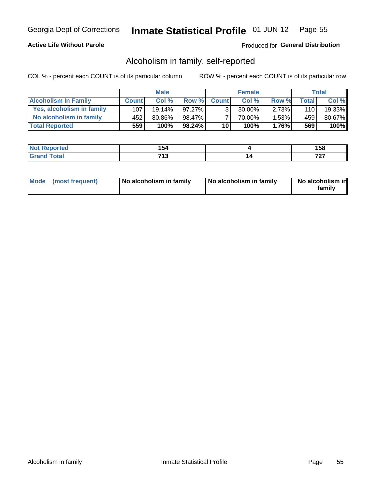### **Active Life Without Parole**

### Produced for General Distribution

## Alcoholism in family, self-reported

COL % - percent each COUNT is of its particular column

|                             |              | <b>Male</b> |           |                 | <b>Female</b> |          |       | Total  |
|-----------------------------|--------------|-------------|-----------|-----------------|---------------|----------|-------|--------|
| <b>Alcoholism In Family</b> | <b>Count</b> | Col%        | Row %     | <b>Count</b>    | Col %         | Row %    | Total | Col %  |
| Yes, alcoholism in family   | 107          | $19.14\%$   | $97.27\%$ | ર               | 30.00%        | $2.73\%$ | 110   | 19.33% |
| No alcoholism in family     | 452          | 80.86%      | 98.47%    |                 | 70.00%        | $1.53\%$ | 459   | 80.67% |
| <b>Total Reported</b>       | 559          | 100%        | 98.24%    | 10 <sup>1</sup> | 100%          | $1.76\%$ | 569   | 100%   |

| <b>Not Reported</b>    | 154     | .<br>סכ ו |
|------------------------|---------|-----------|
| <b>Total</b><br>l Gran | 742<br> | -~-<br>.  |

|  | Mode (most frequent) | No alcoholism in family | No alcoholism in family | No alcoholism in<br>family |
|--|----------------------|-------------------------|-------------------------|----------------------------|
|--|----------------------|-------------------------|-------------------------|----------------------------|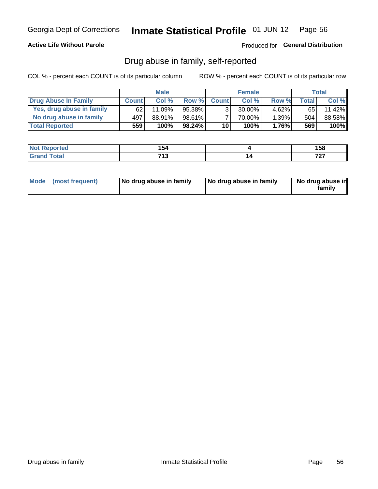### **Active Life Without Parole**

### Produced for General Distribution

## Drug abuse in family, self-reported

COL % - percent each COUNT is of its particular column

|                           |              | <b>Male</b> |        |                 | <b>Female</b> |          |              | Total  |
|---------------------------|--------------|-------------|--------|-----------------|---------------|----------|--------------|--------|
| Drug Abuse In Family      | <b>Count</b> | Col%        | Row %  | <b>Count</b>    | Col%          | Row %    | <b>Total</b> | Col %  |
| Yes, drug abuse in family | 62           | $11.09\%$   | 95.38% | 3               | 30.00%        | $4.62\%$ | 65           | 11.42% |
| No drug abuse in family   | 497          | 88.91%      | 98.61% |                 | 70.00%        | $1.39\%$ | 504          | 88.58% |
| <b>Total Reported</b>     | 559          | 100%        | 98.24% | 10 <sup>1</sup> | 100%          | $1.76\%$ | 569          | 100%   |

| <b>Not Reported</b>    | 154     | .<br>סכ ו |
|------------------------|---------|-----------|
| <b>Total</b><br>l Gran | 742<br> | -~-<br>.  |

|  | Mode (most frequent) | No drug abuse in family | No drug abuse in family | No drug abuse in<br>family |
|--|----------------------|-------------------------|-------------------------|----------------------------|
|--|----------------------|-------------------------|-------------------------|----------------------------|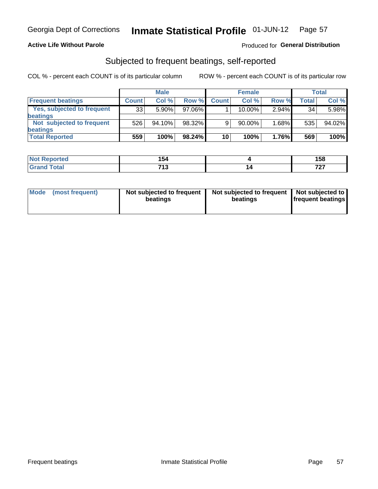### **Active Life Without Parole**

### Produced for General Distribution

## Subjected to frequent beatings, self-reported

COL % - percent each COUNT is of its particular column

|                                   |              | <b>Male</b> |           |              | <b>Female</b> |       |       | Total  |
|-----------------------------------|--------------|-------------|-----------|--------------|---------------|-------|-------|--------|
| <b>Frequent beatings</b>          | <b>Count</b> | Col %       | Row %     | <b>Count</b> | Col %         | Row % | Total | Col %  |
| <b>Yes, subjected to frequent</b> | 33           | 5.90%       | 97.06%    |              | 10.00%        | 2.94% | 34    | 5.98%  |
| <b>beatings</b>                   |              |             |           |              |               |       |       |        |
| Not subjected to frequent         | 526          | 94.10%      | 98.32%    | 9            | 90.00%        | 1.68% | 535   | 94.02% |
| <b>beatings</b>                   |              |             |           |              |               |       |       |        |
| <b>Total Reported</b>             | 559          | 100%        | $98.24\%$ | 10           | 100%          | 1.76% | 569   | 100%   |

| <b>Not Reported</b> | 154                    |   | 158 |
|---------------------|------------------------|---|-----|
| Total               | <b>740</b><br><b>U</b> | L | ラヘラ |

| Mode (most frequent) | Not subjected to frequent<br>beatings | Not subjected to frequent<br>beatings | Not subjected to<br><b>frequent beatings</b> |
|----------------------|---------------------------------------|---------------------------------------|----------------------------------------------|
|                      |                                       |                                       |                                              |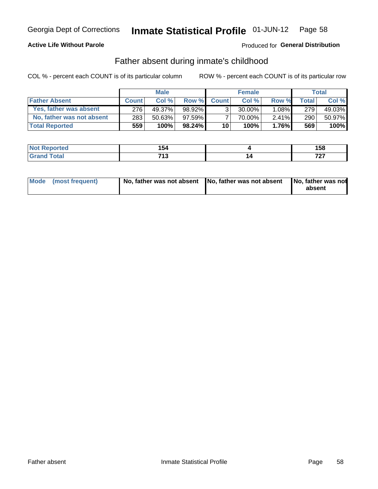### **Active Life Without Parole**

## **Produced for General Distribution**

## Father absent during inmate's childhood

COL % - percent each COUNT is of its particular column

|                           |              | <b>Male</b> |           |                | <b>Female</b> |          |              | <b>Total</b> |
|---------------------------|--------------|-------------|-----------|----------------|---------------|----------|--------------|--------------|
| <b>Father Absent</b>      | <b>Count</b> | Col%        | Row %     | <b>Count</b>   | Col%          | Row %    | <b>Total</b> | Col %        |
| Yes, father was absent    | 276          | 49.37%      | 98.92%    | 3 <sub>1</sub> | $30.00\%$     | $1.08\%$ | 279          | 49.03%       |
| No, father was not absent | 283          | 50.63%      | $97.59\%$ |                | 70.00%        | $2.41\%$ | 290          | 50.97%       |
| <b>Total Reported</b>     | 559          | $100\%$     | $98.24\%$ | 10             | 100%          | 1.76%    | 569          | 100%         |

| Reported<br>NOT | 154       | 158      |
|-----------------|-----------|----------|
| <b>otal</b>     | 742<br>טו | 707<br>. |

|  | Mode (most frequent) | No, father was not absent No, father was not absent |  | No, father was not<br>absent |
|--|----------------------|-----------------------------------------------------|--|------------------------------|
|--|----------------------|-----------------------------------------------------|--|------------------------------|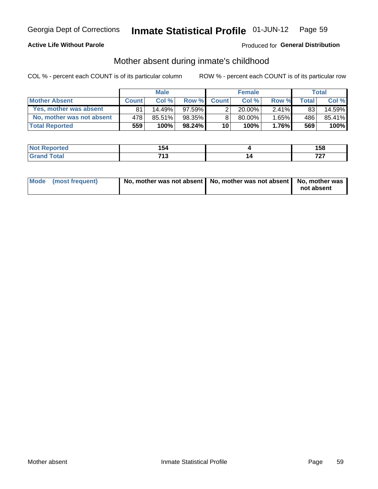### **Active Life Without Parole**

## Produced for General Distribution

## Mother absent during inmate's childhood

COL % - percent each COUNT is of its particular column

|                           |              | <b>Male</b> |           |                 | <b>Female</b> |          |       | Total  |
|---------------------------|--------------|-------------|-----------|-----------------|---------------|----------|-------|--------|
| <b>Mother Absent</b>      | <b>Count</b> | Col%        | Row %     | <b>Count</b>    | Col%          | Row %    | Total | Col %  |
| Yes, mother was absent    | 81           | 14.49%      | $97.59\%$ | 2               | $20.00\%$     | $2.41\%$ | 83    | 14.59% |
| No, mother was not absent | 478'         | 85.51%      | 98.35%    | 8               | 80.00%        | 1.65%    | 486   | 85.41% |
| <b>Total Reported</b>     | 559          | 100%        | $98.24\%$ | 10 <sup>1</sup> | 100%          | $1.76\%$ | 569   | 100%   |

| <b>Not Reported</b> | 154               | 158      |
|---------------------|-------------------|----------|
| <b>Total</b>        | <b>740</b><br>1 J | 707<br>. |

| Mode (most frequent) | No, mother was not absent   No, mother was not absent   No, mother was | not absent |
|----------------------|------------------------------------------------------------------------|------------|
|                      |                                                                        |            |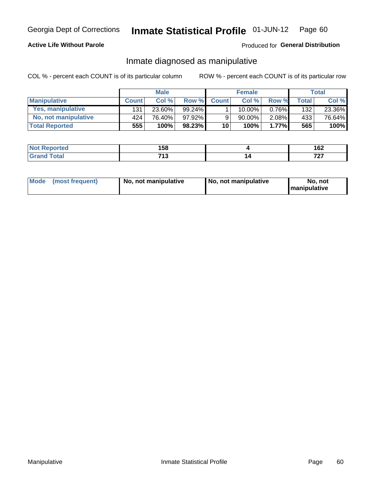### **Active Life Without Parole**

### Produced for General Distribution

## Inmate diagnosed as manipulative

COL % - percent each COUNT is of its particular column

|                       |              | <b>Male</b> |           |              | <b>Female</b> |          |              | Total  |
|-----------------------|--------------|-------------|-----------|--------------|---------------|----------|--------------|--------|
| <b>Manipulative</b>   | <b>Count</b> | Col%        | Row %     | <b>Count</b> | Col%          | Row %    | <b>Total</b> | Col %  |
| Yes, manipulative     | 131          | 23.60%      | 99.24%    |              | 10.00%        | $0.76\%$ | 132          | 23.36% |
| No, not manipulative  | 424          | 76.40%      | $97.92\%$ | 9            | 90.00%        | $2.08\%$ | 433          | 76.64% |
| <b>Total Reported</b> | 555          | 100%        | $98.23\%$ | 10           | $100\%$       | 1.77%    | 565          | 100%   |

| <b>Not Reported</b> | 158        | 167<br>1 V 4 |
|---------------------|------------|--------------|
| `otal<br>Gran       | 742<br>ں ا | 707<br>- - - |

| <b>Mode</b><br>(most frequent) | No, not manipulative | No, not manipulative | No. not<br><b>I</b> manipulative |
|--------------------------------|----------------------|----------------------|----------------------------------|
|--------------------------------|----------------------|----------------------|----------------------------------|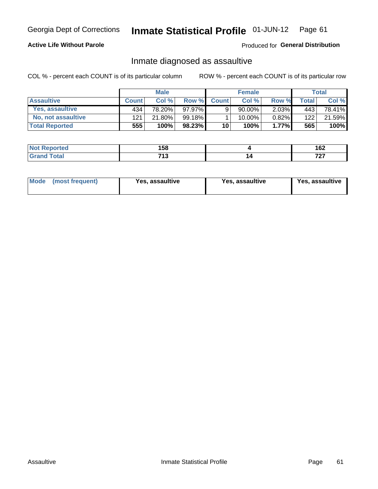#### Inmate Statistical Profile 01-JUN-12 Page 61

### **Active Life Without Parole**

### Produced for General Distribution

## Inmate diagnosed as assaultive

COL % - percent each COUNT is of its particular column

|                       |              | <b>Male</b> |        |                 | <b>Female</b> |          |              | Total  |
|-----------------------|--------------|-------------|--------|-----------------|---------------|----------|--------------|--------|
| <b>Assaultive</b>     | <b>Count</b> | Col %       | Row %  | <b>Count</b>    | Col %         | Row %    | <b>Total</b> | Col %  |
| Yes, assaultive       | 434          | 78.20%      | 97.97% | 9               | 90.00%        | $2.03\%$ | 443          | 78.41% |
| No, not assaultive    | 121          | 21.80%      | 99.18% |                 | $10.00\%$ .   | 0.82%    | 122          | 21.59% |
| <b>Total Reported</b> | 555          | 100%        | 98.23% | 10 <sup>1</sup> | 100%          | $1.77\%$ | 565          | 100%   |

| <b>Not Reported</b> | 158               | .<br>I VZ |
|---------------------|-------------------|-----------|
| <b>Total</b>        | <b>740</b><br>1 J | 707<br>.  |

| <b>Mode</b><br>(most frequent) | <b>Yes, assaultive</b> | Yes, assaultive | <b>Yes, assaultive</b> |
|--------------------------------|------------------------|-----------------|------------------------|
|--------------------------------|------------------------|-----------------|------------------------|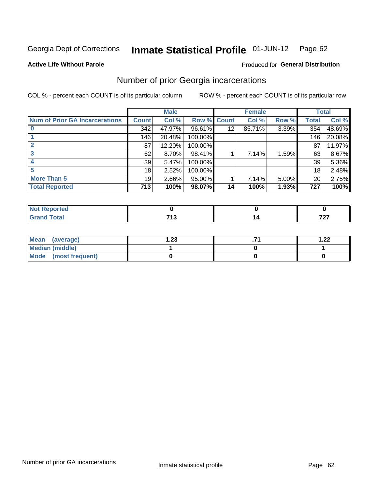#### Inmate Statistical Profile 01-JUN-12 Page 62

#### **Active Life Without Parole**

#### Produced for General Distribution

## Number of prior Georgia incarcerations

COL % - percent each COUNT is of its particular column

|                                       |              | <b>Male</b> |                    |    | <b>Female</b> |       |       | <b>Total</b> |
|---------------------------------------|--------------|-------------|--------------------|----|---------------|-------|-------|--------------|
| <b>Num of Prior GA Incarcerations</b> | <b>Count</b> | Col %       | <b>Row % Count</b> |    | Col %         | Row % | Total | Col %        |
|                                       | 342          | 47.97%      | 96.61%             | 12 | 85.71%        | 3.39% | 354   | 48.69%       |
|                                       | 146          | 20.48%      | 100.00%            |    |               |       | 146   | 20.08%       |
|                                       | 87           | 12.20%      | 100.00%            |    |               |       | 87    | 11.97%       |
|                                       | 62           | $8.70\%$    | 98.41%             |    | 7.14%         | 1.59% | 63    | 8.67%        |
|                                       | 39           | 5.47%       | 100.00%            |    |               |       | 39    | 5.36%        |
|                                       | 18           | 2.52%       | 100.00%            |    |               |       | 18    | 2.48%        |
| <b>More Than 5</b>                    | 19           | 2.66%       | 95.00%             |    | 7.14%         | 5.00% | 20    | 2.75%        |
| <b>Total Reported</b>                 | 713          | 100%        | 98.07%             | 14 | 100%          | 1.93% | 727   | 100%         |

| <b>rorted</b>                   |     |          |
|---------------------------------|-----|----------|
| <b>otal</b><br>$\mathbf{v}$ and | 740 | 707<br>. |

| Mean (average)       | 1.23 | 1.22 |
|----------------------|------|------|
| Median (middle)      |      |      |
| Mode (most frequent) |      |      |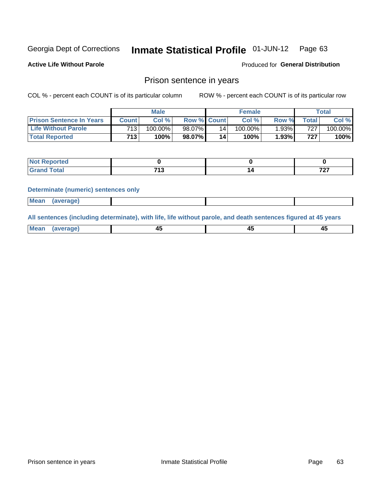#### Inmate Statistical Profile 01-JUN-12 Page 63

**Active Life Without Parole** 

Produced for General Distribution

## Prison sentence in years

COL % - percent each COUNT is of its particular column

ROW % - percent each COUNT is of its particular row

|                                 |         | <b>Male</b> |                    |    | <b>Female</b> |       |                  | Total   |
|---------------------------------|---------|-------------|--------------------|----|---------------|-------|------------------|---------|
| <b>Prison Sentence In Years</b> | Count l | Col %       | <b>Row % Count</b> |    | Col %         | Row % | $\tau$ otal      | Col %   |
| <b>Life Without Parole</b>      | 713     | $100.00\%$  | 98.07%             | 14 | $100.00\%$    | 1.93% | 727 <sub>1</sub> | 100.00% |
| <b>Total Reported</b>           | 713     | 100%        | 98.07%             | 14 | 100%          | 1.93% | 727 <sub>1</sub> | 100%    |

| Not Reported |              |     |
|--------------|--------------|-----|
| otal         | - - -<br>. . | 707 |

#### **Determinate (numeric) sentences only**

| (average) |             |  |  |
|-----------|-------------|--|--|
|           | <b>Mean</b> |  |  |

All sentences (including determinate), with life, life without parole, and death sentences figured at 45 years

| $M$ ea<br>(average) | $\sim$ | ,,<br>т. |
|---------------------|--------|----------|
|                     |        |          |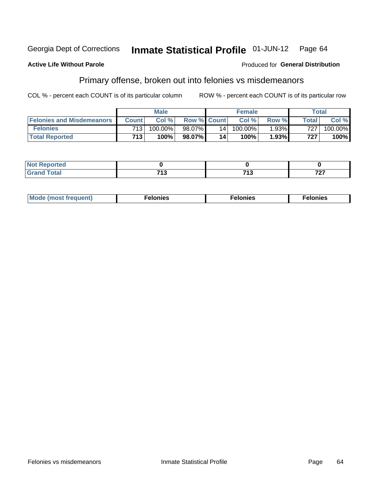#### **Active Life Without Parole**

### **Produced for General Distribution**

# Primary offense, broken out into felonies vs misdemeanors

COL % - percent each COUNT is of its particular column

|                                  |                  | <b>Male</b> |                    |                 | <b>Female</b> |          |         | <b>Total</b> |
|----------------------------------|------------------|-------------|--------------------|-----------------|---------------|----------|---------|--------------|
| <b>Felonies and Misdemeanors</b> | <b>Count</b>     | Col%        | <b>Row % Count</b> |                 | Col%          | Row %    | Total i | Col %        |
| <b>Felonies</b>                  | 713              | 100.00%     | 98.07%             | 14 <sub>1</sub> | 100.00%       | $1.93\%$ | 727     | 100.00%      |
| <b>Total Reported</b>            | 713 <sub>1</sub> | $100\%$     | 98.07%             | 14              | 100%          | 1.93%    | 727     | 100%         |

| <b>Not Reported</b> |     |             |          |
|---------------------|-----|-------------|----------|
| <b>Grand Total</b>  | . . | 74 C<br>. . | 707<br>. |

| $Mc$<br>equent)<br>нез<br>$\sim$<br>. | onies<br>. | <b>onies</b><br>. |
|---------------------------------------|------------|-------------------|
|---------------------------------------|------------|-------------------|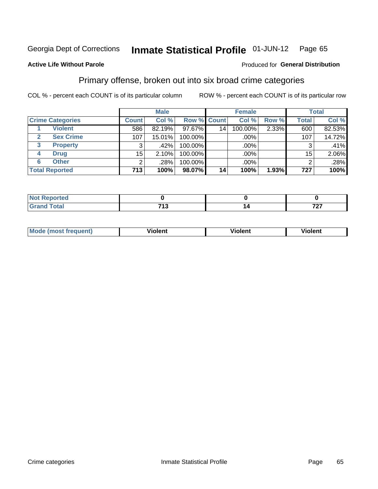#### Inmate Statistical Profile 01-JUN-12 Page 65

### **Active Life Without Parole**

#### Produced for General Distribution

## Primary offense, broken out into six broad crime categories

COL % - percent each COUNT is of its particular column

|                         |                 | <b>Male</b> |                    |    | <b>Female</b> |       |              | <b>Total</b> |
|-------------------------|-----------------|-------------|--------------------|----|---------------|-------|--------------|--------------|
| <b>Crime Categories</b> | <b>Count</b>    | Col %       | <b>Row % Count</b> |    | Col %         | Row % | <b>Total</b> | Col %        |
| <b>Violent</b>          | 586             | 82.19%      | 97.67%             | 14 | 100.00%       | 2.33% | 600          | 82.53%       |
| <b>Sex Crime</b>        | 107             | 15.01%      | 100.00%            |    | .00%          |       | 107          | 14.72%       |
| 3<br><b>Property</b>    | 3               | $.42\%$     | 100.00%            |    | .00%          |       | 3            | .41%         |
| <b>Drug</b><br>4        | 15 <sub>2</sub> | 2.10%       | 100.00%            |    | .00%          |       | 15           | 2.06%        |
| <b>Other</b><br>6       | $\overline{2}$  | .28%        | 100.00%            |    | .00%          |       | 2            | .28%         |
| <b>Total Reported</b>   | 713             | 100%        | 98.07%             | 14 | 100%          | 1.93% | 727          | 100%         |

| <b>Not Reported</b> |            |          |
|---------------------|------------|----------|
| <b>Total</b>        | 740<br>. . | 707<br>. |

| M | <br>. |  |
|---|-------|--|
|   |       |  |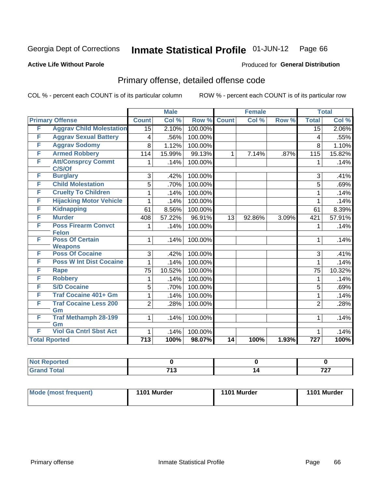#### Inmate Statistical Profile 01-JUN-12 Page 66

### **Active Life Without Parole**

#### Produced for General Distribution

# Primary offense, detailed offense code

COL % - percent each COUNT is of its particular column

|   |                                          |                  | <b>Male</b> |         | <b>Female</b> |        |       | <b>Total</b>     |        |
|---|------------------------------------------|------------------|-------------|---------|---------------|--------|-------|------------------|--------|
|   | <b>Primary Offense</b>                   | <b>Count</b>     | Col %       | Row %   | <b>Count</b>  | Col %  | Row % | <b>Total</b>     | Col %  |
| F | <b>Aggrav Child Molestation</b>          | $\overline{15}$  | 2.10%       | 100.00% |               |        |       | $\overline{15}$  | 2.06%  |
| F | <b>Aggrav Sexual Battery</b>             | 4                | .56%        | 100.00% |               |        |       | 4                | .55%   |
| F | <b>Aggrav Sodomy</b>                     | 8                | 1.12%       | 100.00% |               |        |       | 8                | 1.10%  |
| F | <b>Armed Robbery</b>                     | 114              | 15.99%      | 99.13%  | $\mathbf{1}$  | 7.14%  | .87%  | 115              | 15.82% |
| F | <b>Att/Consprcy Commt</b><br>C/S/Of      | 1.               | .14%        | 100.00% |               |        |       | 1                | .14%   |
| F | <b>Burglary</b>                          | 3                | .42%        | 100.00% |               |        |       | 3                | .41%   |
| F | <b>Child Molestation</b>                 | 5                | .70%        | 100.00% |               |        |       | 5                | .69%   |
| F | <b>Cruelty To Children</b>               | 1                | .14%        | 100.00% |               |        |       | 1                | .14%   |
| F | <b>Hijacking Motor Vehicle</b>           | 1                | .14%        | 100.00% |               |        |       | 1                | .14%   |
| F | <b>Kidnapping</b>                        | 61               | 8.56%       | 100.00% |               |        |       | 61               | 8.39%  |
| F | <b>Murder</b>                            | 408              | 57.22%      | 96.91%  | 13            | 92.86% | 3.09% | 421              | 57.91% |
| F | <b>Poss Firearm Convct</b>               | 1                | .14%        | 100.00% |               |        |       | 1                | .14%   |
|   | <b>Felon</b>                             |                  |             |         |               |        |       |                  |        |
| F | <b>Poss Of Certain</b><br><b>Weapons</b> | 1                | .14%        | 100.00% |               |        |       | 1                | .14%   |
| F | <b>Poss Of Cocaine</b>                   | 3                | .42%        | 100.00% |               |        |       | 3                | .41%   |
| F | <b>Poss W Int Dist Cocaine</b>           | 1                | .14%        | 100.00% |               |        |       | 1                | .14%   |
| F | <b>Rape</b>                              | 75               | 10.52%      | 100.00% |               |        |       | 75               | 10.32% |
| F | <b>Robbery</b>                           | 1                | .14%        | 100.00% |               |        |       | 1                | .14%   |
| F | <b>S/D Cocaine</b>                       | 5                | .70%        | 100.00% |               |        |       | 5                | .69%   |
| F | <b>Traf Cocaine 401+ Gm</b>              | 1                | .14%        | 100.00% |               |        |       | 1                | .14%   |
| F | <b>Traf Cocaine Less 200</b>             | $\overline{2}$   | .28%        | 100.00% |               |        |       | $\overline{2}$   | .28%   |
|   | Gm                                       |                  |             |         |               |        |       |                  |        |
| F | <b>Traf Methamph 28-199</b>              | $\mathbf{1}$     | .14%        | 100.00% |               |        |       | 1                | .14%   |
|   | Gm                                       |                  |             |         |               |        |       |                  |        |
| F | <b>Viol Ga Cntrl Sbst Act</b>            | 1                | .14%        | 100.00% |               |        |       | 1                | .14%   |
|   | <b>Total Rported</b>                     | $\overline{713}$ | 100%        | 98.07%  | 14            | 100%   | 1.93% | $\overline{727}$ | 100%   |

| oortea<br>w |                             |   |                               |
|-------------|-----------------------------|---|-------------------------------|
|             | <b>745</b><br>. .<br>$\sim$ | А | $\rightarrow$<br>$\mathbf{r}$ |

| Mode (most frequent) | 1101 Murder | 1101 Murder | 1101 Murder |
|----------------------|-------------|-------------|-------------|
|                      |             |             |             |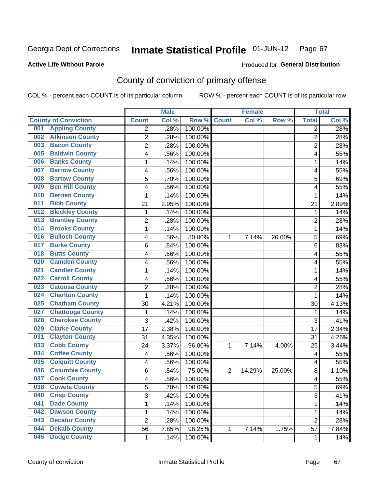Produced for **General Distribution**

### **Active Life Without Parole**

# County of conviction of primary offense

|                                |                | <b>Male</b> |         | <b>Female</b>  |        |        | <b>Total</b>   |       |
|--------------------------------|----------------|-------------|---------|----------------|--------|--------|----------------|-------|
| <b>County of Conviction</b>    | <b>Count</b>   | Col %       | Row %   | <b>Count</b>   | Col %  | Row %  | <b>Total</b>   | Col % |
| <b>Appling County</b><br>001   | 2              | .28%        | 100.00% |                |        |        | $\overline{2}$ | .28%  |
| <b>Atkinson County</b><br>002  | $\overline{2}$ | .28%        | 100.00% |                |        |        | $\overline{2}$ | .28%  |
| <b>Bacon County</b><br>003     | $\overline{c}$ | .28%        | 100.00% |                |        |        | $\overline{2}$ | .28%  |
| <b>Baldwin County</b><br>005   | 4              | .56%        | 100.00% |                |        |        | 4              | .55%  |
| <b>Banks County</b><br>006     | $\mathbf{1}$   | .14%        | 100.00% |                |        |        | 1              | .14%  |
| <b>Barrow County</b><br>007    | 4              | .56%        | 100.00% |                |        |        | 4              | .55%  |
| <b>Bartow County</b><br>008    | 5              | .70%        | 100.00% |                |        |        | 5              | .69%  |
| <b>Ben Hill County</b><br>009  | 4              | .56%        | 100.00% |                |        |        | 4              | .55%  |
| <b>Berrien County</b><br>010   | 1              | .14%        | 100.00% |                |        |        | 1              | .14%  |
| <b>Bibb County</b><br>011      | 21             | 2.95%       | 100.00% |                |        |        | 21             | 2.89% |
| <b>Bleckley County</b><br>012  | 1              | .14%        | 100.00% |                |        |        | 1              | .14%  |
| <b>Brantley County</b><br>013  | $\overline{c}$ | .28%        | 100.00% |                |        |        | $\overline{2}$ | .28%  |
| <b>Brooks County</b><br>014    | $\mathbf{1}$   | .14%        | 100.00% |                |        |        | $\mathbf{1}$   | .14%  |
| <b>Bulloch County</b><br>016   | 4              | .56%        | 80.00%  | 1              | 7.14%  | 20.00% | 5              | .69%  |
| <b>Burke County</b><br>017     | 6              | .84%        | 100.00% |                |        |        | 6              | .83%  |
| <b>Butts County</b><br>018     | 4              | .56%        | 100.00% |                |        |        | 4              | .55%  |
| <b>Camden County</b><br>020    | 4              | .56%        | 100.00% |                |        |        | 4              | .55%  |
| <b>Candler County</b><br>021   | 1              | .14%        | 100.00% |                |        |        | $\mathbf{1}$   | .14%  |
| <b>Carroll County</b><br>022   | 4              | .56%        | 100.00% |                |        |        | 4              | .55%  |
| <b>Catoosa County</b><br>023   | $\overline{c}$ | .28%        | 100.00% |                |        |        | $\overline{2}$ | .28%  |
| <b>Charlton County</b><br>024  | $\mathbf{1}$   | .14%        | 100.00% |                |        |        | 1              | .14%  |
| <b>Chatham County</b><br>025   | 30             | 4.21%       | 100.00% |                |        |        | 30             | 4.13% |
| <b>Chattooga County</b><br>027 | $\mathbf{1}$   | .14%        | 100.00% |                |        |        | 1              | .14%  |
| <b>Cherokee County</b><br>028  | 3              | .42%        | 100.00% |                |        |        | 3              | .41%  |
| <b>Clarke County</b><br>029    | 17             | 2.38%       | 100.00% |                |        |        | 17             | 2.34% |
| <b>Clayton County</b><br>031   | 31             | 4.35%       | 100.00% |                |        |        | 31             | 4.26% |
| <b>Cobb County</b><br>033      | 24             | 3.37%       | 96.00%  | 1              | 7.14%  | 4.00%  | 25             | 3.44% |
| <b>Coffee County</b><br>034    | 4              | .56%        | 100.00% |                |        |        | 4              | .55%  |
| <b>Colquitt County</b><br>035  | 4              | .56%        | 100.00% |                |        |        | 4              | .55%  |
| <b>Columbia County</b><br>036  | 6              | .84%        | 75.00%  | $\overline{2}$ | 14.29% | 25.00% | 8              | 1.10% |
| <b>Cook County</b><br>037      | 4              | .56%        | 100.00% |                |        |        | 4              | .55%  |
| 038<br><b>Coweta County</b>    | 5              | .70%        | 100.00% |                |        |        | 5              | .69%  |
| <b>Crisp County</b><br>040     | 3              | .42%        | 100.00% |                |        |        | 3              | .41%  |
| <b>Dade County</b><br>041      | 1              | .14%        | 100.00% |                |        |        | $\mathbf 1$    | .14%  |
| <b>Dawson County</b><br>042    | 1              | .14%        | 100.00% |                |        |        | 1              | .14%  |
| <b>Decatur County</b><br>043   | $\overline{c}$ | .28%        | 100.00% |                |        |        | $\overline{2}$ | .28%  |
| <b>Dekalb County</b><br>044    | 56             | 7.85%       | 98.25%  | $\mathbf{1}$   | 7.14%  | 1.75%  | 57             | 7.84% |
| <b>Dodge County</b><br>045     | $\mathbf{1}$   | .14%        | 100.00% |                |        |        | 1              | .14%  |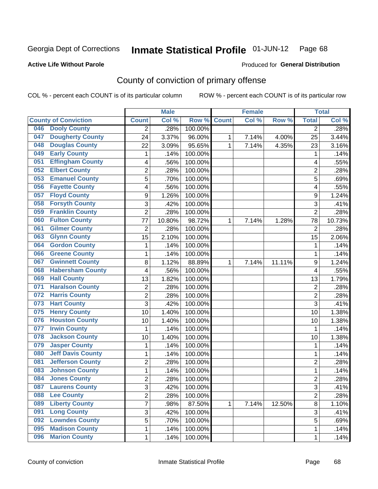#### **Active Life Without Parole**

### Produced for **General Distribution**

# County of conviction of primary offense

|                                 |                | <b>Male</b> |         | <b>Female</b> |       |        | <b>Total</b>   |        |
|---------------------------------|----------------|-------------|---------|---------------|-------|--------|----------------|--------|
| <b>County of Conviction</b>     | <b>Count</b>   | Col %       | Row %   | <b>Count</b>  | Col % | Row %  | <b>Total</b>   | Col %  |
| <b>Dooly County</b><br>046      | 2              | .28%        | 100.00% |               |       |        | $\overline{2}$ | .28%   |
| <b>Dougherty County</b><br>047  | 24             | 3.37%       | 96.00%  | 1             | 7.14% | 4.00%  | 25             | 3.44%  |
| <b>Douglas County</b><br>048    | 22             | 3.09%       | 95.65%  | 1             | 7.14% | 4.35%  | 23             | 3.16%  |
| <b>Early County</b><br>049      | 1              | .14%        | 100.00% |               |       |        | 1              | .14%   |
| <b>Effingham County</b><br>051  | 4              | .56%        | 100.00% |               |       |        | 4              | .55%   |
| <b>Elbert County</b><br>052     | $\overline{2}$ | .28%        | 100.00% |               |       |        | $\overline{2}$ | .28%   |
| <b>Emanuel County</b><br>053    | 5              | .70%        | 100.00% |               |       |        | 5              | .69%   |
| <b>Fayette County</b><br>056    | 4              | .56%        | 100.00% |               |       |        | 4              | .55%   |
| <b>Floyd County</b><br>057      | 9              | 1.26%       | 100.00% |               |       |        | 9              | 1.24%  |
| <b>Forsyth County</b><br>058    | 3              | .42%        | 100.00% |               |       |        | 3              | .41%   |
| <b>Franklin County</b><br>059   | $\overline{2}$ | .28%        | 100.00% |               |       |        | $\overline{2}$ | .28%   |
| <b>Fulton County</b><br>060     | 77             | 10.80%      | 98.72%  | 1             | 7.14% | 1.28%  | 78             | 10.73% |
| <b>Gilmer County</b><br>061     | $\overline{c}$ | .28%        | 100.00% |               |       |        | $\overline{2}$ | .28%   |
| <b>Glynn County</b><br>063      | 15             | 2.10%       | 100.00% |               |       |        | 15             | 2.06%  |
| <b>Gordon County</b><br>064     | 1              | .14%        | 100.00% |               |       |        | 1              | .14%   |
| <b>Greene County</b><br>066     | 1              | .14%        | 100.00% |               |       |        | 1              | .14%   |
| <b>Gwinnett County</b><br>067   | 8              | 1.12%       | 88.89%  | 1             | 7.14% | 11.11% | 9              | 1.24%  |
| <b>Habersham County</b><br>068  | 4              | .56%        | 100.00% |               |       |        | 4              | .55%   |
| <b>Hall County</b><br>069       | 13             | 1.82%       | 100.00% |               |       |        | 13             | 1.79%  |
| <b>Haralson County</b><br>071   | $\overline{2}$ | .28%        | 100.00% |               |       |        | $\overline{2}$ | .28%   |
| <b>Harris County</b><br>072     | 2              | .28%        | 100.00% |               |       |        | $\overline{2}$ | .28%   |
| <b>Hart County</b><br>073       | $\overline{3}$ | .42%        | 100.00% |               |       |        | $\overline{3}$ | .41%   |
| <b>Henry County</b><br>075      | 10             | 1.40%       | 100.00% |               |       |        | 10             | 1.38%  |
| <b>Houston County</b><br>076    | 10             | 1.40%       | 100.00% |               |       |        | 10             | 1.38%  |
| <b>Irwin County</b><br>077      | 1              | .14%        | 100.00% |               |       |        | 1              | .14%   |
| <b>Jackson County</b><br>078    | 10             | 1.40%       | 100.00% |               |       |        | 10             | 1.38%  |
| <b>Jasper County</b><br>079     | 1              | .14%        | 100.00% |               |       |        | 1              | .14%   |
| <b>Jeff Davis County</b><br>080 | 1              | .14%        | 100.00% |               |       |        | 1              | .14%   |
| <b>Jefferson County</b><br>081  | $\overline{2}$ | .28%        | 100.00% |               |       |        | $\overline{2}$ | .28%   |
| <b>Johnson County</b><br>083    | 1              | .14%        | 100.00% |               |       |        | 1              | .14%   |
| <b>Jones County</b><br>084      | $\overline{2}$ | .28%        | 100.00% |               |       |        | $\overline{2}$ | .28%   |
| 087<br><b>Laurens County</b>    | 3              | .42%        | 100.00% |               |       |        | 3              | .41%   |
| <b>Lee County</b><br>088        | $\overline{2}$ | .28%        | 100.00% |               |       |        | $\overline{2}$ | .28%   |
| <b>Liberty County</b><br>089    | $\overline{7}$ | .98%        | 87.50%  | 1             | 7.14% | 12.50% | 8              | 1.10%  |
| <b>Long County</b><br>091       | 3              | .42%        | 100.00% |               |       |        | 3              | .41%   |
| <b>Lowndes County</b><br>092    | 5              | .70%        | 100.00% |               |       |        | 5              | .69%   |
| <b>Madison County</b><br>095    | 1              | .14%        | 100.00% |               |       |        | $\mathbf 1$    | .14%   |
| <b>Marion County</b><br>096     | 1              | .14%        | 100.00% |               |       |        | $\mathbf{1}$   | .14%   |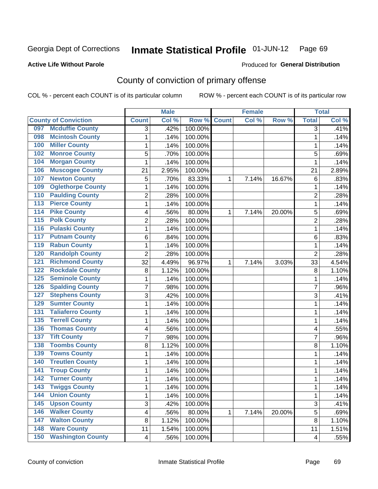#### **Active Life Without Parole**

#### Produced for **General Distribution**

# County of conviction of primary offense

|                  |                             |                         | <b>Male</b> |         | <b>Female</b> |       |        | <b>Total</b>              |       |
|------------------|-----------------------------|-------------------------|-------------|---------|---------------|-------|--------|---------------------------|-------|
|                  | <b>County of Conviction</b> | <b>Count</b>            | Col %       | Row %   | <b>Count</b>  | Col % | Row %  | <b>Total</b>              | Col % |
| 097              | <b>Mcduffie County</b>      | 3                       | .42%        | 100.00% |               |       |        | 3                         | .41%  |
| 098              | <b>Mcintosh County</b>      | 1                       | .14%        | 100.00% |               |       |        | $\mathbf{1}$              | .14%  |
| 100              | <b>Miller County</b>        | 1                       | .14%        | 100.00% |               |       |        | 1                         | .14%  |
| 102              | <b>Monroe County</b>        | 5                       | .70%        | 100.00% |               |       |        | 5                         | .69%  |
| 104              | <b>Morgan County</b>        | 1                       | .14%        | 100.00% |               |       |        | 1                         | .14%  |
| 106              | <b>Muscogee County</b>      | 21                      | 2.95%       | 100.00% |               |       |        | 21                        | 2.89% |
| 107              | <b>Newton County</b>        | 5                       | .70%        | 83.33%  | 1             | 7.14% | 16.67% | 6                         | .83%  |
| 109              | <b>Oglethorpe County</b>    | 1                       | .14%        | 100.00% |               |       |        | 1                         | .14%  |
| 110              | <b>Paulding County</b>      | 2                       | .28%        | 100.00% |               |       |        | $\overline{2}$            | .28%  |
| $\overline{113}$ | <b>Pierce County</b>        | 1                       | .14%        | 100.00% |               |       |        | 1                         | .14%  |
| 114              | <b>Pike County</b>          | 4                       | .56%        | 80.00%  | 1             | 7.14% | 20.00% | 5                         | .69%  |
| 115              | <b>Polk County</b>          | $\overline{2}$          | .28%        | 100.00% |               |       |        | $\overline{2}$            | .28%  |
| 116              | <b>Pulaski County</b>       | 1                       | .14%        | 100.00% |               |       |        | 1                         | .14%  |
| 117              | <b>Putnam County</b>        | 6                       | .84%        | 100.00% |               |       |        | 6                         | .83%  |
| 119              | <b>Rabun County</b>         | 1                       | .14%        | 100.00% |               |       |        | $\mathbf 1$               | .14%  |
| 120              | <b>Randolph County</b>      | $\overline{2}$          | .28%        | 100.00% |               |       |        | $\overline{2}$            | .28%  |
| 121              | <b>Richmond County</b>      | 32                      | 4.49%       | 96.97%  | 1             | 7.14% | 3.03%  | 33                        | 4.54% |
| 122              | <b>Rockdale County</b>      | 8                       | 1.12%       | 100.00% |               |       |        | 8                         | 1.10% |
| 125              | <b>Seminole County</b>      | 1                       | .14%        | 100.00% |               |       |        | 1                         | .14%  |
| 126              | <b>Spalding County</b>      | 7                       | .98%        | 100.00% |               |       |        | 7                         | .96%  |
| 127              | <b>Stephens County</b>      | 3                       | .42%        | 100.00% |               |       |        | 3                         | .41%  |
| 129              | <b>Sumter County</b>        | 1                       | .14%        | 100.00% |               |       |        | $\mathbf 1$               | .14%  |
| 131              | <b>Taliaferro County</b>    | 1                       | .14%        | 100.00% |               |       |        | 1                         | .14%  |
| 135              | <b>Terrell County</b>       | 1                       | .14%        | 100.00% |               |       |        | 1                         | .14%  |
| 136              | <b>Thomas County</b>        | 4                       | .56%        | 100.00% |               |       |        | 4                         | .55%  |
| 137              | <b>Tift County</b>          | 7                       | .98%        | 100.00% |               |       |        | 7                         | .96%  |
| 138              | <b>Toombs County</b>        | 8                       | 1.12%       | 100.00% |               |       |        | 8                         | 1.10% |
| 139              | <b>Towns County</b>         | 1                       | .14%        | 100.00% |               |       |        | 1                         | .14%  |
| 140              | <b>Treutlen County</b>      | 1                       | .14%        | 100.00% |               |       |        | 1                         | .14%  |
| 141              | <b>Troup County</b>         | 1                       | .14%        | 100.00% |               |       |        | $\mathbf 1$               | .14%  |
| 142              | <b>Turner County</b>        | 1                       | .14%        | 100.00% |               |       |        | 1                         | .14%  |
| 143              | <b>Twiggs County</b>        | 1                       | .14%        | 100.00% |               |       |        | 1                         | .14%  |
| 144              | <b>Union County</b>         | 1                       | .14%        | 100.00% |               |       |        | $\mathbf{1}$              | .14%  |
| $\overline{145}$ | <b>Upson County</b>         | 3                       | .42%        | 100.00% |               |       |        | $\ensuremath{\mathsf{3}}$ | .41%  |
| 146              | <b>Walker County</b>        | $\overline{\mathbf{4}}$ | .56%        | 80.00%  | 1             | 7.14% | 20.00% | 5                         | .69%  |
| 147              | <b>Walton County</b>        | 8                       | 1.12%       | 100.00% |               |       |        | 8                         | 1.10% |
| 148              | <b>Ware County</b>          | 11                      | 1.54%       | 100.00% |               |       |        | 11                        | 1.51% |
| 150              | <b>Washington County</b>    | $\overline{\mathbf{4}}$ | .56%        | 100.00% |               |       |        | 4                         | .55%  |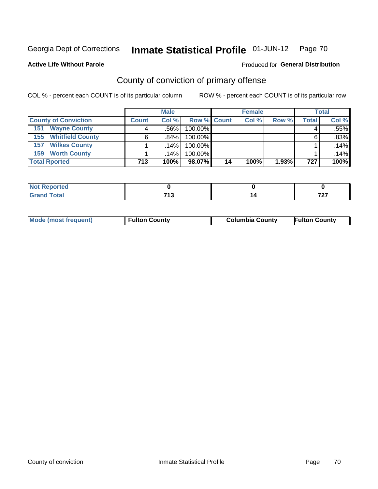#### **Active Life Without Parole**

## Produced for **General Distribution**

# County of conviction of primary offense

|                                | <b>Male</b>  |        |                    |    | <b>Female</b> |       | <b>Total</b> |       |
|--------------------------------|--------------|--------|--------------------|----|---------------|-------|--------------|-------|
| <b>County of Conviction</b>    | <b>Count</b> | Col%   | <b>Row % Count</b> |    | Col %         | Row % | Total        | Col % |
| <b>Wayne County</b><br>151     | 4            | ا 56%. | 100.00%            |    |               |       | 4            | .55%  |
| <b>Whitfield County</b><br>155 | 6            | ا 84%. | 100.00%            |    |               |       | 6            | .83%  |
| <b>Wilkes County</b><br>157    |              | ا 14%. | 100.00%            |    |               |       |              | .14%  |
| <b>Worth County</b><br>159     |              | ا 14%. | 100.00%            |    |               |       |              | .14%  |
| <b>Total Rported</b>           | 713          | 100%   | 98.07%             | 14 | 100%          | 1.93% | 727          | 100%  |

| enorted<br>N. |      |    |                             |
|---------------|------|----|-----------------------------|
| <b>c</b> otal | 74.0 | 14 | 707                         |
| $\sim$        | . J  |    | $\sim$ $\sim$ $\sim$ $\sim$ |

|  | <b>Mode (most frequent)</b> | <b>Fulton County</b> | <b>Columbia County</b> | <b>Fulton County</b> |
|--|-----------------------------|----------------------|------------------------|----------------------|
|--|-----------------------------|----------------------|------------------------|----------------------|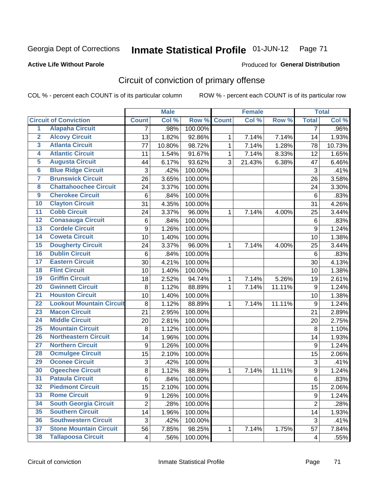### **Active Life Without Parole**

#### Produced for **General Distribution**

# Circuit of conviction of primary offense

|                         |                                 |                | <b>Male</b> |         | <b>Female</b> |        |        |                  | <b>Total</b> |
|-------------------------|---------------------------------|----------------|-------------|---------|---------------|--------|--------|------------------|--------------|
|                         | <b>Circuit of Conviction</b>    | <b>Count</b>   | Col %       | Row %   | <b>Count</b>  | Col%   | Row %  | <b>Total</b>     | Col %        |
| 1                       | <b>Alapaha Circuit</b>          | 7              | .98%        | 100.00% |               |        |        | 7                | .96%         |
| $\overline{2}$          | <b>Alcovy Circuit</b>           | 13             | 1.82%       | 92.86%  | 1             | 7.14%  | 7.14%  | 14               | 1.93%        |
| $\overline{\mathbf{3}}$ | <b>Atlanta Circuit</b>          | 77             | 10.80%      | 98.72%  | $\mathbf{1}$  | 7.14%  | 1.28%  | 78               | 10.73%       |
| 4                       | <b>Atlantic Circuit</b>         | 11             | 1.54%       | 91.67%  | $\mathbf 1$   | 7.14%  | 8.33%  | 12               | 1.65%        |
| 5                       | <b>Augusta Circuit</b>          | 44             | 6.17%       | 93.62%  | 3             | 21.43% | 6.38%  | 47               | 6.46%        |
| $\overline{\mathbf{6}}$ | <b>Blue Ridge Circuit</b>       | 3              | .42%        | 100.00% |               |        |        | 3                | .41%         |
| $\overline{\mathbf{7}}$ | <b>Brunswick Circuit</b>        | 26             | 3.65%       | 100.00% |               |        |        | 26               | 3.58%        |
| 8                       | <b>Chattahoochee Circuit</b>    | 24             | 3.37%       | 100.00% |               |        |        | 24               | 3.30%        |
| $\overline{9}$          | <b>Cherokee Circuit</b>         | 6              | .84%        | 100.00% |               |        |        | $6\phantom{1}6$  | .83%         |
| 10                      | <b>Clayton Circuit</b>          | 31             | 4.35%       | 100.00% |               |        |        | 31               | 4.26%        |
| $\overline{11}$         | <b>Cobb Circuit</b>             | 24             | 3.37%       | 96.00%  | 1             | 7.14%  | 4.00%  | 25               | 3.44%        |
| $\overline{12}$         | <b>Conasauga Circuit</b>        | 6              | .84%        | 100.00% |               |        |        | $\,6$            | .83%         |
| 13                      | <b>Cordele Circuit</b>          | 9              | 1.26%       | 100.00% |               |        |        | 9                | 1.24%        |
| 14                      | <b>Coweta Circuit</b>           | 10             | 1.40%       | 100.00% |               |        |        | 10               | 1.38%        |
| 15                      | <b>Dougherty Circuit</b>        | 24             | 3.37%       | 96.00%  | $\mathbf 1$   | 7.14%  | 4.00%  | 25               | 3.44%        |
| 16                      | <b>Dublin Circuit</b>           | $\,6\,$        | .84%        | 100.00% |               |        |        | 6                | .83%         |
| 17                      | <b>Eastern Circuit</b>          | 30             | 4.21%       | 100.00% |               |        |        | 30               | 4.13%        |
| 18                      | <b>Flint Circuit</b>            | 10             | 1.40%       | 100.00% |               |        |        | 10               | 1.38%        |
| 19                      | <b>Griffin Circuit</b>          | 18             | 2.52%       | 94.74%  | 1             | 7.14%  | 5.26%  | 19               | 2.61%        |
| 20                      | <b>Gwinnett Circuit</b>         | 8              | 1.12%       | 88.89%  | 1             | 7.14%  | 11.11% | 9                | 1.24%        |
| $\overline{21}$         | <b>Houston Circuit</b>          | 10             | 1.40%       | 100.00% |               |        |        | 10               | 1.38%        |
| $\overline{22}$         | <b>Lookout Mountain Circuit</b> | 8              | 1.12%       | 88.89%  | 1             | 7.14%  | 11.11% | $\boldsymbol{9}$ | 1.24%        |
| 23                      | <b>Macon Circuit</b>            | 21             | 2.95%       | 100.00% |               |        |        | 21               | 2.89%        |
| $\overline{24}$         | <b>Middle Circuit</b>           | 20             | 2.81%       | 100.00% |               |        |        | 20               | 2.75%        |
| $\overline{25}$         | <b>Mountain Circuit</b>         | 8              | 1.12%       | 100.00% |               |        |        | 8                | 1.10%        |
| 26                      | <b>Northeastern Circuit</b>     | 14             | 1.96%       | 100.00% |               |        |        | 14               | 1.93%        |
| $\overline{27}$         | <b>Northern Circuit</b>         | 9              | 1.26%       | 100.00% |               |        |        | 9                | 1.24%        |
| 28                      | <b>Ocmulgee Circuit</b>         | 15             | 2.10%       | 100.00% |               |        |        | 15               | 2.06%        |
| 29                      | <b>Oconee Circuit</b>           | 3              | .42%        | 100.00% |               |        |        | 3                | .41%         |
| 30                      | <b>Ogeechee Circuit</b>         | 8              | 1.12%       | 88.89%  | $\mathbf 1$   | 7.14%  | 11.11% | 9                | 1.24%        |
| $\overline{31}$         | <b>Pataula Circuit</b>          | 6              | .84%        | 100.00% |               |        |        | 6                | .83%         |
| 32                      | <b>Piedmont Circuit</b>         | 15             | 2.10%       | 100.00% |               |        |        | 15               | 2.06%        |
| 33                      | <b>Rome Circuit</b>             | 9              | 1.26%       | 100.00% |               |        |        | 9                | 1.24%        |
| 34                      | <b>South Georgia Circuit</b>    | $\overline{2}$ | .28%        | 100.00% |               |        |        | $\overline{2}$   | .28%         |
| 35                      | <b>Southern Circuit</b>         | 14             | 1.96%       | 100.00% |               |        |        | 14               | 1.93%        |
| 36                      | <b>Southwestern Circuit</b>     | 3              | .42%        | 100.00% |               |        |        | 3                | .41%         |
| 37                      | <b>Stone Mountain Circuit</b>   | 56             | 7.85%       | 98.25%  | 1             | 7.14%  | 1.75%  | 57               | 7.84%        |
| 38                      | <b>Tallapoosa Circuit</b>       | $\overline{4}$ | .56%        | 100.00% |               |        |        | 4                | .55%         |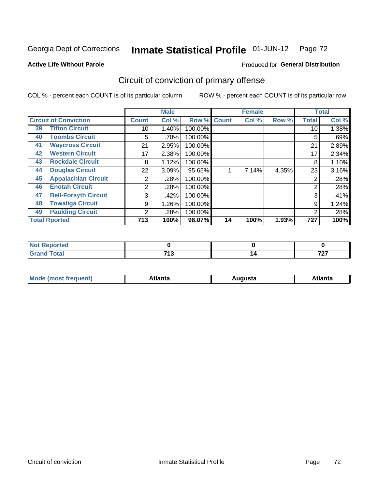**Active Life Without Parole** 

#### Produced for **General Distribution**

# Circuit of conviction of primary offense

|                                   |                                              | <b>Male</b><br><b>Female</b> |         |              | <b>Total</b> |       |              |       |
|-----------------------------------|----------------------------------------------|------------------------------|---------|--------------|--------------|-------|--------------|-------|
| <b>Circuit of Conviction</b>      | <b>Count</b>                                 | Col %                        | Row %   | <b>Count</b> | Col %        | Row % | <b>Total</b> | Col % |
| <b>Tifton Circuit</b><br>39       | 10                                           | 1.40%                        | 100.00% |              |              |       | 10           | 1.38% |
| <b>Toombs Circuit</b><br>40       | 5                                            | .70%                         | 100.00% |              |              |       | 5            | .69%  |
| <b>Waycross Circuit</b><br>41     | 21                                           | 2.95%                        | 100.00% |              |              |       | 21           | 2.89% |
| <b>Western Circuit</b><br>42      | 17                                           | 2.38%                        | 100.00% |              |              |       | 17           | 2.34% |
| <b>Rockdale Circuit</b><br>43     | 8                                            | 1.12%                        | 100.00% |              |              |       | 8            | 1.10% |
| <b>Douglas Circuit</b><br>44      | 22                                           | 3.09%                        | 95.65%  |              | 7.14%        | 4.35% | 23           | 3.16% |
| <b>Appalachian Circuit</b><br>45  | 2                                            | .28%                         | 100.00% |              |              |       | 2            | .28%  |
| <b>Enotah Circuit</b><br>46       | 2                                            | .28%                         | 100.00% |              |              |       | 2            | .28%  |
| <b>Bell-Forsyth Circuit</b><br>47 | 3                                            | .42%                         | 100.00% |              |              |       | 3            | .41%  |
| <b>Towaliga Circuit</b><br>48     | 9                                            | 1.26%                        | 100.00% |              |              |       | 9            | 1.24% |
| <b>Paulding Circuit</b><br>49     | 2                                            | .28%                         | 100.00% |              |              |       | 2            | .28%  |
| <b>Total Rported</b>              | 713<br>100%<br>100%<br>98.07%<br>14<br>1.93% |                              | 727     | 100%         |              |       |              |       |

| eportea     |            |               |
|-------------|------------|---------------|
| <b>otal</b> | <b>740</b> | $\rightarrow$ |
| $\sim$      | . .        | .             |

| М<br>. Innás<br>.<br>.<br>wanta<br>Πū<br>31.<br>$\sim$ $\sim$ $\sim$ |
|----------------------------------------------------------------------|
|----------------------------------------------------------------------|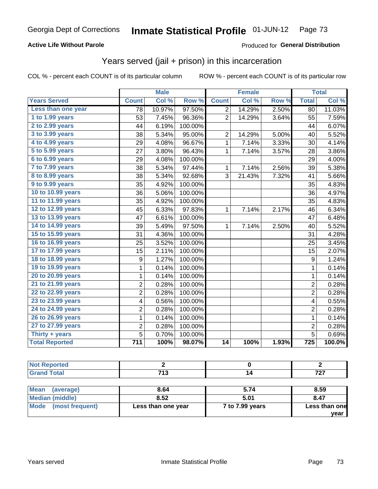### **Active Life Without Parole**

#### Produced for **General Distribution**

## Years served (jail + prison) in this incarceration

|                       |                  | <b>Male</b> |         |                | <b>Female</b> |       |                  | <b>Total</b> |
|-----------------------|------------------|-------------|---------|----------------|---------------|-------|------------------|--------------|
| <b>Years Served</b>   | <b>Count</b>     | Col %       | Row %   | <b>Count</b>   | Col %         | Row % | <b>Total</b>     | Col %        |
| Less than one year    | 78               | 10.97%      | 97.50%  | $\overline{c}$ | 14.29%        | 2.50% | 80               | 11.03%       |
| 1 to 1.99 years       | 53               | 7.45%       | 96.36%  | $\overline{2}$ | 14.29%        | 3.64% | 55               | 7.59%        |
| 2 to 2.99 years       | 44               | 6.19%       | 100.00% |                |               |       | 44               | 6.07%        |
| 3 to 3.99 years       | 38               | 5.34%       | 95.00%  | $\overline{2}$ | 14.29%        | 5.00% | 40               | 5.52%        |
| 4 to 4.99 years       | 29               | 4.08%       | 96.67%  | $\mathbf{1}$   | 7.14%         | 3.33% | 30               | 4.14%        |
| 5 to 5.99 years       | 27               | 3.80%       | 96.43%  | $\mathbf 1$    | 7.14%         | 3.57% | 28               | 3.86%        |
| 6 to 6.99 years       | 29               | 4.08%       | 100.00% |                |               |       | 29               | 4.00%        |
| 7 to 7.99 years       | 38               | 5.34%       | 97.44%  | $\mathbf{1}$   | 7.14%         | 2.56% | 39               | 5.38%        |
| 8 to 8.99 years       | 38               | 5.34%       | 92.68%  | 3              | 21.43%        | 7.32% | 41               | 5.66%        |
| 9 to 9.99 years       | 35               | 4.92%       | 100.00% |                |               |       | 35               | 4.83%        |
| 10 to 10.99 years     | 36               | 5.06%       | 100.00% |                |               |       | 36               | 4.97%        |
| 11 to 11.99 years     | 35               | 4.92%       | 100.00% |                |               |       | 35               | 4.83%        |
| 12 to 12.99 years     | 45               | 6.33%       | 97.83%  | $\mathbf{1}$   | 7.14%         | 2.17% | 46               | 6.34%        |
| 13 to 13.99 years     | 47               | 6.61%       | 100.00% |                |               |       | 47               | 6.48%        |
| 14 to 14.99 years     | 39               | 5.49%       | 97.50%  | $\mathbf{1}$   | 7.14%         | 2.50% | 40               | 5.52%        |
| 15 to 15.99 years     | 31               | 4.36%       | 100.00% |                |               |       | 31               | 4.28%        |
| 16 to 16.99 years     | 25               | 3.52%       | 100.00% |                |               |       | 25               | 3.45%        |
| 17 to 17.99 years     | 15               | 2.11%       | 100.00% |                |               |       | 15               | 2.07%        |
| 18 to 18.99 years     | 9                | 1.27%       | 100.00% |                |               |       | 9                | 1.24%        |
| 19 to 19.99 years     | 1                | 0.14%       | 100.00% |                |               |       | 1                | 0.14%        |
| 20 to 20.99 years     | $\mathbf 1$      | 0.14%       | 100.00% |                |               |       | $\mathbf{1}$     | 0.14%        |
| 21 to 21.99 years     | $\overline{2}$   | 0.28%       | 100.00% |                |               |       | $\overline{2}$   | 0.28%        |
| 22 to 22.99 years     | 2                | 0.28%       | 100.00% |                |               |       | $\overline{2}$   | 0.28%        |
| 23 to 23.99 years     | 4                | 0.56%       | 100.00% |                |               |       | 4                | 0.55%        |
| 24 to 24.99 years     | 2                | 0.28%       | 100.00% |                |               |       | $\overline{2}$   | 0.28%        |
| 26 to 26.99 years     | $\mathbf{1}$     | 0.14%       | 100.00% |                |               |       | $\mathbf{1}$     | 0.14%        |
| 27 to 27.99 years     | 2                | 0.28%       | 100.00% |                |               |       | $\overline{c}$   | 0.28%        |
| Thirty + years        | 5                | 0.70%       | 100.00% |                |               |       | $\overline{5}$   | 0.69%        |
| <b>Total Reported</b> | $\overline{711}$ | 100%        | 98.07%  | 14             | 100%          | 1.93% | $\overline{725}$ | 100.0%       |

| . керопеа<br><b>NOT</b><br>$\sim$ |            |                             |
|-----------------------------------|------------|-----------------------------|
| <b>otal</b>                       | <b>740</b> | $\rightarrow$ $\rightarrow$ |
| $\mathbf{v}$ and                  | ∪י         | .                           |

| <b>Mean</b><br>(average) | 8.64               | 5.74            | 8.59          |
|--------------------------|--------------------|-----------------|---------------|
| Median (middle)          | 8.52               | 5.01            | 8.47          |
| Mode (most frequent)     | Less than one year | 7 to 7.99 years | Less than one |
|                          |                    |                 | vear          |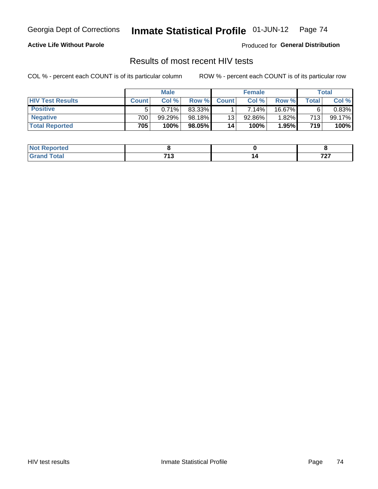### **Active Life Without Parole**

Produced for **General Distribution**

## Results of most recent HIV tests

|                         | <b>Male</b>  |        |        | <b>Female</b> |          |          | Total |        |
|-------------------------|--------------|--------|--------|---------------|----------|----------|-------|--------|
| <b>HIV Test Results</b> | <b>Count</b> | Col%   | Row %I | <b>Count</b>  | Col %    | Row %    | Total | Col %  |
| <b>Positive</b>         |              | 0.71%  | 83.33% |               | $7.14\%$ | 16.67%   |       | 0.83%  |
| <b>Negative</b>         | 700          | 99.29% | 98.18% | 13            | 92.86%   | $1.82\%$ | 713   | 99.17% |
| <b>Total Reported</b>   | 705          | 100%   | 98.05% | 14            | 100%     | 1.95%    | 719   | 100%   |

| ported<br>. NOT |                       |                              |
|-----------------|-----------------------|------------------------------|
| $i$ ntn $i$     | 74.0<br>. .<br>$\sim$ | $\mathbf{z}$<br>$\mathbf{r}$ |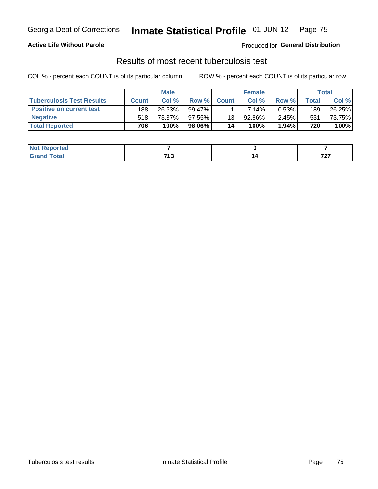### **Active Life Without Parole**

Produced for **General Distribution**

## Results of most recent tuberculosis test

|                                  | <b>Male</b>  |         |           | <b>Female</b> |        |          | Total |        |
|----------------------------------|--------------|---------|-----------|---------------|--------|----------|-------|--------|
| <b>Tuberculosis Test Results</b> | <b>Count</b> | Col%    | Row %I    | <b>Count</b>  | Col%   | Row %    | Total | Col %  |
| <b>Positive on current test</b>  | 188          | 26.63%  | $99.47\%$ |               | 7.14%  | $0.53\%$ | 189   | 26.25% |
| <b>Negative</b>                  | 518          | 73.37%」 | $97.55\%$ | 13            | 92.86% | $2.45\%$ | 531   | 73.75% |
| <b>Total Reported</b>            | 706          | 100%    | 98.06% l  | 14            | 100%   | 1.94%    | 720   | 100%   |

| <b>Not Reported</b> |                    |          |
|---------------------|--------------------|----------|
| <b>Total</b>        | 74 2<br><br>$\sim$ | 707<br>. |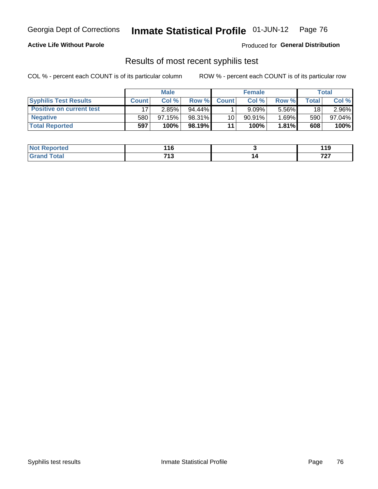#### **Active Life Without Parole**

Produced for **General Distribution**

## Results of most recent syphilis test

|                                 | <b>Male</b>  |           |           | <b>Female</b> |           |          | Total   |        |
|---------------------------------|--------------|-----------|-----------|---------------|-----------|----------|---------|--------|
| <b>Syphilis Test Results</b>    | <b>Count</b> | Col%      | Row %I    | <b>Count</b>  | Col %     | Row %    | Total i | Col %  |
| <b>Positive on current test</b> |              | 2.85%     | $94.44\%$ |               | 9.09%     | 5.56%    | 18      | 2.96%  |
| <b>Negative</b>                 | 580          | $97.15\%$ | 98.31%    | 10            | $90.91\%$ | $1.69\%$ | 590     | 97.04% |
| <b>Total Reported</b>           | 597          | 100%      | 98.19%    | 11            | 100%      | 1.81%    | 608     | 100%   |

| <b>Not Reported</b> | 116          | 1 1 Q<br>. |
|---------------------|--------------|------------|
| <b>Total</b>        | フィク<br>7 I J | 707        |